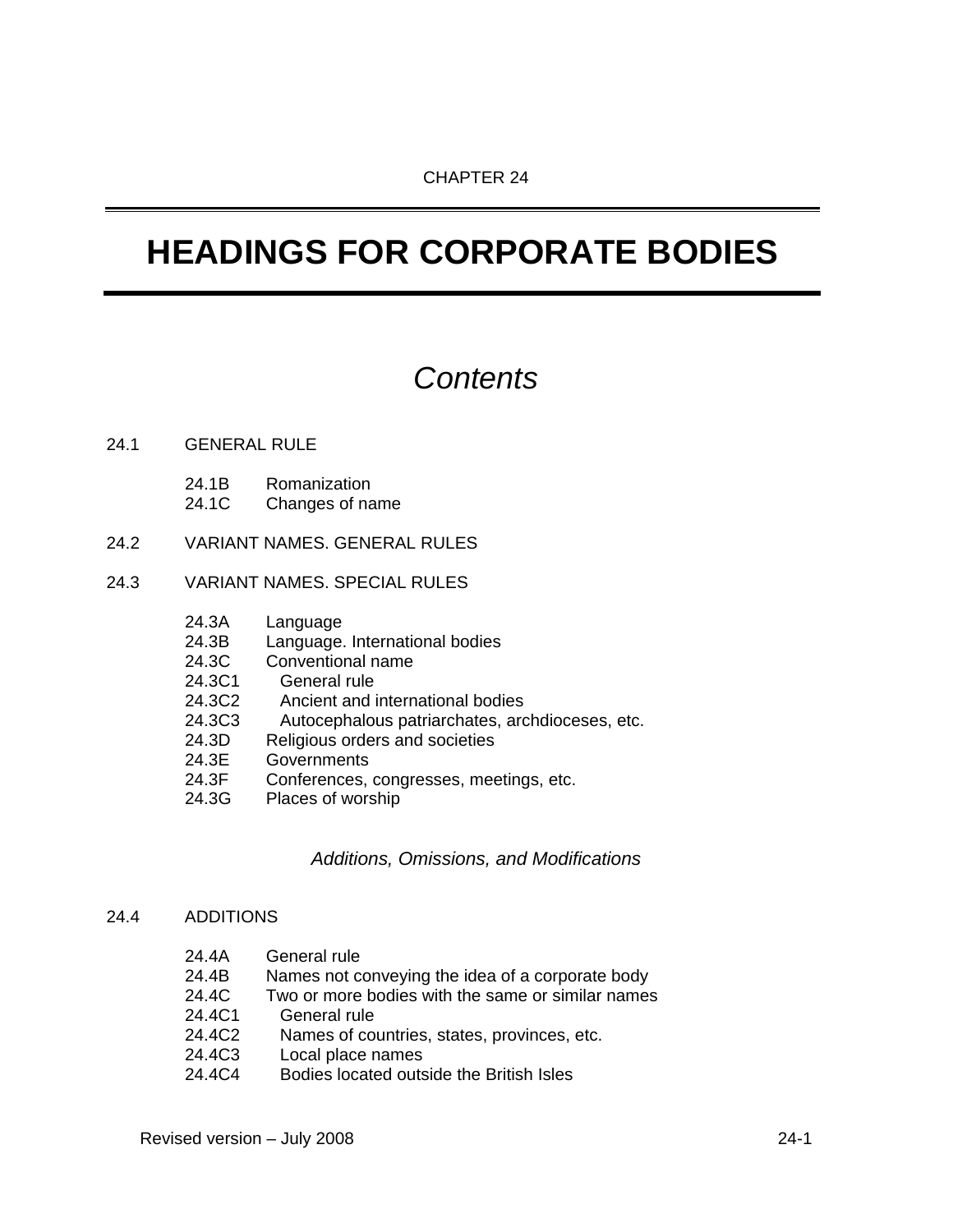# *Contents*

#### 24.1 GENERAL RULE

- 24.1B Romanization
- 24.1C Changes of name
- 24.2 VARIANT NAMES. GENERAL RULES

# 24.3 VARIANT NAMES. SPECIAL RULES

- 24.3A Language
- 24.3B Language. International bodies
- 24.3C Conventional name
- 24.3C1 General rule
- 24.3C2 Ancient and international bodies
- 24.3C3 Autocephalous patriarchates, archdioceses, etc.
- 24.3D Religious orders and societies
- 24.3E Governments<br>24.3F Conferences.
- Conferences, congresses, meetings, etc.
- 24.3G Places of worship

*Additions, Omissions, and Modifications* 

#### 24.4 ADDITIONS

- 24.4B Names not conveying the idea of a corporate body
- 24.4C Two or more bodies with the same or similar names
- 24.4C1 General rule
- 24.4C2 Names of countries, states, provinces, etc.
- 24.4C3 Local place names
- 24.4C4 Bodies located outside the British Isles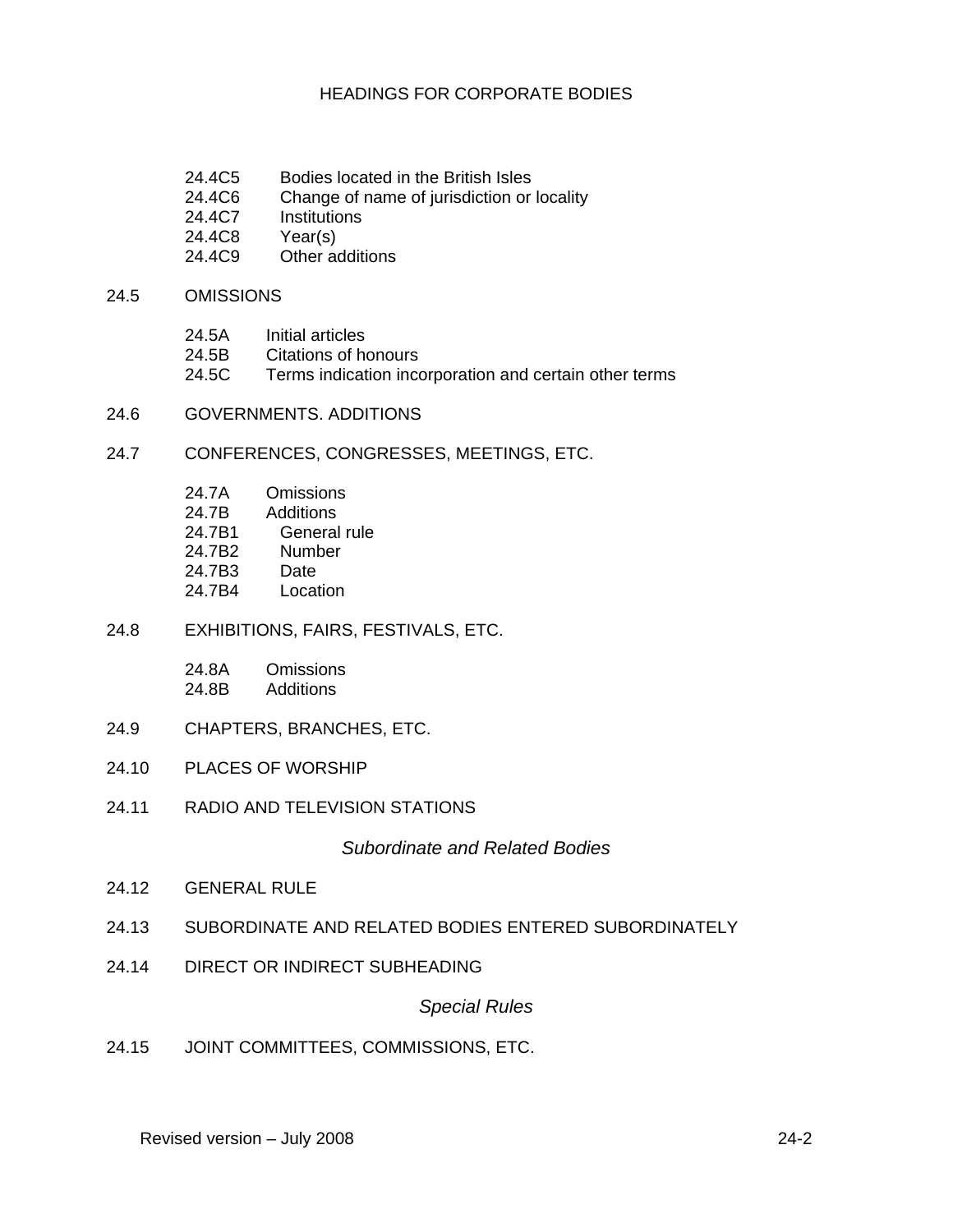- 24.4C5 Bodies located in the British Isles
- 24.4C6 Change of name of jurisdiction or locality
- 24.4C7 Institutions
- 24.4C8 Year(s)
- 24.4C9 Other additions

#### 24.5 OMISSIONS

- 24.5A Initial articles
- 24.5B Citations of honours
- 24.5C Terms indication incorporation and certain other terms
- 24.6 GOVERNMENTS. ADDITIONS

### 24.7 CONFERENCES, CONGRESSES, MEETINGS, ETC.

- 24.7A Omissions
- 24.7B Additions
- 24.7B1 General rule
- 24.7B2 Number
- 24.7B3 Date
- 24.7B4 Location
- 24.8 EXHIBITIONS, FAIRS, FESTIVALS, ETC.

| 24.8A | Omissions |
|-------|-----------|
| 24.8B | Additions |

- 24.9 CHAPTERS, BRANCHES, ETC.
- 24.10 PLACES OF WORSHIP
- 24.11 RADIO AND TELEVISION STATIONS

#### *Subordinate and Related Bodies*

- 24.12 GENERAL RULE
- 24.13 SUBORDINATE AND RELATED BODIES ENTERED SUBORDINATELY
- 24.14 DIRECT OR INDIRECT SUBHEADING

#### *Special Rules*

24.15 JOINT COMMITTEES, COMMISSIONS, ETC.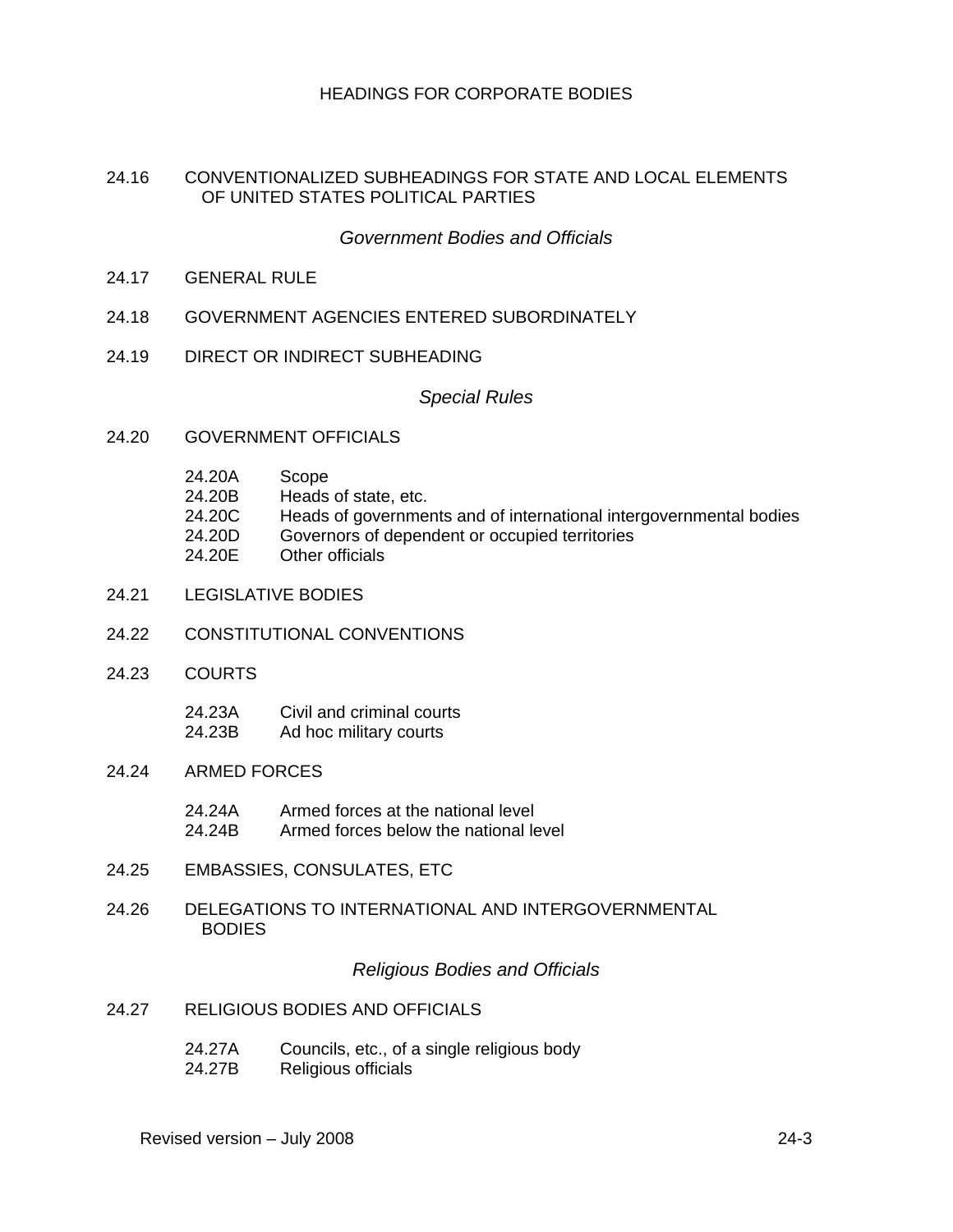#### 24.16 CONVENTIONALIZED SUBHEADINGS FOR STATE AND LOCAL ELEMENTS OF UNITED STATES POLITICAL PARTIES

### *Government Bodies and Officials*

- 24.17 GENERAL RULE
- 24.18 GOVERNMENT AGENCIES ENTERED SUBORDINATELY
- 24.19 DIRECT OR INDIRECT SUBHEADING

#### *Special Rules*

- 24.20 GOVERNMENT OFFICIALS
	- 24.20A Scope
	- 24.20B Heads of state, etc.
	- 24.20C Heads of governments and of international intergovernmental bodies
	- 24.20D Governors of dependent or occupied territories
	- 24.20E Other officials
- 24.21 LEGISLATIVE BODIES
- 24.22 CONSTITUTIONAL CONVENTIONS
- 24.23 COURTS
	- 24.23A Civil and criminal courts 24.23B Ad hoc military courts
- 24.24 ARMED FORCES
	- 24.24A Armed forces at the national level 24.24B Armed forces below the national level
- 24.25 EMBASSIES, CONSULATES, ETC
- 24.26 DELEGATIONS TO INTERNATIONAL AND INTERGOVERNMENTAL **BODIES**

#### *Religious Bodies and Officials*

- 24.27 RELIGIOUS BODIES AND OFFICIALS
	- 24.27A Councils, etc., of a single religious body
	- 24.27B Religious officials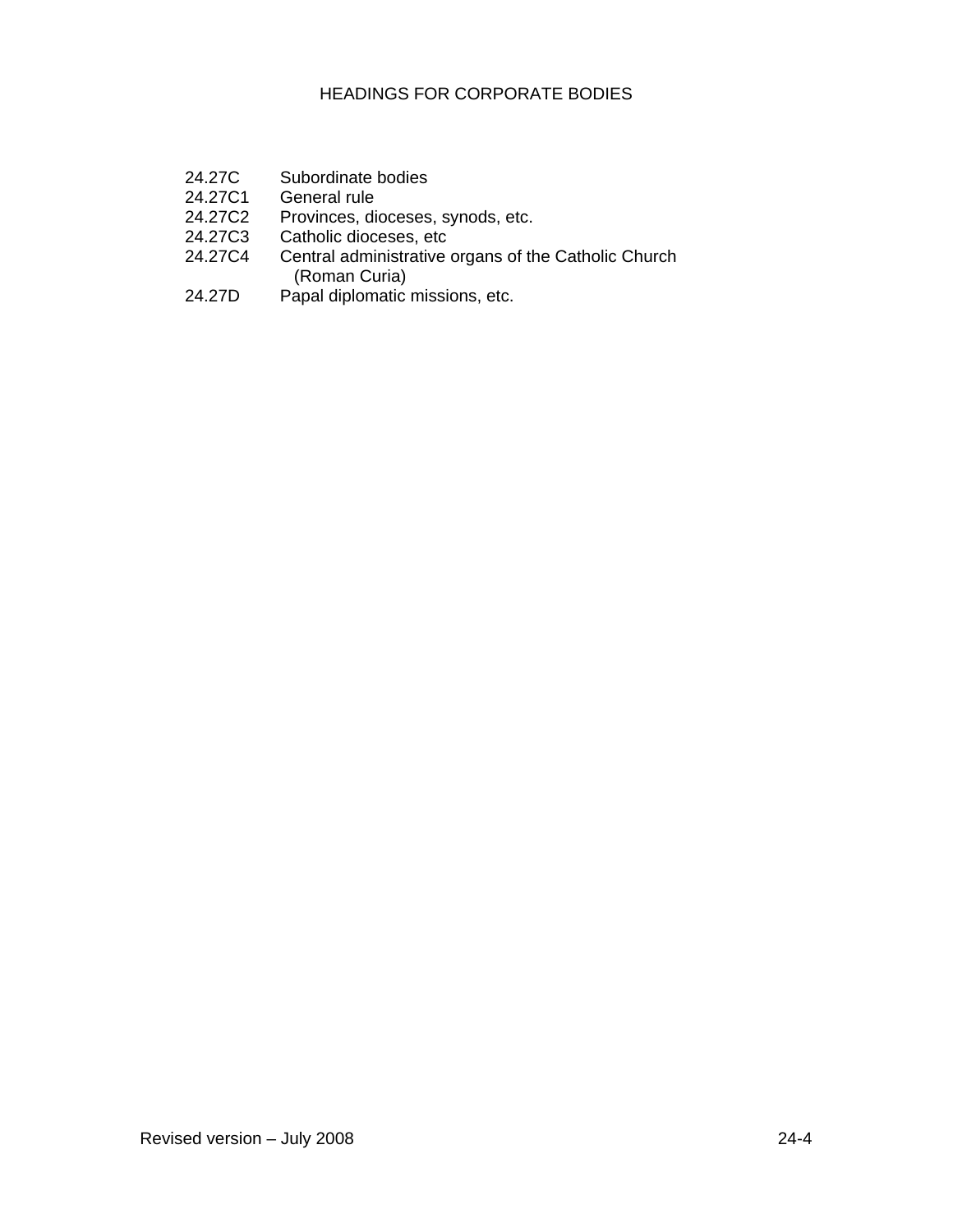- 24.27C Subordinate bodies<br>24.27C1 General rule
- 24.27C1 General rule<br>24.27C2 Provinces, di
- 24.27C2 Provinces, dioceses, synods, etc.<br>24.27C3 Catholic dioceses, etc
- Catholic dioceses, etc
- 24.27C4 Central administrative organs of the Catholic Church (Roman Curia)<br>24.27D Papal diplomatic
- Papal diplomatic missions, etc.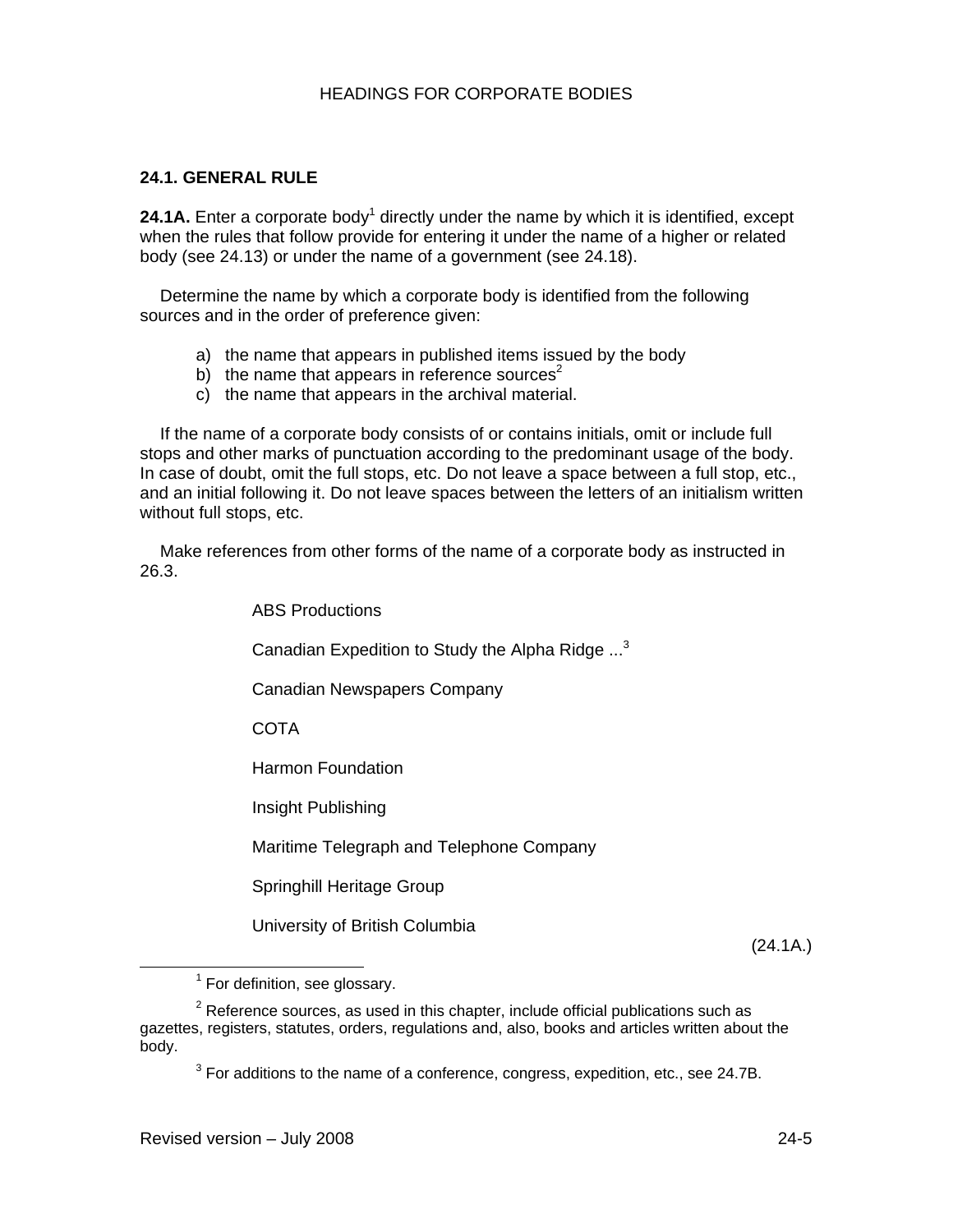## **24.1. GENERAL RULE**

24.1A. Enter a corporate body<sup>1</sup> directly under the name by which it is identified, except when the rules that follow provide for entering it under the name of a higher or related body (see 24.13) or under the name of a government (see 24.18).

Determine the name by which a corporate body is identified from the following sources and in the order of preference given:

- a) the name that appears in published items issued by the body
- b) the name that appears in reference sources<sup>2</sup>
- c) the name that appears in the archival material.

If the name of a corporate body consists of or contains initials, omit or include full stops and other marks of punctuation according to the predominant usage of the body. In case of doubt, omit the full stops, etc. Do not leave a space between a full stop, etc., and an initial following it. Do not leave spaces between the letters of an initialism written without full stops, etc.

Make references from other forms of the name of a corporate body as instructed in 26.3.

ABS Productions

Canadian Expedition to Study the Alpha Ridge ...<sup>3</sup>

Canadian Newspapers Company

**COTA** 

Harmon Foundation

Insight Publishing

Maritime Telegraph and Telephone Company

Springhill Heritage Group

University of British Columbia

(24.1A.)

 $3$  For additions to the name of a conference, congress, expedition, etc., see 24.7B.

<sup>1</sup>  $<sup>1</sup>$  For definition, see glossary.</sup>

 $2$  Reference sources, as used in this chapter, include official publications such as gazettes, registers, statutes, orders, regulations and, also, books and articles written about the body.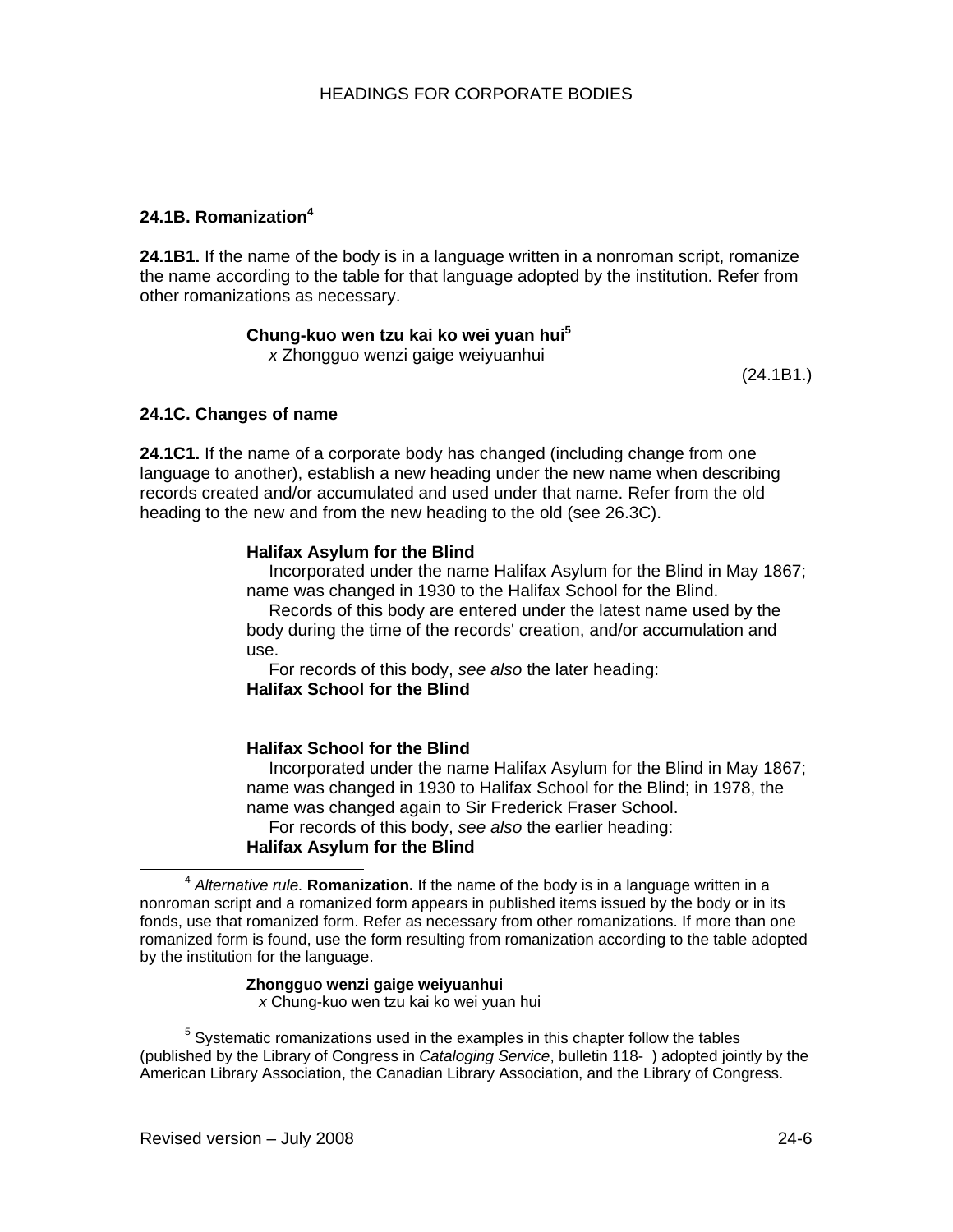# **24.1B. Romanization4**

**24.1B1.** If the name of the body is in a language written in a nonroman script, romanize the name according to the table for that language adopted by the institution. Refer from other romanizations as necessary.

**Chung-kuo wen tzu kai ko wei yuan hui5**

*x* Zhongguo wenzi gaige weiyuanhui

(24.1B1.)

### **24.1C. Changes of name**

**24.1C1.** If the name of a corporate body has changed (including change from one language to another), establish a new heading under the new name when describing records created and/or accumulated and used under that name. Refer from the old heading to the new and from the new heading to the old (see 26.3C).

### **Halifax Asylum for the Blind**

Incorporated under the name Halifax Asylum for the Blind in May 1867; name was changed in 1930 to the Halifax School for the Blind.

Records of this body are entered under the latest name used by the body during the time of the records' creation, and/or accumulation and use.

For records of this body, *see also* the later heading: **Halifax School for the Blind** 

#### **Halifax School for the Blind**

Incorporated under the name Halifax Asylum for the Blind in May 1867; name was changed in 1930 to Halifax School for the Blind; in 1978, the name was changed again to Sir Frederick Fraser School.

For records of this body, *see also* the earlier heading:

# **Halifax Asylum for the Blind**

#### **Zhongguo wenzi gaige weiyuanhui**

*x* Chung-kuo wen tzu kai ko wei yuan hui

 $<sup>5</sup>$  Systematic romanizations used in the examples in this chapter follow the tables</sup> (published by the Library of Congress in *Cataloging Service*, bulletin 118- ) adopted jointly by the American Library Association, the Canadian Library Association, and the Library of Congress.

<sup>4</sup> *Alternative rule.* **Romanization.** If the name of the body is in a language written in a nonroman script and a romanized form appears in published items issued by the body or in its fonds, use that romanized form. Refer as necessary from other romanizations. If more than one romanized form is found, use the form resulting from romanization according to the table adopted by the institution for the language.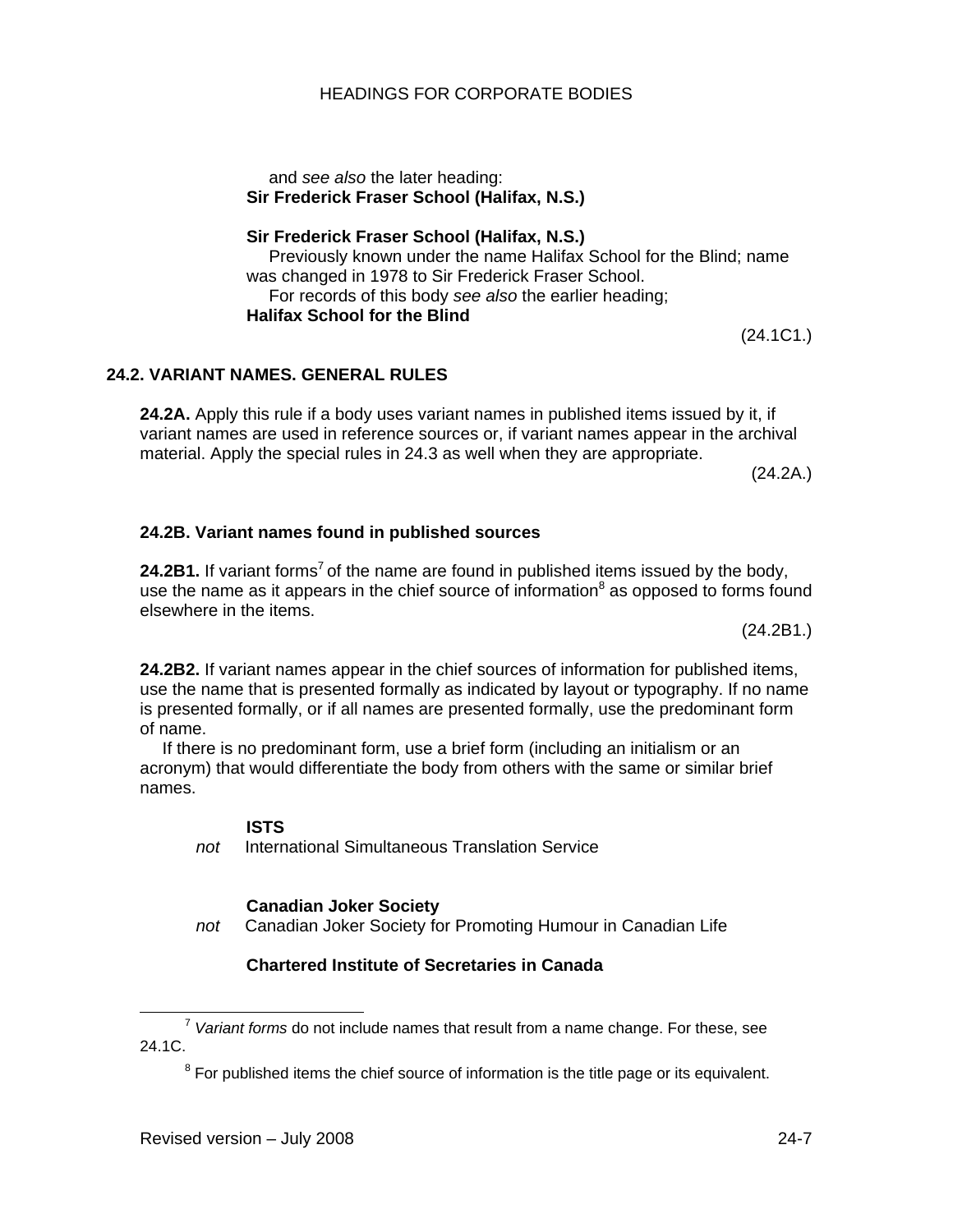and *see also* the later heading: **Sir Frederick Fraser School (Halifax, N.S.)**

**Sir Frederick Fraser School (Halifax, N.S.)**  Previously known under the name Halifax School for the Blind; name was changed in 1978 to Sir Frederick Fraser School. For records of this body *see also* the earlier heading; **Halifax School for the Blind** 

# **24.2. VARIANT NAMES. GENERAL RULES**

**24.2A.** Apply this rule if a body uses variant names in published items issued by it, if variant names are used in reference sources or, if variant names appear in the archival material. Apply the special rules in 24.3 as well when they are appropriate.

(24.2A.)

### **24.2B. Variant names found in published sources**

**24.2B1.** If variant forms<sup>7</sup> of the name are found in published items issued by the body, use the name as it appears in the chief source of information $^8$  as opposed to forms found elsewhere in the items.

(24.2B1.)

**24.2B2.** If variant names appear in the chief sources of information for published items, use the name that is presented formally as indicated by layout or typography. If no name is presented formally, or if all names are presented formally, use the predominant form of name.

If there is no predominant form, use a brief form (including an initialism or an acronym) that would differentiate the body from others with the same or similar brief names.

#### **ISTS**

*not* International Simultaneous Translation Service

#### **Canadian Joker Society**

*not* Canadian Joker Society for Promoting Humour in Canadian Life

#### **Chartered Institute of Secretaries in Canada**

(24.1C1.)

<sup>7</sup> *Variant forms* do not include names that result from a name change. For these, see 24.1C.

 $8$  For published items the chief source of information is the title page or its equivalent.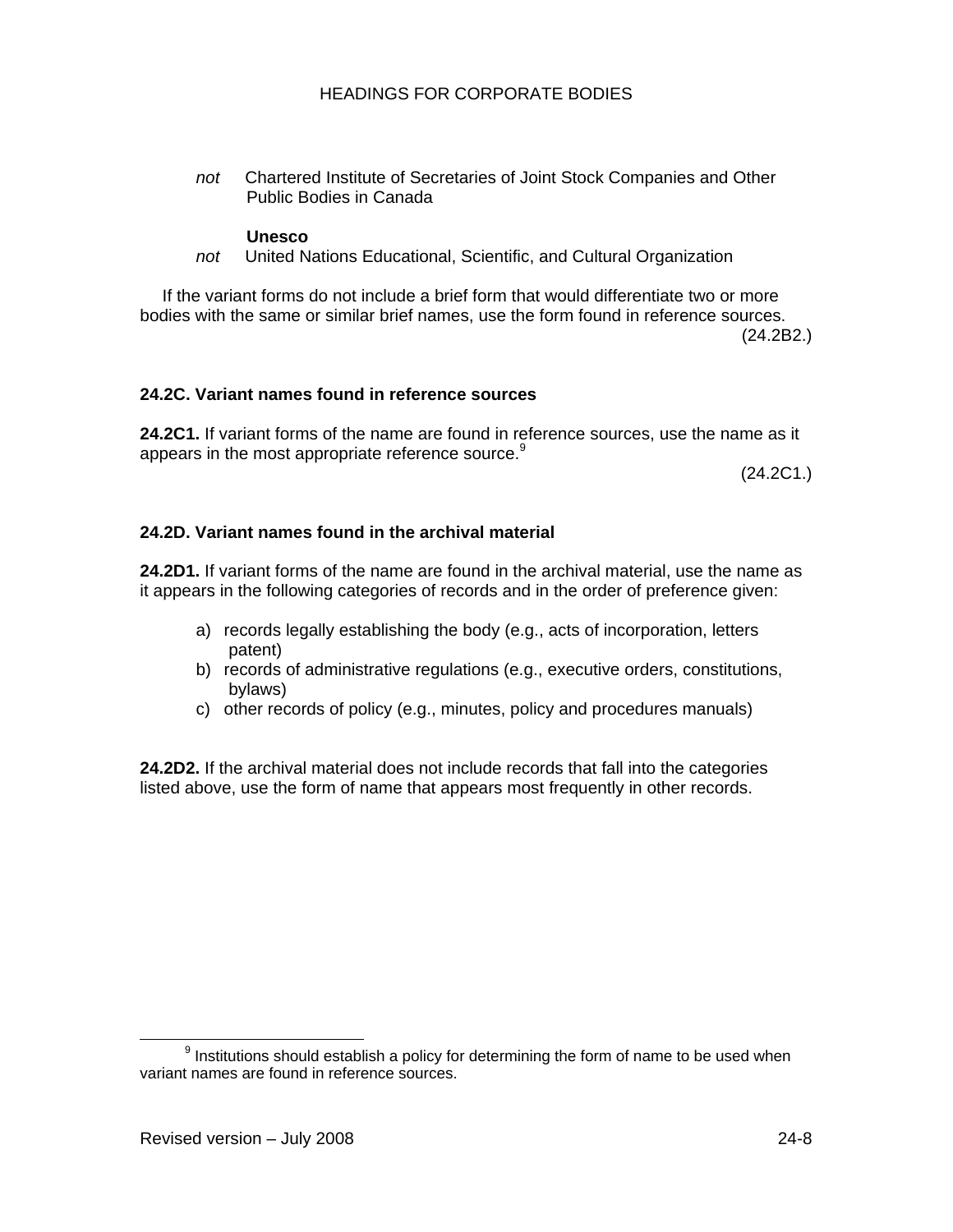*not* Chartered Institute of Secretaries of Joint Stock Companies and Other Public Bodies in Canada

#### **Unesco**

*not* United Nations Educational, Scientific, and Cultural Organization

If the variant forms do not include a brief form that would differentiate two or more bodies with the same or similar brief names, use the form found in reference sources.

(24.2B2.)

### **24.2C. Variant names found in reference sources**

**24.2C1.** If variant forms of the name are found in reference sources, use the name as it appears in the most appropriate reference source.<sup>9</sup>

(24.2C1.)

# **24.2D. Variant names found in the archival material**

**24.2D1.** If variant forms of the name are found in the archival material, use the name as it appears in the following categories of records and in the order of preference given:

- a) records legally establishing the body (e.g., acts of incorporation, letters patent)
- b) records of administrative regulations (e.g., executive orders, constitutions, bylaws)
- c) other records of policy (e.g., minutes, policy and procedures manuals)

**24.2D2.** If the archival material does not include records that fall into the categories listed above, use the form of name that appears most frequently in other records.

<sup>9</sup>  $9$  Institutions should establish a policy for determining the form of name to be used when variant names are found in reference sources.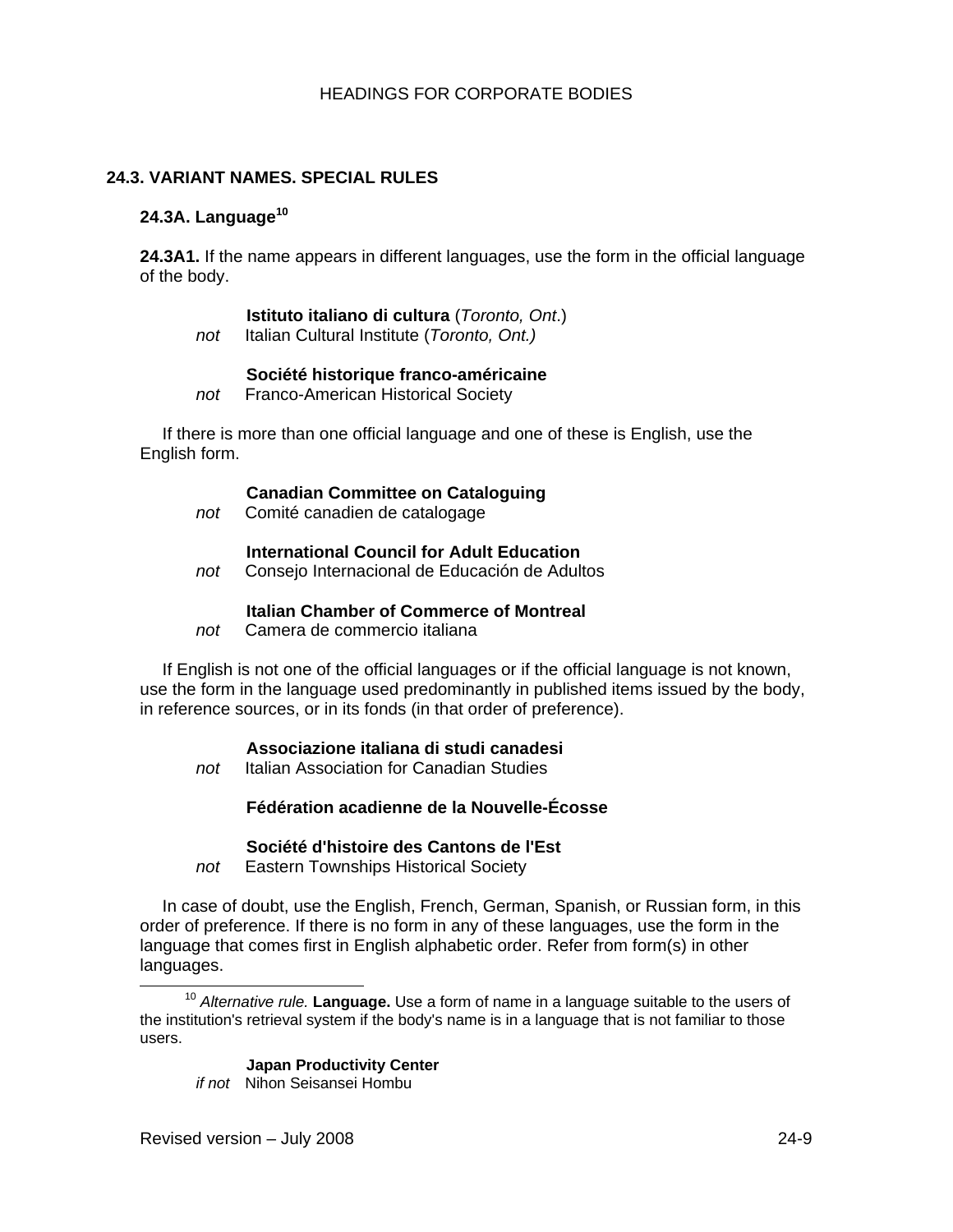# **24.3. VARIANT NAMES. SPECIAL RULES**

#### **24.3A. Language<sup>10</sup>**

**24.3A1.** If the name appears in different languages, use the form in the official language of the body.

#### **Istituto italiano di cultura** (*Toronto, Ont*.)

*not* Italian Cultural Institute (*Toronto, Ont.)*

#### **Société historique franco-américaine**

*not* Franco-American Historical Society

If there is more than one official language and one of these is English, use the English form.

#### **Canadian Committee on Cataloguing**

*not* Comité canadien de catalogage

#### **International Council for Adult Education**

*not* Consejo Internacional de Educación de Adultos

#### **Italian Chamber of Commerce of Montreal**

*not* Camera de commercio italiana

If English is not one of the official languages or if the official language is not known, use the form in the language used predominantly in published items issued by the body, in reference sources, or in its fonds (in that order of preference).

#### **Associazione italiana di studi canadesi**

*not* Italian Association for Canadian Studies

# **Fédération acadienne de la Nouvelle-Écosse**

#### **Société d'histoire des Cantons de l'Est**

*not* Eastern Townships Historical Society

In case of doubt, use the English, French, German, Spanish, or Russian form, in this order of preference. If there is no form in any of these languages, use the form in the language that comes first in English alphabetic order. Refer from form(s) in other languages.

#### **Japan Productivity Center**

*if not* Nihon Seisansei Hombu

<sup>10</sup> *Alternative rule.* **Language.** Use a form of name in a language suitable to the users of the institution's retrieval system if the body's name is in a language that is not familiar to those users.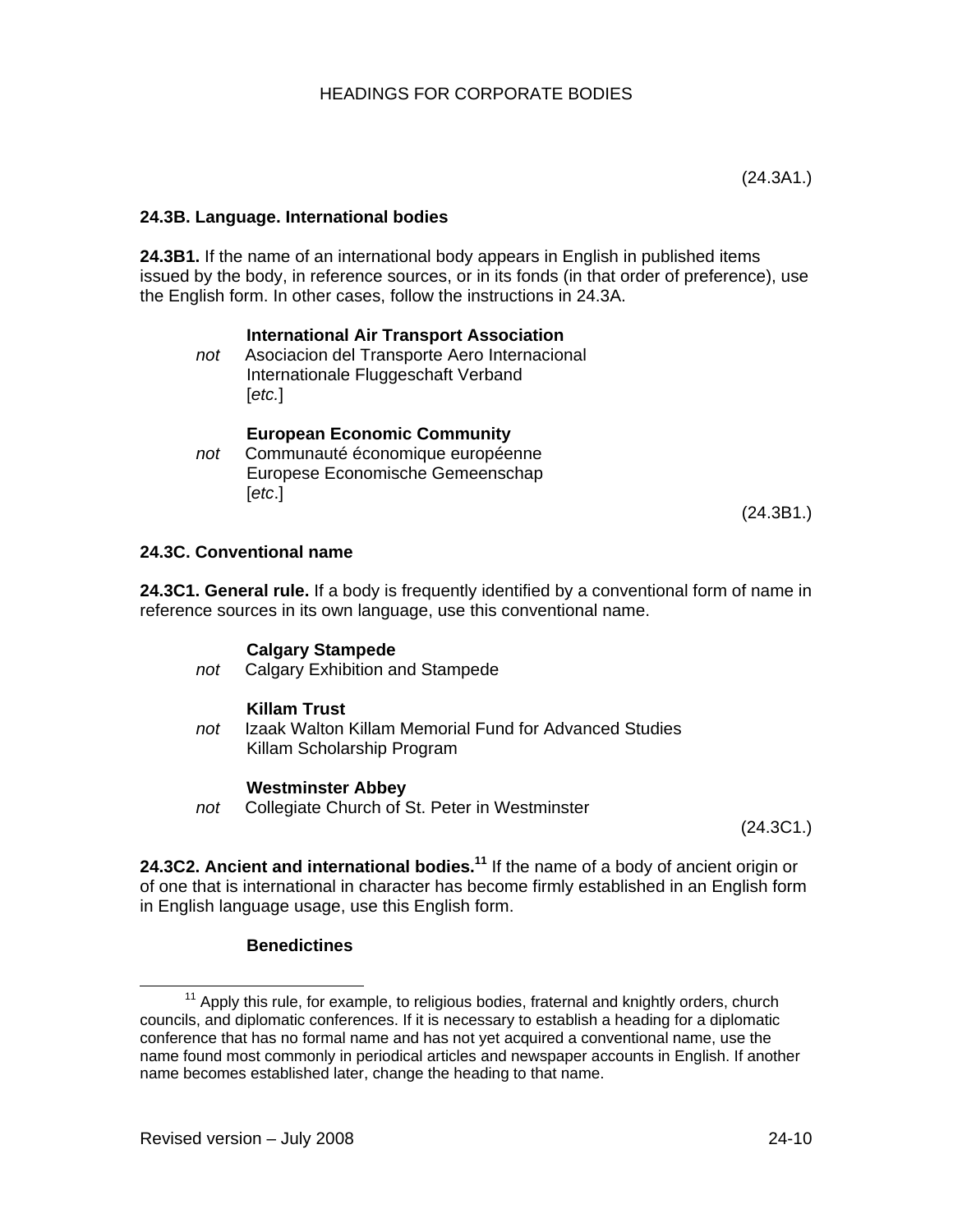# **24.3B. Language. International bodies**

**24.3B1.** If the name of an international body appears in English in published items issued by the body, in reference sources, or in its fonds (in that order of preference), use the English form. In other cases, follow the instructions in 24.3A.

#### **International Air Transport Association**

*not* Asociacion del Transporte Aero Internacional Internationale Fluggeschaft Verband [*etc.*]

#### **European Economic Community**

*not* Communauté économique européenne Europese Economische Gemeenschap [*etc*.]

(24.3B1.)

### **24.3C. Conventional name**

**24.3C1. General rule.** If a body is frequently identified by a conventional form of name in reference sources in its own language, use this conventional name.

#### **Calgary Stampede**

*not* Calgary Exhibition and Stampede

#### **Killam Trust**

*not* Izaak Walton Killam Memorial Fund for Advanced Studies Killam Scholarship Program

#### **Westminster Abbey**

*not* Collegiate Church of St. Peter in Westminster

(24.3C1.)

24.3C2. Ancient and international bodies.<sup>11</sup> If the name of a body of ancient origin or of one that is international in character has become firmly established in an English form in English language usage, use this English form.

#### **Benedictines**

<sup>&</sup>lt;sup>11</sup> Apply this rule, for example, to religious bodies, fraternal and knightly orders, church councils, and diplomatic conferences. If it is necessary to establish a heading for a diplomatic conference that has no formal name and has not yet acquired a conventional name, use the name found most commonly in periodical articles and newspaper accounts in English. If another name becomes established later, change the heading to that name.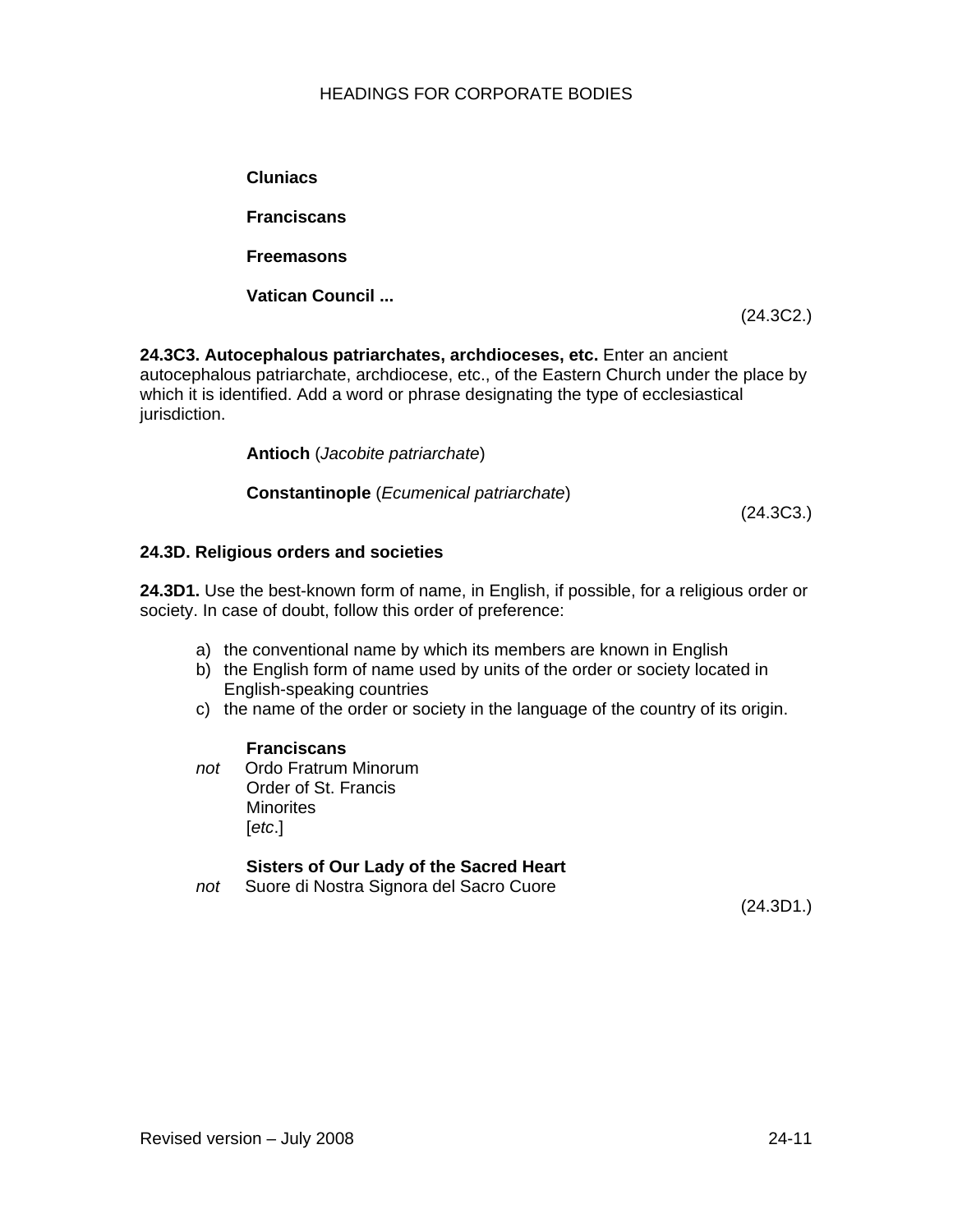**Cluniacs Franciscans Freemasons Vatican Council ...**

**24.3C3. Autocephalous patriarchates, archdioceses, etc.** Enter an ancient autocephalous patriarchate, archdiocese, etc., of the Eastern Church under the place by which it is identified. Add a word or phrase designating the type of ecclesiastical jurisdiction.

**Antioch** (*Jacobite patriarchate*)

**Constantinople** (*Ecumenical patriarchate*)

(24.3C3.)

(24.3C2.)

### **24.3D. Religious orders and societies**

**24.3D1.** Use the best-known form of name, in English, if possible, for a religious order or society. In case of doubt, follow this order of preference:

- a) the conventional name by which its members are known in English
- b) the English form of name used by units of the order or society located in English-speaking countries
- c) the name of the order or society in the language of the country of its origin.

#### **Franciscans**

*not* Ordo Fratrum Minorum Order of St. Francis **Minorites** [*etc*.]

# **Sisters of Our Lady of the Sacred Heart**

*not* Suore di Nostra Signora del Sacro Cuore

(24.3D1.)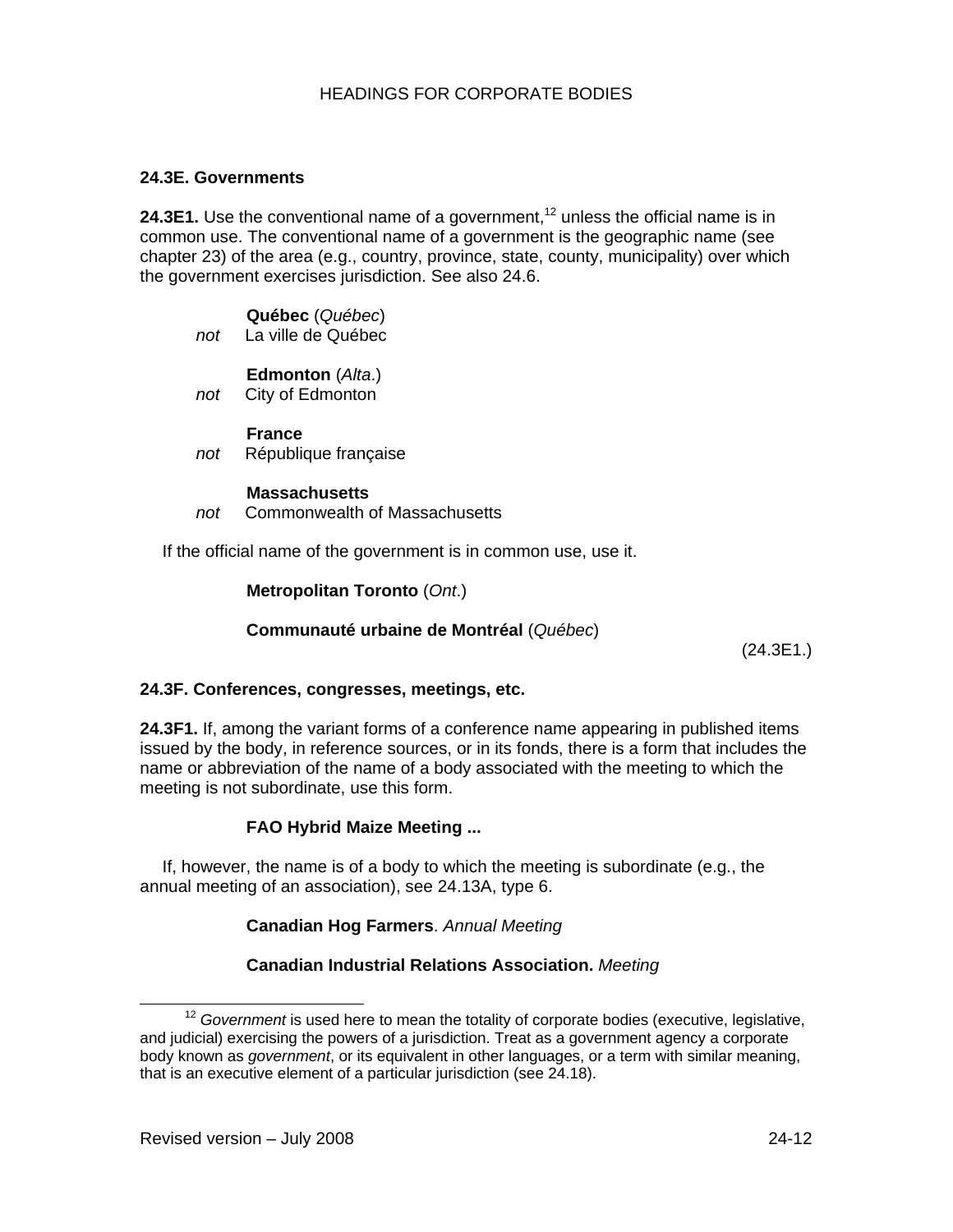## **24.3E. Governments**

**24.3E1.** Use the conventional name of a government.<sup>12</sup> unless the official name is in common use. The conventional name of a government is the geographic name (see chapter 23) of the area (e.g., country, province, state, county, municipality) over which the government exercises jurisdiction. See also 24.6.

|     | Québec (Québec)    |
|-----|--------------------|
| not | La ville de Québec |

#### **Edmonton** (*Alta*.)

*not* City of Edmonton

#### **France**

*not* République française

#### **Massachusetts**

*not* Commonwealth of Massachusetts

If the official name of the government is in common use, use it.

**Metropolitan Toronto** (*Ont*.)

#### **Communauté urbaine de Montréal** (*Québec*)

(24.3E1.)

#### **24.3F. Conferences, congresses, meetings, etc.**

**24.3F1.** If, among the variant forms of a conference name appearing in published items issued by the body, in reference sources, or in its fonds, there is a form that includes the name or abbreviation of the name of a body associated with the meeting to which the meeting is not subordinate, use this form.

#### **FAO Hybrid Maize Meeting ...**

If, however, the name is of a body to which the meeting is subordinate (e.g., the annual meeting of an association), see 24.13A, type 6.

#### **Canadian Hog Farmers**. *Annual Meeting*

#### **Canadian Industrial Relations Association.** *Meeting*

<sup>&</sup>lt;sup>12</sup> Government is used here to mean the totality of corporate bodies (executive, legislative, and judicial) exercising the powers of a jurisdiction. Treat as a government agency a corporate body known as *government*, or its equivalent in other languages, or a term with similar meaning, that is an executive element of a particular jurisdiction (see 24.18).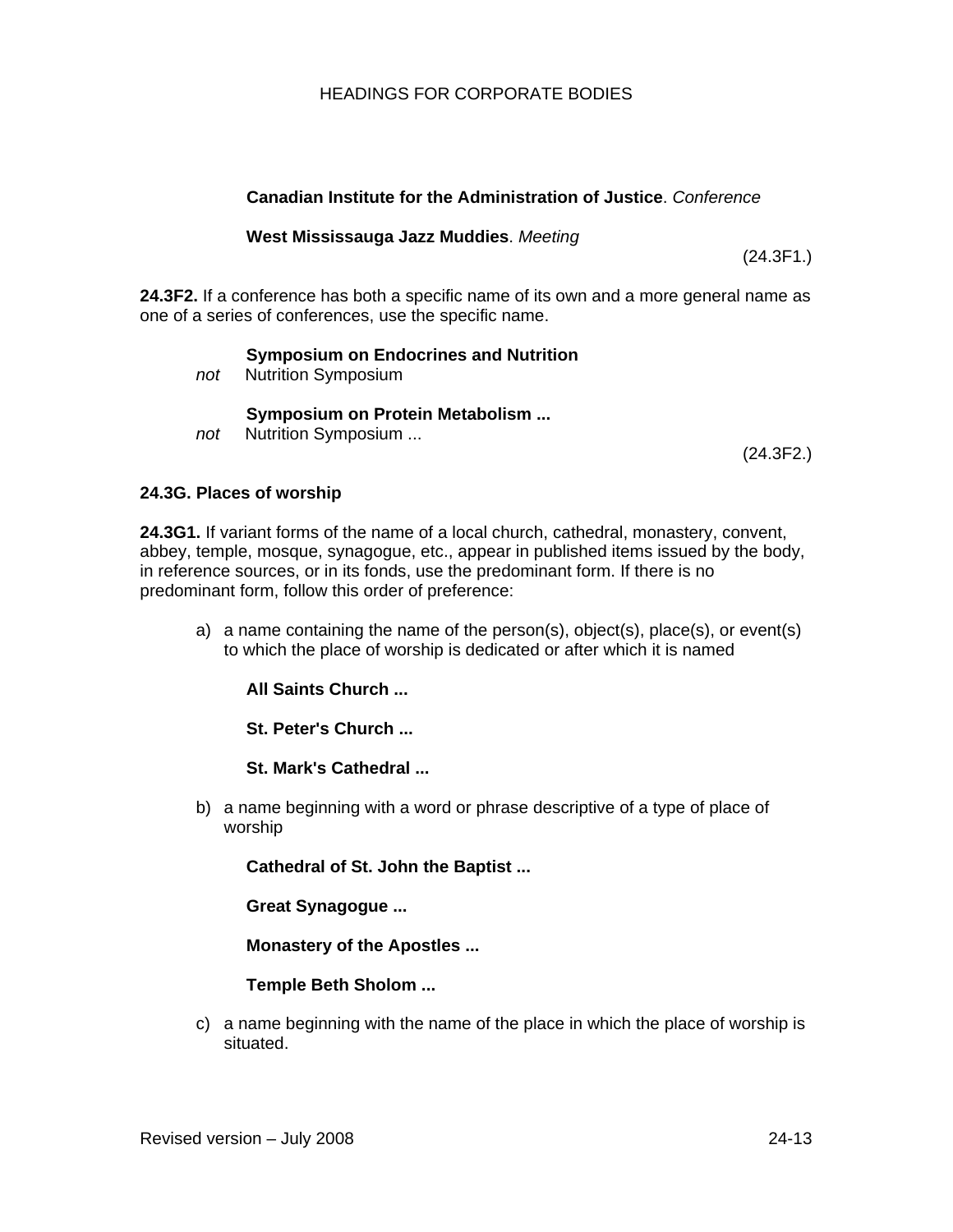## **Canadian Institute for the Administration of Justice**. *Conference*

#### **West Mississauga Jazz Muddies**. *Meeting*

(24.3F1.)

**24.3F2.** If a conference has both a specific name of its own and a more general name as one of a series of conferences, use the specific name.

#### **Symposium on Endocrines and Nutrition**

*not* Nutrition Symposium

#### **Symposium on Protein Metabolism ...**

*not* Nutrition Symposium ...

(24.3F2.)

#### **24.3G. Places of worship**

**24.3G1.** If variant forms of the name of a local church, cathedral, monastery, convent, abbey, temple, mosque, synagogue, etc., appear in published items issued by the body, in reference sources, or in its fonds, use the predominant form. If there is no predominant form, follow this order of preference:

a) a name containing the name of the person(s), object(s), place(s), or event(s) to which the place of worship is dedicated or after which it is named

**All Saints Church ...** 

**St. Peter's Church ...** 

**St. Mark's Cathedral ...**

b) a name beginning with a word or phrase descriptive of a type of place of worship

**Cathedral of St. John the Baptist ...** 

**Great Synagogue ...** 

**Monastery of the Apostles ...** 

**Temple Beth Sholom ...** 

c) a name beginning with the name of the place in which the place of worship is situated.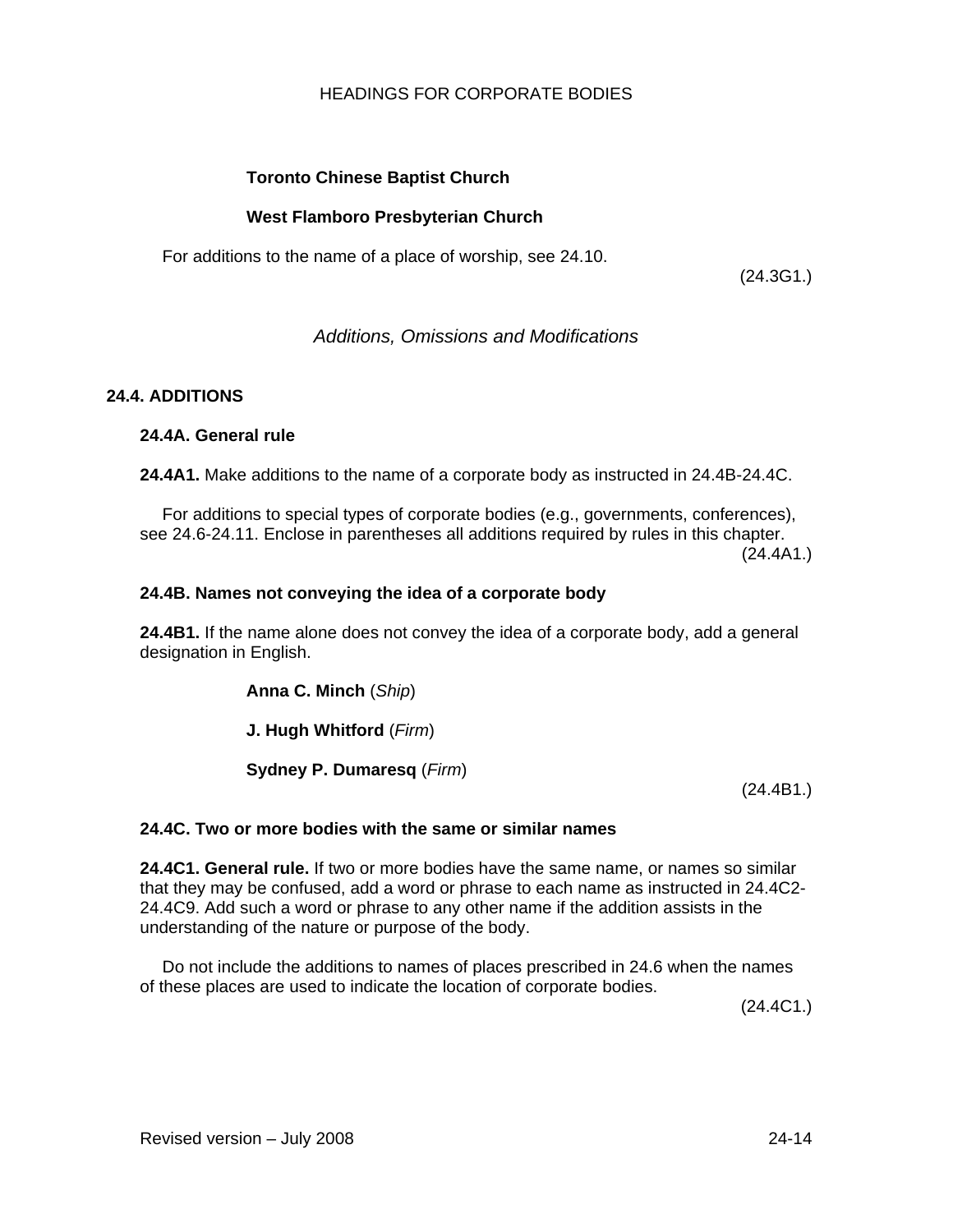# **Toronto Chinese Baptist Church**

# **West Flamboro Presbyterian Church**

For additions to the name of a place of worship, see 24.10.

(24.3G1.)

*Additions, Omissions and Modifications* 

# **24.4. ADDITIONS**

# **24.4A. General rule**

**24.4A1.** Make additions to the name of a corporate body as instructed in 24.4B-24.4C.

For additions to special types of corporate bodies (e.g., governments, conferences), see 24.6-24.11. Enclose in parentheses all additions required by rules in this chapter. (24.4A1.)

### **24.4B. Names not conveying the idea of a corporate body**

**24.4B1.** If the name alone does not convey the idea of a corporate body, add a general designation in English.

**Anna C. Minch** (*Ship*)

**J. Hugh Whitford** (*Firm*)

**Sydney P. Dumaresq** (*Firm*)

(24.4B1.)

# **24.4C. Two or more bodies with the same or similar names**

**24.4C1. General rule.** If two or more bodies have the same name, or names so similar that they may be confused, add a word or phrase to each name as instructed in 24.4C2- 24.4C9. Add such a word or phrase to any other name if the addition assists in the understanding of the nature or purpose of the body.

Do not include the additions to names of places prescribed in 24.6 when the names of these places are used to indicate the location of corporate bodies.

(24.4C1.)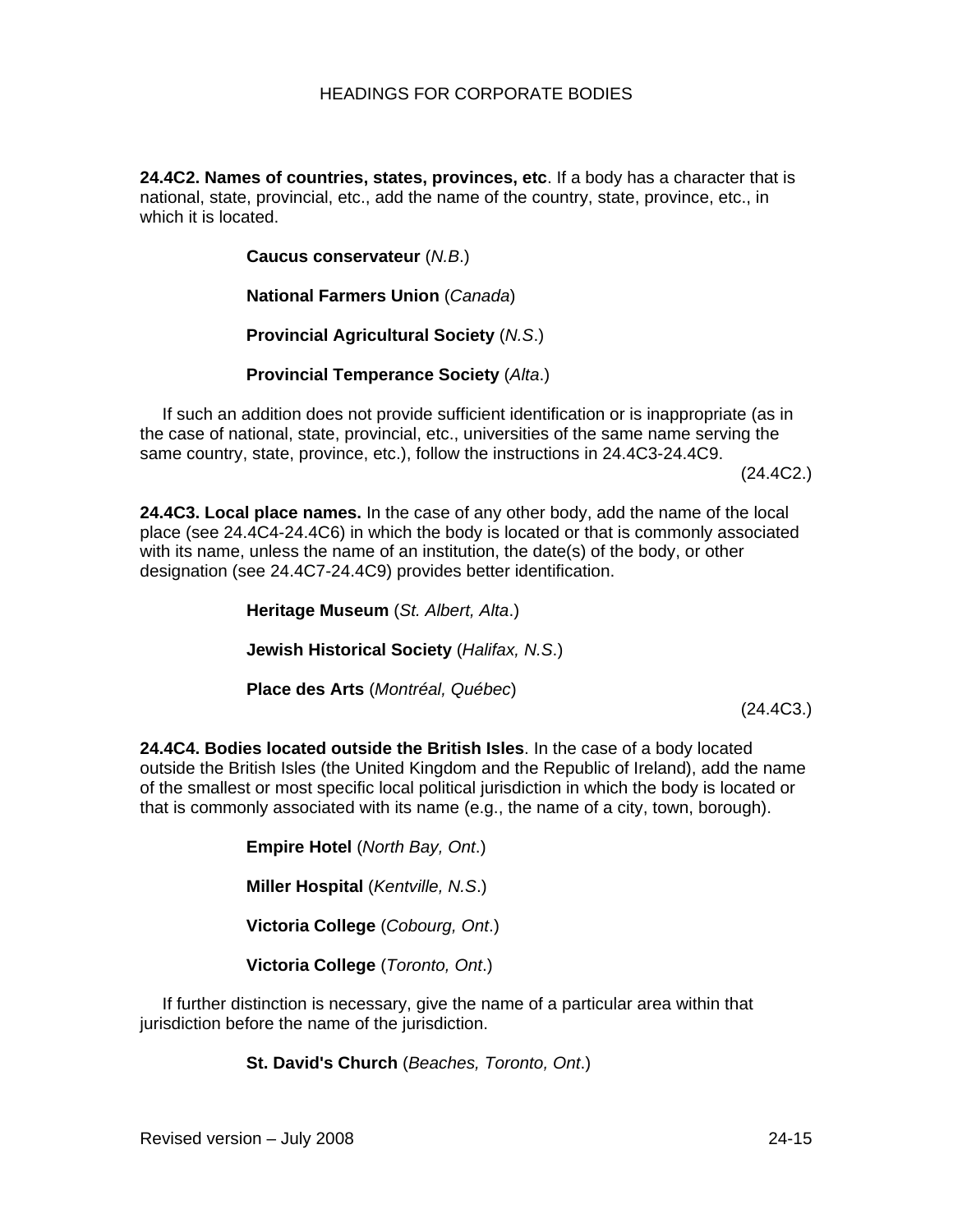**24.4C2. Names of countries, states, provinces, etc**. If a body has a character that is national, state, provincial, etc., add the name of the country, state, province, etc., in which it is located.

**Caucus conservateur** (*N.B*.)

**National Farmers Union** (*Canada*)

**Provincial Agricultural Society** (*N.S*.)

**Provincial Temperance Society** (*Alta*.)

If such an addition does not provide sufficient identification or is inappropriate (as in the case of national, state, provincial, etc., universities of the same name serving the same country, state, province, etc.), follow the instructions in 24.4C3-24.4C9.

(24.4C2.)

**24.4C3. Local place names.** In the case of any other body, add the name of the local place (see 24.4C4-24.4C6) in which the body is located or that is commonly associated with its name, unless the name of an institution, the date(s) of the body, or other designation (see 24.4C7-24.4C9) provides better identification.

**Heritage Museum** (*St. Albert, Alta*.)

**Jewish Historical Society** (*Halifax, N.S*.)

**Place des Arts** (*Montréal, Québec*)

(24.4C3.)

**24.4C4. Bodies located outside the British Isles**. In the case of a body located outside the British Isles (the United Kingdom and the Republic of Ireland), add the name of the smallest or most specific local political jurisdiction in which the body is located or that is commonly associated with its name (e.g., the name of a city, town, borough).

**Empire Hotel** (*North Bay, Ont*.)

**Miller Hospital** (*Kentville, N.S*.)

**Victoria College** (*Cobourg, Ont*.)

**Victoria College** (*Toronto, Ont*.)

If further distinction is necessary, give the name of a particular area within that jurisdiction before the name of the jurisdiction.

**St. David's Church** (*Beaches, Toronto, Ont*.)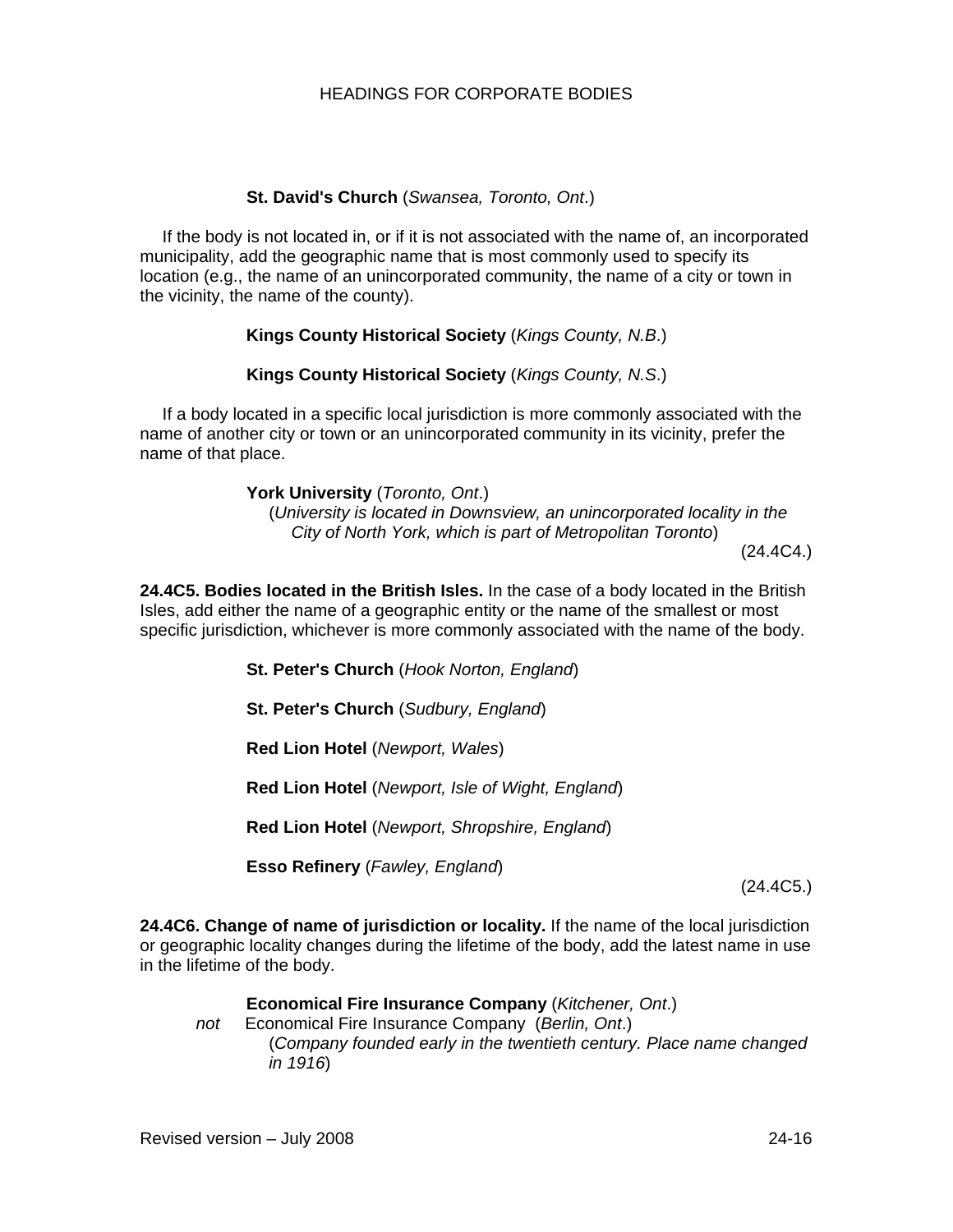# **St. David's Church** (*Swansea, Toronto, Ont*.)

If the body is not located in, or if it is not associated with the name of, an incorporated municipality, add the geographic name that is most commonly used to specify its location (e.g., the name of an unincorporated community, the name of a city or town in the vicinity, the name of the county).

### **Kings County Historical Society** (*Kings County, N.B*.)

### **Kings County Historical Society** (*Kings County, N.S*.)

If a body located in a specific local jurisdiction is more commonly associated with the name of another city or town or an unincorporated community in its vicinity, prefer the name of that place.

> **York University** (*Toronto, Ont*.) (*University is located in Downsview, an unincorporated locality in the City of North York, which is part of Metropolitan Toronto*) (24.4C4.)

**24.4C5. Bodies located in the British Isles.** In the case of a body located in the British Isles, add either the name of a geographic entity or the name of the smallest or most specific jurisdiction, whichever is more commonly associated with the name of the body.

**St. Peter's Church** (*Hook Norton, England*)

**St. Peter's Church** (*Sudbury, England*)

**Red Lion Hotel** (*Newport, Wales*)

**Red Lion Hotel** (*Newport, Isle of Wight, England*)

**Red Lion Hotel** (*Newport, Shropshire, England*)

**Esso Refinery** (*Fawley, England*)

(24.4C5.)

**24.4C6. Change of name of jurisdiction or locality.** If the name of the local jurisdiction or geographic locality changes during the lifetime of the body, add the latest name in use in the lifetime of the body.

**Economical Fire Insurance Company** (*Kitchener, Ont*.) *not* Economical Fire Insurance Company (*Berlin, Ont*.) (*Company founded early in the twentieth century. Place name changed in 1916*)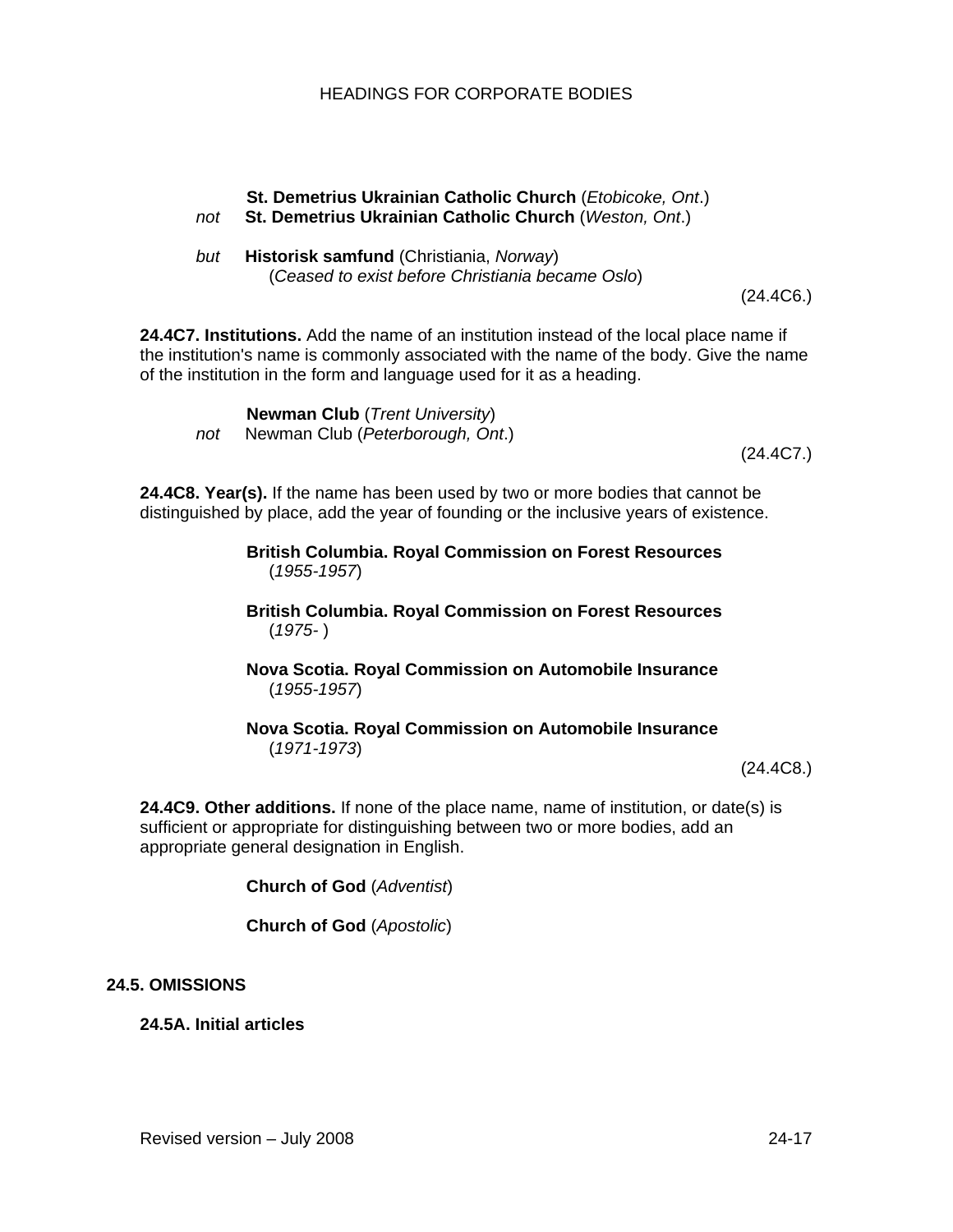# **St. Demetrius Ukrainian Catholic Church** (*Etobicoke, Ont*.) *not* **St. Demetrius Ukrainian Catholic Church** (*Weston, Ont*.)

*but* **Historisk samfund** (Christiania, *Norway*) (*Ceased to exist before Christiania became Oslo*)

(24.4C6.)

**24.4C7. Institutions.** Add the name of an institution instead of the local place name if the institution's name is commonly associated with the name of the body. Give the name of the institution in the form and language used for it as a heading.

**Newman Club** (*Trent University*)

*not* Newman Club (*Peterborough, Ont*.)

(24.4C7.)

**24.4C8. Year(s).** If the name has been used by two or more bodies that cannot be distinguished by place, add the year of founding or the inclusive years of existence.

> **British Columbia. Royal Commission on Forest Resources**  (*1955-1957*)

> **British Columbia. Royal Commission on Forest Resources**  (*1975-* )

> **Nova Scotia. Royal Commission on Automobile Insurance**  (*1955-1957*)

# **Nova Scotia. Royal Commission on Automobile Insurance**  (*1971-1973*)

(24.4C8.)

**24.4C9. Other additions.** If none of the place name, name of institution, or date(s) is sufficient or appropriate for distinguishing between two or more bodies, add an appropriate general designation in English.

**Church of God** (*Adventist*)

**Church of God** (*Apostolic*)

# **24.5. OMISSIONS**

**24.5A. Initial articles**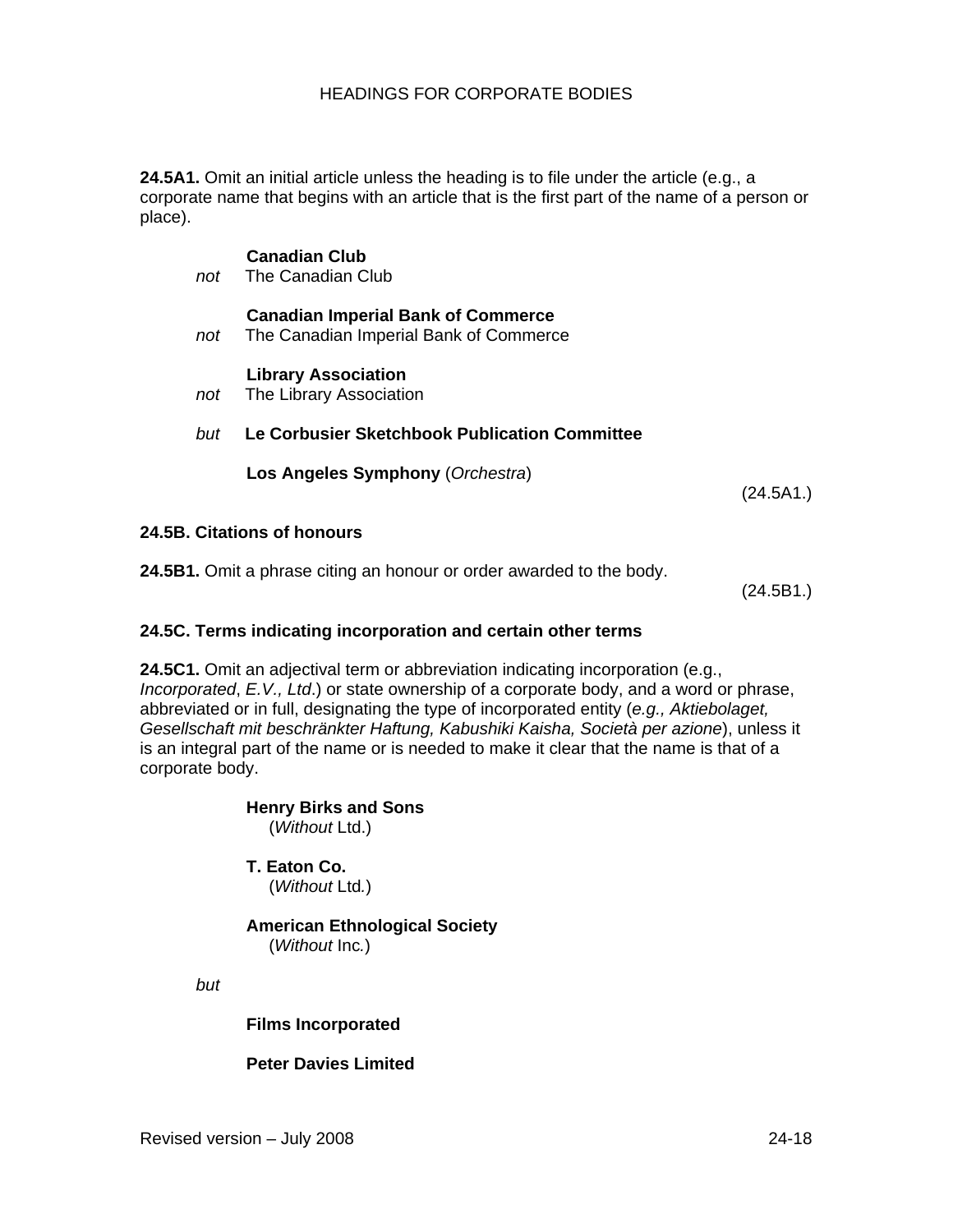**24.5A1.** Omit an initial article unless the heading is to file under the article (e.g., a corporate name that begins with an article that is the first part of the name of a person or place).

# **Canadian Imperial Bank of Commerce**

*not* The Canadian Imperial Bank of Commerce

### **Library Association**

*not* The Library Association

**Canadian Club**  *not* The Canadian Club

*but* **Le Corbusier Sketchbook Publication Committee** 

**Los Angeles Symphony** (*Orchestra*)

(24.5A1.)

#### **24.5B. Citations of honours**

**24.5B1.** Omit a phrase citing an honour or order awarded to the body.

(24.5B1.)

#### **24.5C. Terms indicating incorporation and certain other terms**

**24.5C1.** Omit an adjectival term or abbreviation indicating incorporation (e.g., *Incorporated*, *E.V., Ltd*.) or state ownership of a corporate body, and a word or phrase, abbreviated or in full, designating the type of incorporated entity (*e.g., Aktiebolaget, Gesellschaft mit beschränkter Haftung, Kabushiki Kaisha, Società per azione*), unless it is an integral part of the name or is needed to make it clear that the name is that of a corporate body.

#### **Henry Birks and Sons**  (*Without* Ltd.)

**T. Eaton Co.** 

(*Without* Ltd*.*)

# **American Ethnological Society**

(*Without* Inc*.*)

*but* 

# **Films Incorporated**

# **Peter Davies Limited**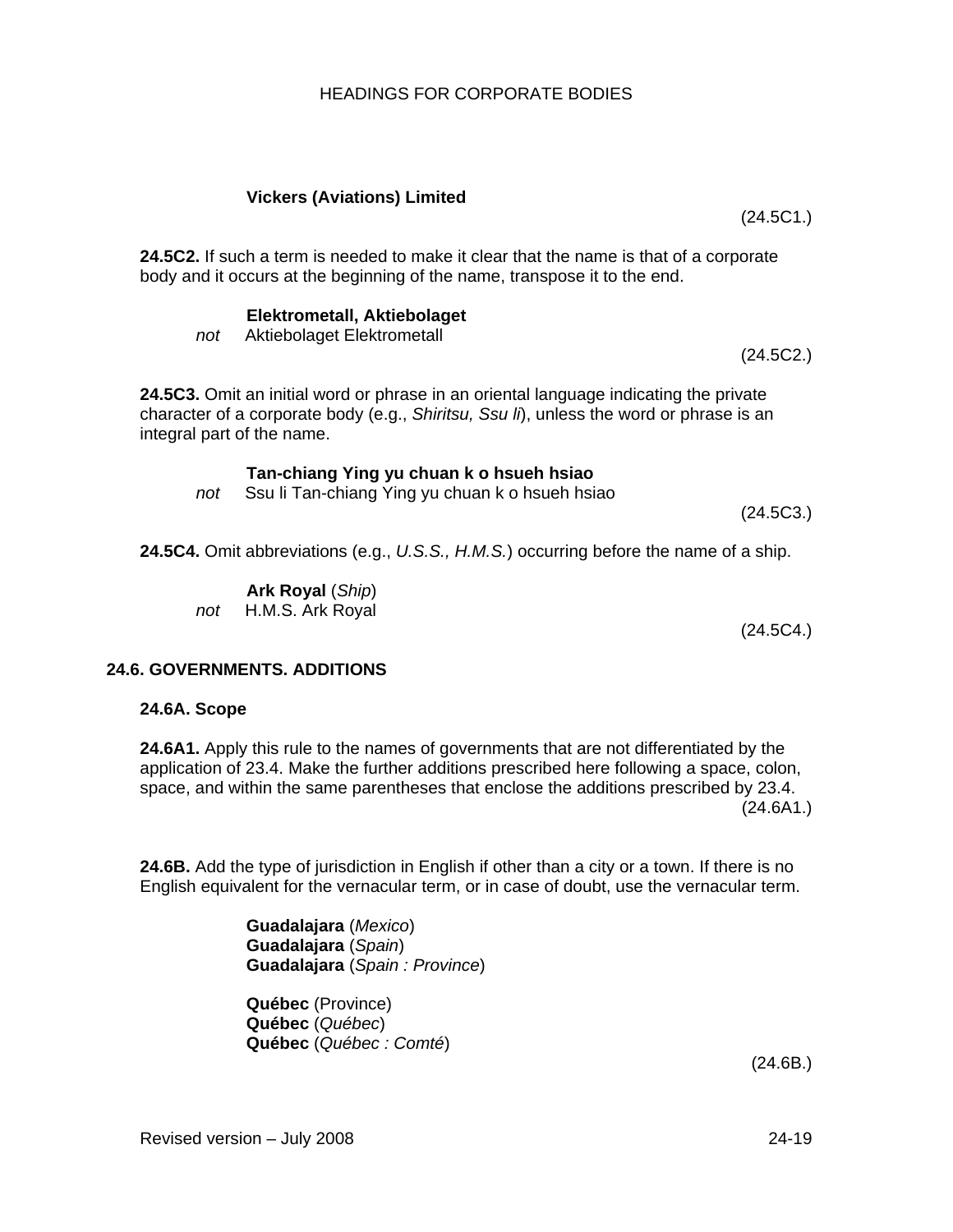# **Vickers (Aviations) Limited**

**24.5C2.** If such a term is needed to make it clear that the name is that of a corporate body and it occurs at the beginning of the name, transpose it to the end.

# **Elektrometall, Aktiebolaget**

*not* Aktiebolaget Elektrometall

**24.5C3.** Omit an initial word or phrase in an oriental language indicating the private character of a corporate body (e.g., *Shiritsu, Ssu li*), unless the word or phrase is an integral part of the name.

# **Tan-chiang Ying yu chuan k o hsueh hsiao**

*not* Ssu li Tan-chiang Ying yu chuan k o hsueh hsiao

**24.5C4.** Omit abbreviations (e.g., *U.S.S., H.M.S.*) occurring before the name of a ship.

**Ark Royal** (*Ship*) *not* H.M.S. Ark Royal

(24.5C4.)

(24.5C3.)

# **24.6. GOVERNMENTS. ADDITIONS**

# **24.6A. Scope**

**24.6A1.** Apply this rule to the names of governments that are not differentiated by the application of 23.4. Make the further additions prescribed here following a space, colon, space, and within the same parentheses that enclose the additions prescribed by 23.4. (24.6A1.)

**24.6B.** Add the type of jurisdiction in English if other than a city or a town. If there is no English equivalent for the vernacular term, or in case of doubt, use the vernacular term.

> **Guadalajara** (*Mexico*) **Guadalajara** (*Spain*) **Guadalajara** (*Spain : Province*)

**Québec** (Province) **Québec** (*Québec*) **Québec** (*Québec : Comté*)

(24.6B.)

(24.5C1.)

(24.5C2.)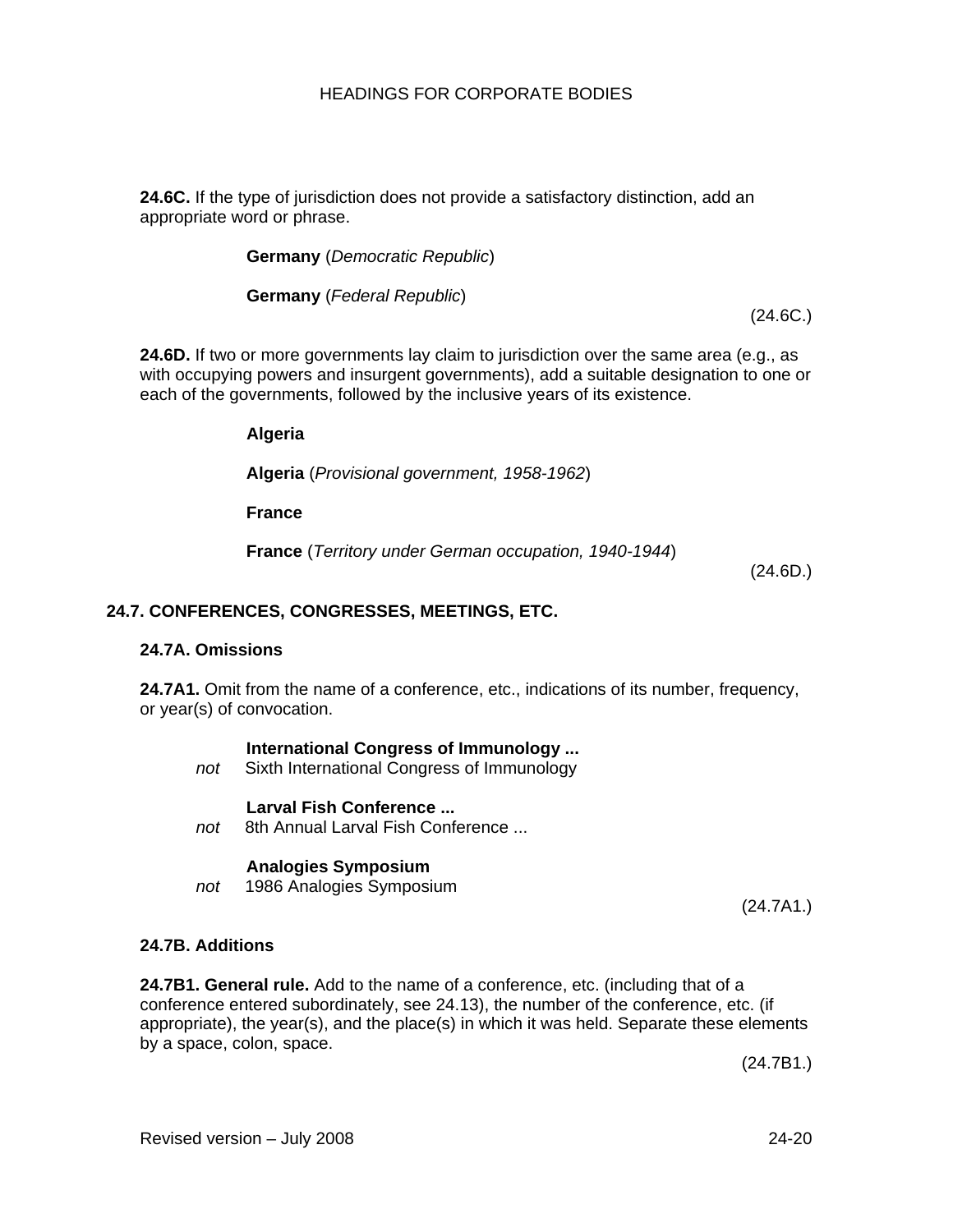**24.6C.** If the type of jurisdiction does not provide a satisfactory distinction, add an appropriate word or phrase.

**Germany** (*Democratic Republic*)

**Germany** (*Federal Republic*)

(24.6C.)

**24.6D.** If two or more governments lay claim to jurisdiction over the same area (e.g., as with occupying powers and insurgent governments), add a suitable designation to one or each of the governments, followed by the inclusive years of its existence.

**Algeria**

**Algeria** (*Provisional government, 1958-1962*)

**France**

**France** (*Territory under German occupation, 1940-1944*)

(24.6D.)

### **24.7. CONFERENCES, CONGRESSES, MEETINGS, ETC.**

#### **24.7A. Omissions**

**24.7A1.** Omit from the name of a conference, etc., indications of its number, frequency, or year(s) of convocation.

#### **International Congress of Immunology ...**

*not* Sixth International Congress of Immunology

#### **Larval Fish Conference ...**

*not* 8th Annual Larval Fish Conference ...

#### **Analogies Symposium**

*not* 1986 Analogies Symposium

(24.7A1.)

#### **24.7B. Additions**

**24.7B1. General rule.** Add to the name of a conference, etc. (including that of a conference entered subordinately, see 24.13), the number of the conference, etc. (if appropriate), the year(s), and the place(s) in which it was held. Separate these elements by a space, colon, space.

(24.7B1.)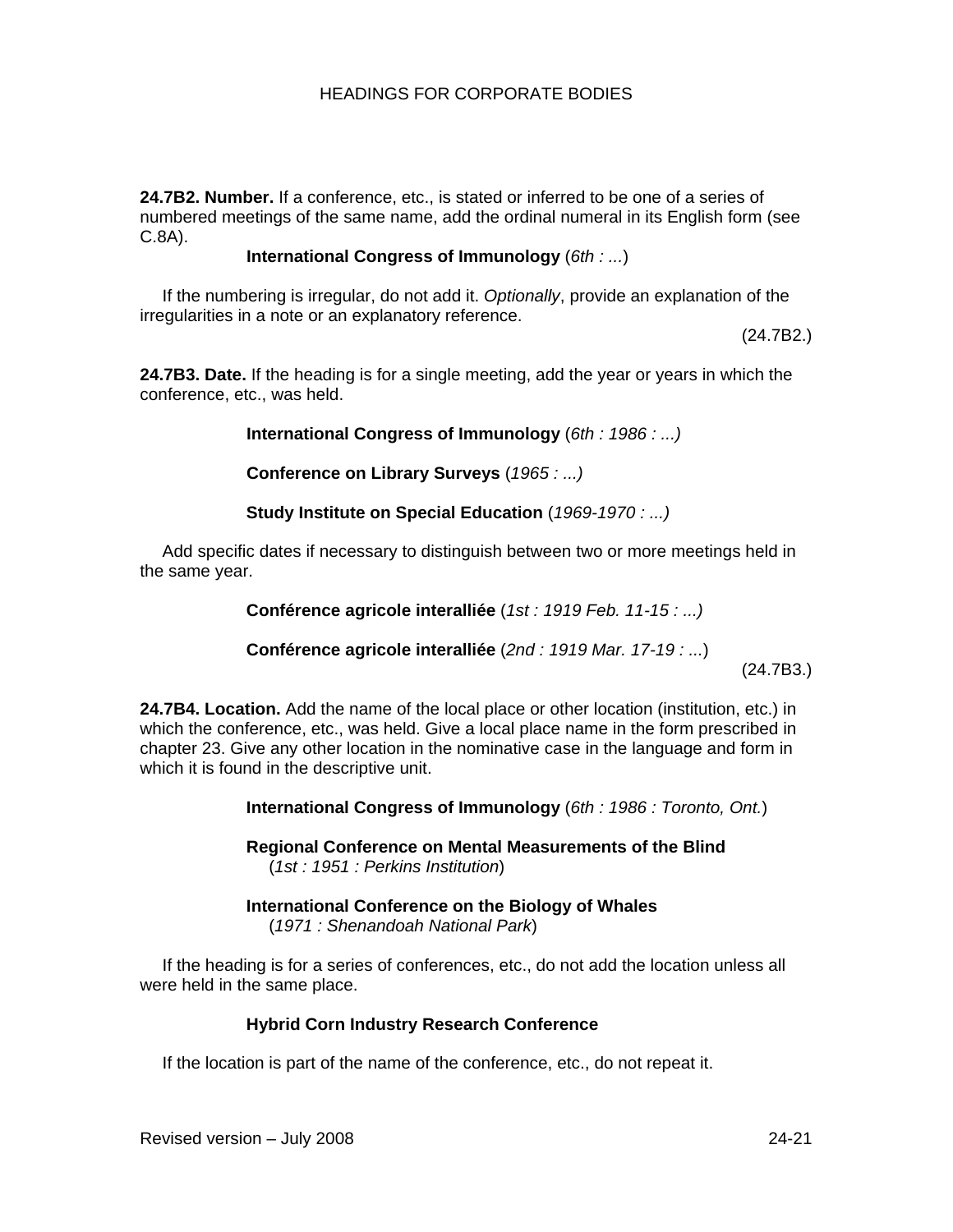**24.7B2. Number.** If a conference, etc., is stated or inferred to be one of a series of numbered meetings of the same name, add the ordinal numeral in its English form (see C.8A).

### **International Congress of Immunology** (*6th : ...*)

If the numbering is irregular, do not add it. *Optionally*, provide an explanation of the irregularities in a note or an explanatory reference.

(24.7B2.)

**24.7B3. Date.** If the heading is for a single meeting, add the year or years in which the conference, etc., was held.

**International Congress of Immunology** (*6th : 1986 : ...)*

**Conference on Library Surveys** (*1965 : ...)*

**Study Institute on Special Education** (*1969-1970 : ...)*

Add specific dates if necessary to distinguish between two or more meetings held in the same year.

**Conférence agricole interalliée** (*1st : 1919 Feb. 11-15 : ...)*

**Conférence agricole interalliée** (*2nd : 1919 Mar. 17-19 : ...*)

(24.7B3.)

**24.7B4. Location.** Add the name of the local place or other location (institution, etc.) in which the conference, etc., was held. Give a local place name in the form prescribed in chapter 23. Give any other location in the nominative case in the language and form in which it is found in the descriptive unit.

**International Congress of Immunology** (*6th : 1986 : Toronto, Ont.*)

**Regional Conference on Mental Measurements of the Blind**  (*1st : 1951 : Perkins Institution*)

**International Conference on the Biology of Whales**  (*1971 : Shenandoah National Park*)

If the heading is for a series of conferences, etc., do not add the location unless all were held in the same place.

# **Hybrid Corn Industry Research Conference**

If the location is part of the name of the conference, etc., do not repeat it.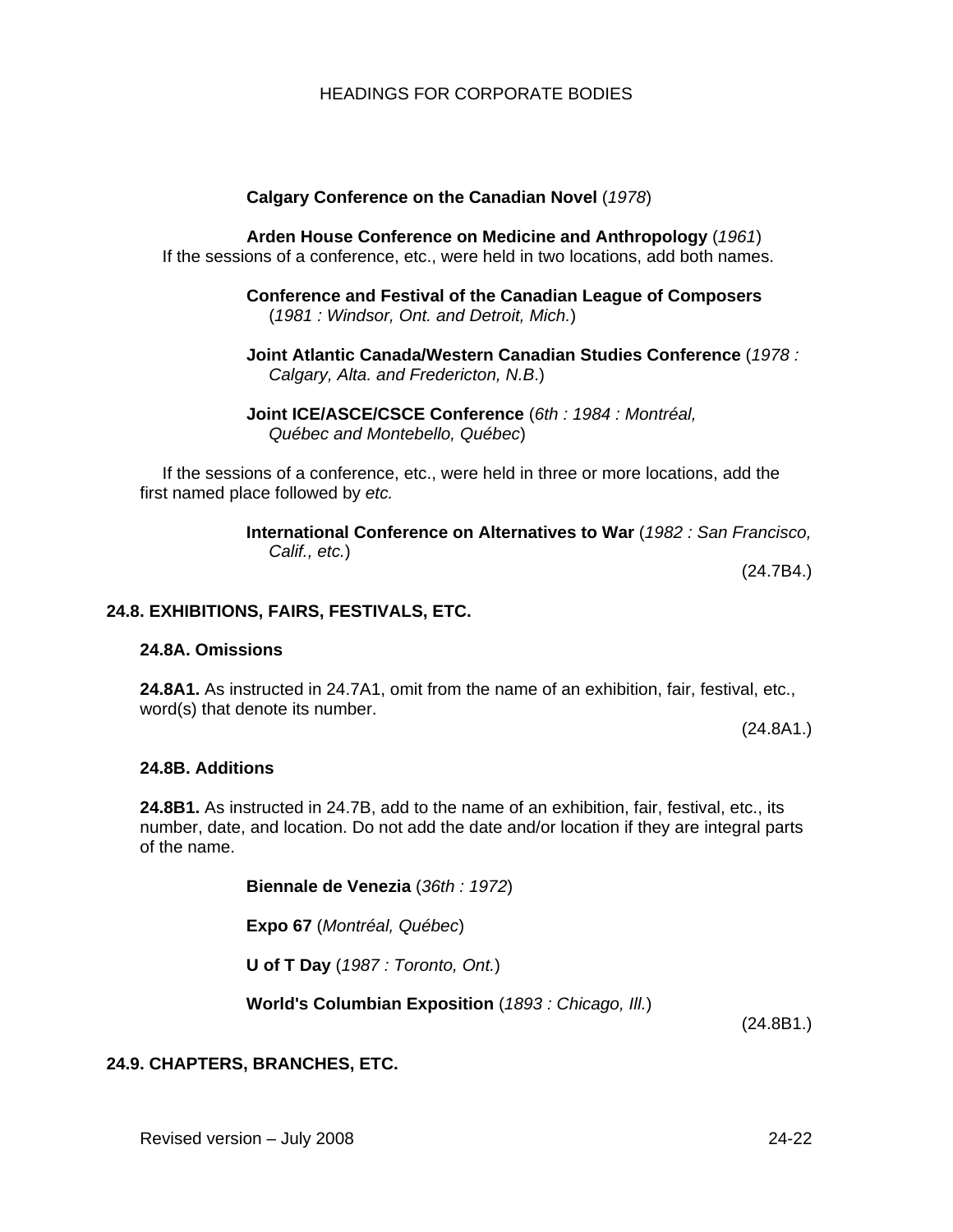### **Calgary Conference on the Canadian Novel** (*1978*)

**Arden House Conference on Medicine and Anthropology** (*1961*) If the sessions of a conference, etc., were held in two locations, add both names.

> **Conference and Festival of the Canadian League of Composers** (*1981 : Windsor, Ont. and Detroit, Mich.*)

**Joint Atlantic Canada/Western Canadian Studies Conference** (*1978 : Calgary, Alta. and Fredericton, N.B*.)

**Joint ICE/ASCE/CSCE Conference** (*6th : 1984 : Montréal, Québec and Montebello, Québec*)

If the sessions of a conference, etc., were held in three or more locations, add the first named place followed by *etc.*

> **International Conference on Alternatives to War** (*1982 : San Francisco, Calif., etc.*)

> > (24.7B4.)

#### **24.8. EXHIBITIONS, FAIRS, FESTIVALS, ETC.**

#### **24.8A. Omissions**

**24.8A1.** As instructed in 24.7A1, omit from the name of an exhibition, fair, festival, etc., word(s) that denote its number.

(24.8A1.)

#### **24.8B. Additions**

**24.8B1.** As instructed in 24.7B, add to the name of an exhibition, fair, festival, etc., its number, date, and location. Do not add the date and/or location if they are integral parts of the name.

**Biennale de Venezia** (*36th : 1972*)

**Expo 67** (*Montréal, Québec*)

**U of T Day** (*1987 : Toronto, Ont.*)

**World's Columbian Exposition** (*1893 : Chicago, Ill.*)

(24.8B1.)

### **24.9. CHAPTERS, BRANCHES, ETC.**

Revised version – July 2008 24-22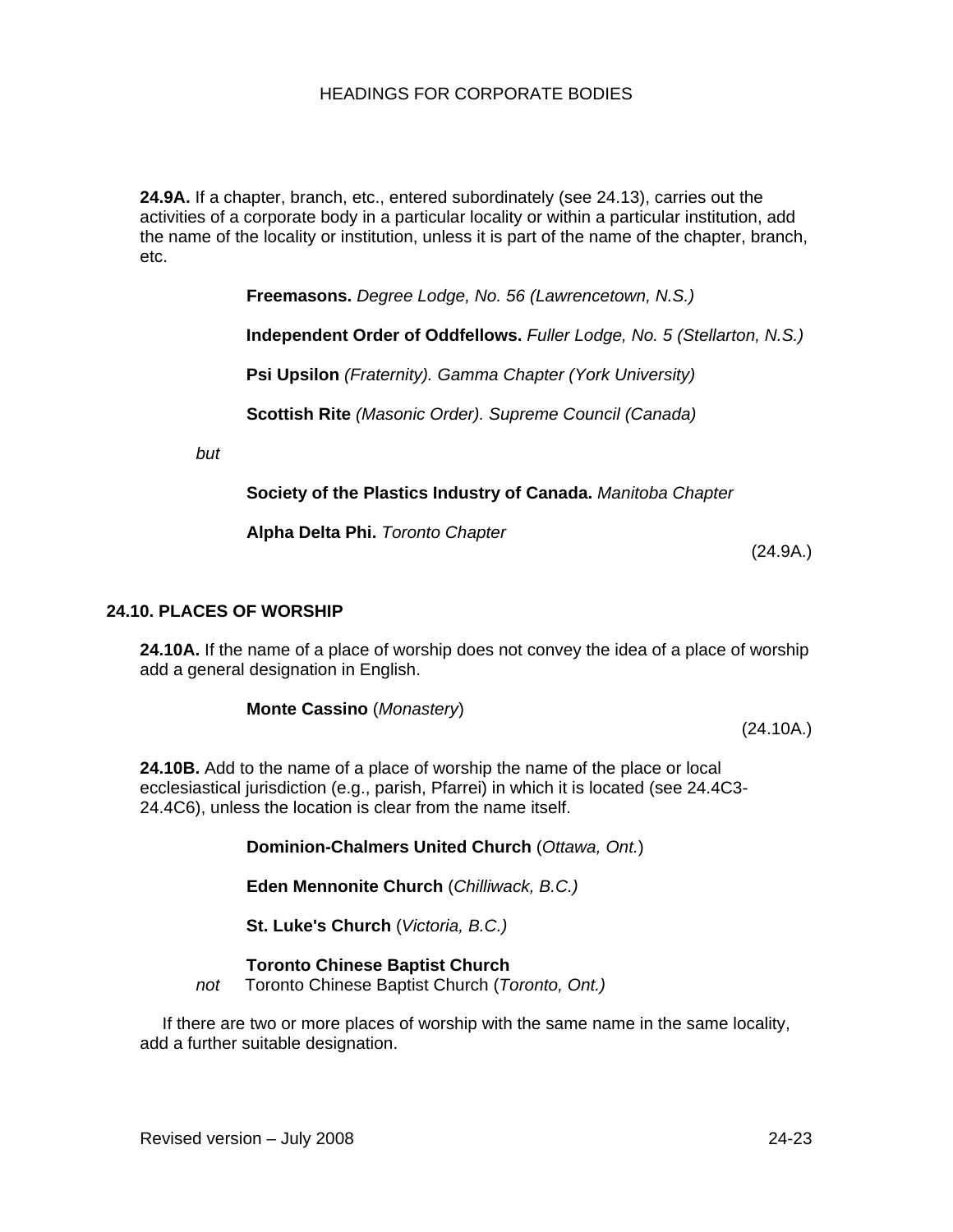**24.9A.** If a chapter, branch, etc., entered subordinately (see 24.13), carries out the activities of a corporate body in a particular locality or within a particular institution, add the name of the locality or institution, unless it is part of the name of the chapter, branch, etc.

**Freemasons.** *Degree Lodge, No. 56 (Lawrencetown, N.S.)*

**Independent Order of Oddfellows.** *Fuller Lodge, No. 5 (Stellarton, N.S.)* 

**Psi Upsilon** *(Fraternity). Gamma Chapter (York University)* 

**Scottish Rite** *(Masonic Order). Supreme Council (Canada)*

*but*

**Society of the Plastics Industry of Canada.** *Manitoba Chapter*

**Alpha Delta Phi.** *Toronto Chapter* 

(24.9A.)

#### **24.10. PLACES OF WORSHIP**

**24.10A.** If the name of a place of worship does not convey the idea of a place of worship add a general designation in English.

**Monte Cassino** (*Monastery*)

(24.10A.)

**24.10B.** Add to the name of a place of worship the name of the place or local ecclesiastical jurisdiction (e.g., parish, Pfarrei) in which it is located (see 24.4C3- 24.4C6), unless the location is clear from the name itself.

**Dominion-Chalmers United Church** (*Ottawa, Ont.*)

**Eden Mennonite Church** (*Chilliwack, B.C.)*

**St. Luke's Church** (*Victoria, B.C.)*

**Toronto Chinese Baptist Church** 

*not* Toronto Chinese Baptist Church (*Toronto, Ont.)*

If there are two or more places of worship with the same name in the same locality, add a further suitable designation.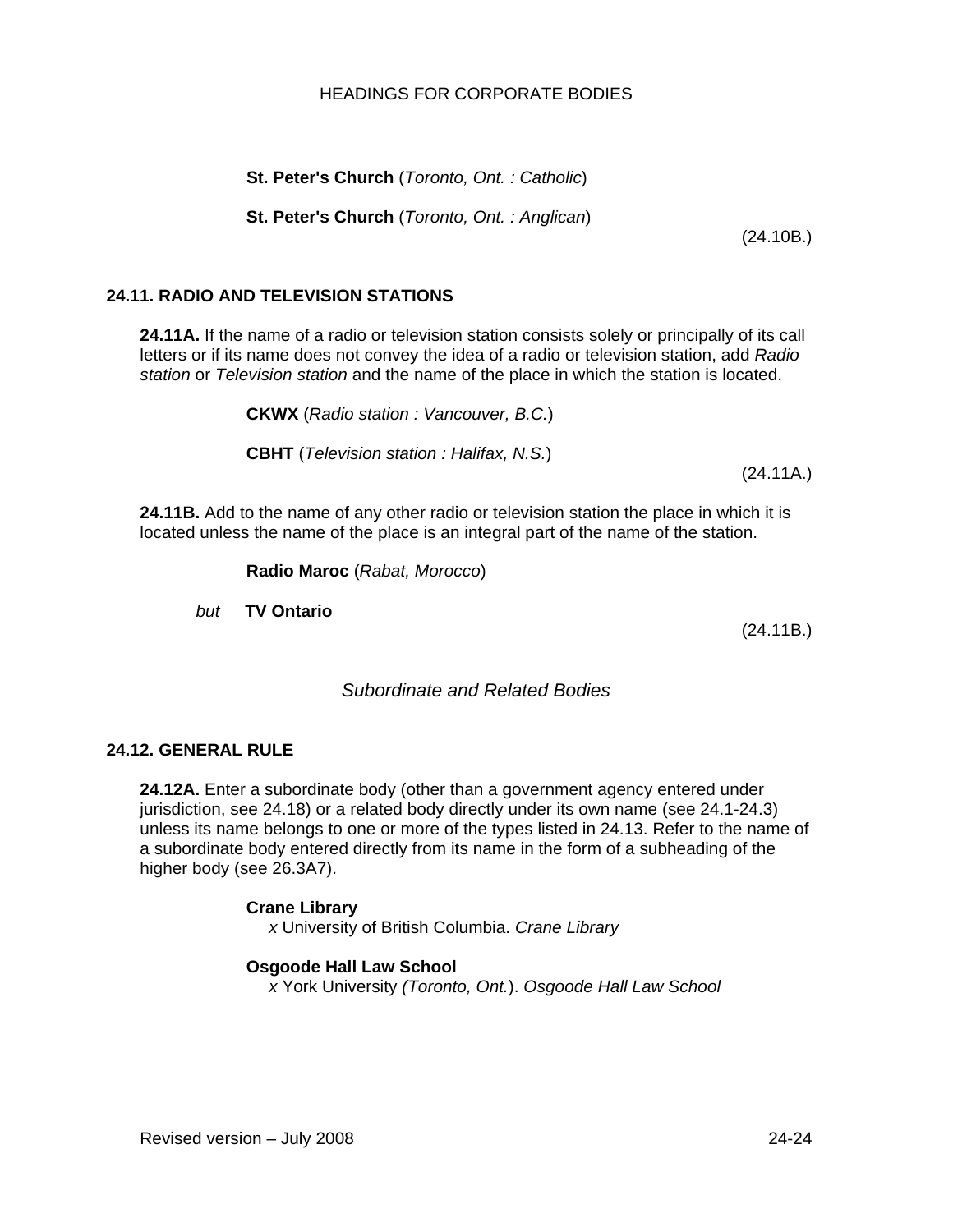#### Revised version – July 2008 24-24

### HEADINGS FOR CORPORATE BODIES

**St. Peter's Church** (*Toronto, Ont. : Catholic*)

**St. Peter's Church** (*Toronto, Ont. : Anglican*)

# **24.11. RADIO AND TELEVISION STATIONS**

**24.11A.** If the name of a radio or television station consists solely or principally of its call letters or if its name does not convey the idea of a radio or television station, add *Radio station* or *Television station* and the name of the place in which the station is located.

**CKWX** (*Radio station : Vancouver, B.C.*)

**CBHT** (*Television station : Halifax, N.S.*)

(24.11A.)

**24.11B.** Add to the name of any other radio or television station the place in which it is located unless the name of the place is an integral part of the name of the station.

**Radio Maroc** (*Rabat, Morocco*)

*but* **TV Ontario** 

(24.11B.)

# *Subordinate and Related Bodies*

# **24.12. GENERAL RULE**

**24.12A.** Enter a subordinate body (other than a government agency entered under jurisdiction, see 24.18) or a related body directly under its own name (see 24.1-24.3) unless its name belongs to one or more of the types listed in 24.13. Refer to the name of a subordinate body entered directly from its name in the form of a subheading of the higher body (see 26.3A7).

#### **Crane Library**

*x* University of British Columbia. *Crane Library*

#### **Osgoode Hall Law School**

*x* York University *(Toronto, Ont.*). *Osgoode Hall Law School* 

(24.10B.)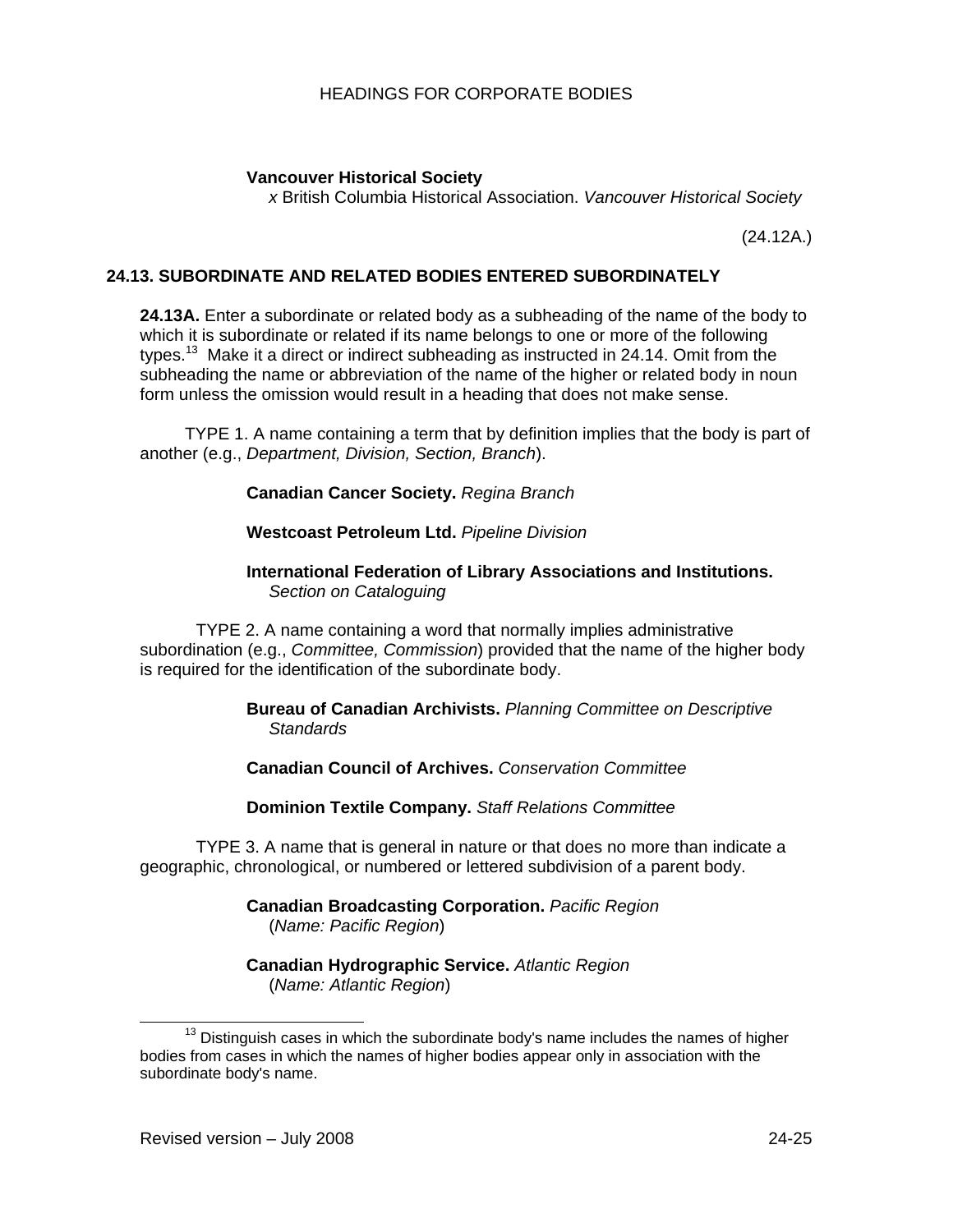## **Vancouver Historical Society**

*x* British Columbia Historical Association. *Vancouver Historical Society* 

(24.12A.)

## **24.13. SUBORDINATE AND RELATED BODIES ENTERED SUBORDINATELY**

**24.13A.** Enter a subordinate or related body as a subheading of the name of the body to which it is subordinate or related if its name belongs to one or more of the following types.<sup>13</sup> Make it a direct or indirect subheading as instructed in 24.14. Omit from the subheading the name or abbreviation of the name of the higher or related body in noun form unless the omission would result in a heading that does not make sense.

 TYPE 1. A name containing a term that by definition implies that the body is part of another (e.g., *Department, Division, Section, Branch*).

**Canadian Cancer Society.** *Regina Branch* 

#### **Westcoast Petroleum Ltd.** *Pipeline Division*

#### **International Federation of Library Associations and Institutions.** *Section on Cataloguing*

TYPE 2. A name containing a word that normally implies administrative subordination (e.g., *Committee, Commission*) provided that the name of the higher body is required for the identification of the subordinate body.

> **Bureau of Canadian Archivists.** *Planning Committee on Descriptive Standards*

**Canadian Council of Archives.** *Conservation Committee* 

**Dominion Textile Company.** *Staff Relations Committee* 

TYPE 3. A name that is general in nature or that does no more than indicate a geographic, chronological, or numbered or lettered subdivision of a parent body.

> **Canadian Broadcasting Corporation.** *Pacific Region*  (*Name: Pacific Region*)

**Canadian Hydrographic Service.** *Atlantic Region* (*Name: Atlantic Region*)

 $13$  Distinguish cases in which the subordinate body's name includes the names of higher bodies from cases in which the names of higher bodies appear only in association with the subordinate body's name.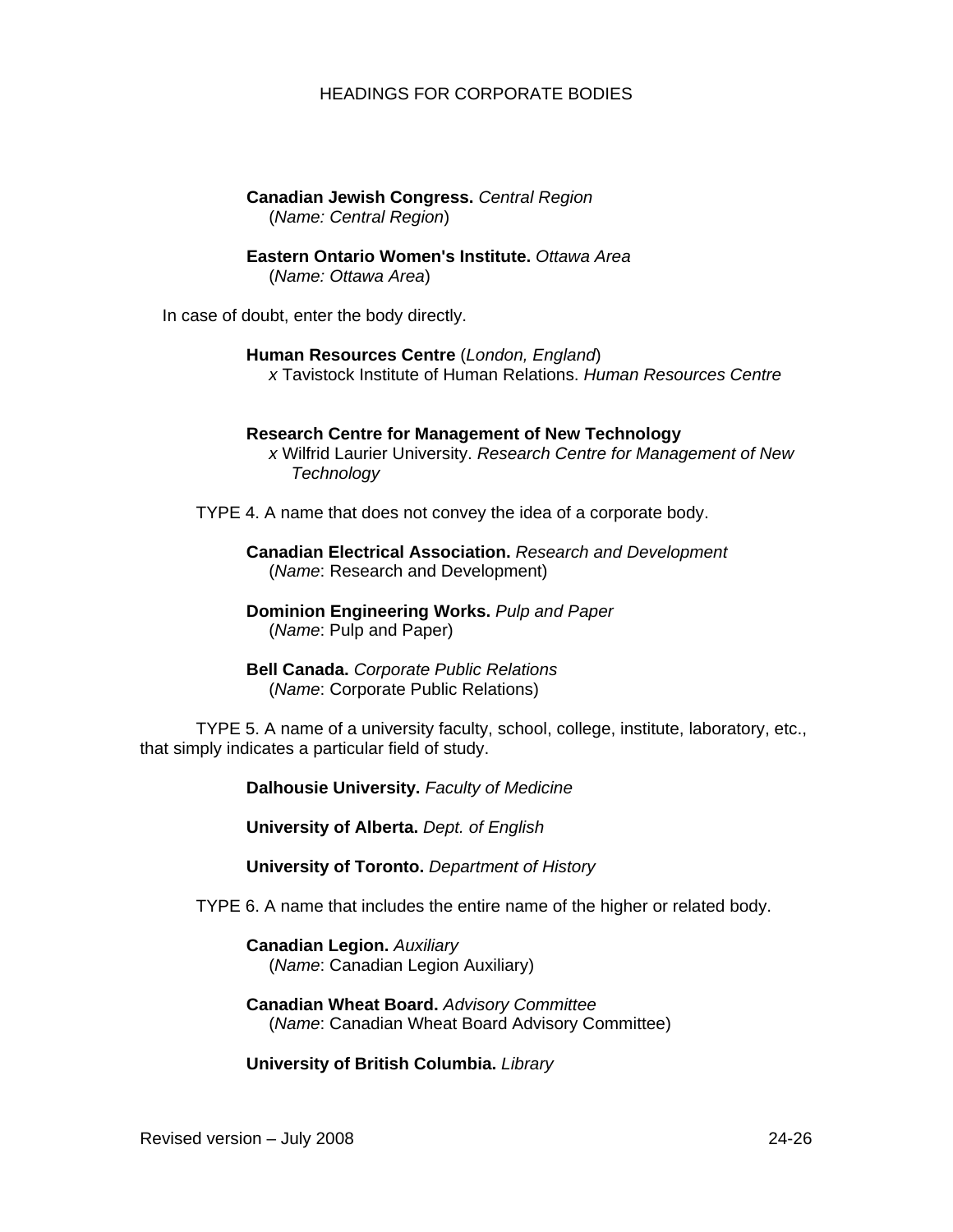**Canadian Jewish Congress.** *Central Region*  (*Name: Central Region*)

**Eastern Ontario Women's Institute.** *Ottawa Area* 

(*Name: Ottawa Area*)

In case of doubt, enter the body directly.

**Human Resources Centre** (*London, England*) *x* Tavistock Institute of Human Relations. *Human Resources Centre* 

# **Research Centre for Management of New Technology**

*x* Wilfrid Laurier University. *Research Centre for Management of New Technology* 

TYPE 4. A name that does not convey the idea of a corporate body.

**Canadian Electrical Association.** *Research and Development* (*Name*: Research and Development)

**Dominion Engineering Works.** *Pulp and Paper*  (*Name*: Pulp and Paper)

**Bell Canada.** *Corporate Public Relations*  (*Name*: Corporate Public Relations)

TYPE 5. A name of a university faculty, school, college, institute, laboratory, etc., that simply indicates a particular field of study.

**Dalhousie University.** *Faculty of Medicine* 

**University of Alberta.** *Dept. of English* 

**University of Toronto.** *Department of History* 

TYPE 6. A name that includes the entire name of the higher or related body.

**Canadian Legion.** *Auxiliary* (*Name*: Canadian Legion Auxiliary)

**Canadian Wheat Board.** *Advisory Committee*  (*Name*: Canadian Wheat Board Advisory Committee)

**University of British Columbia.** *Library*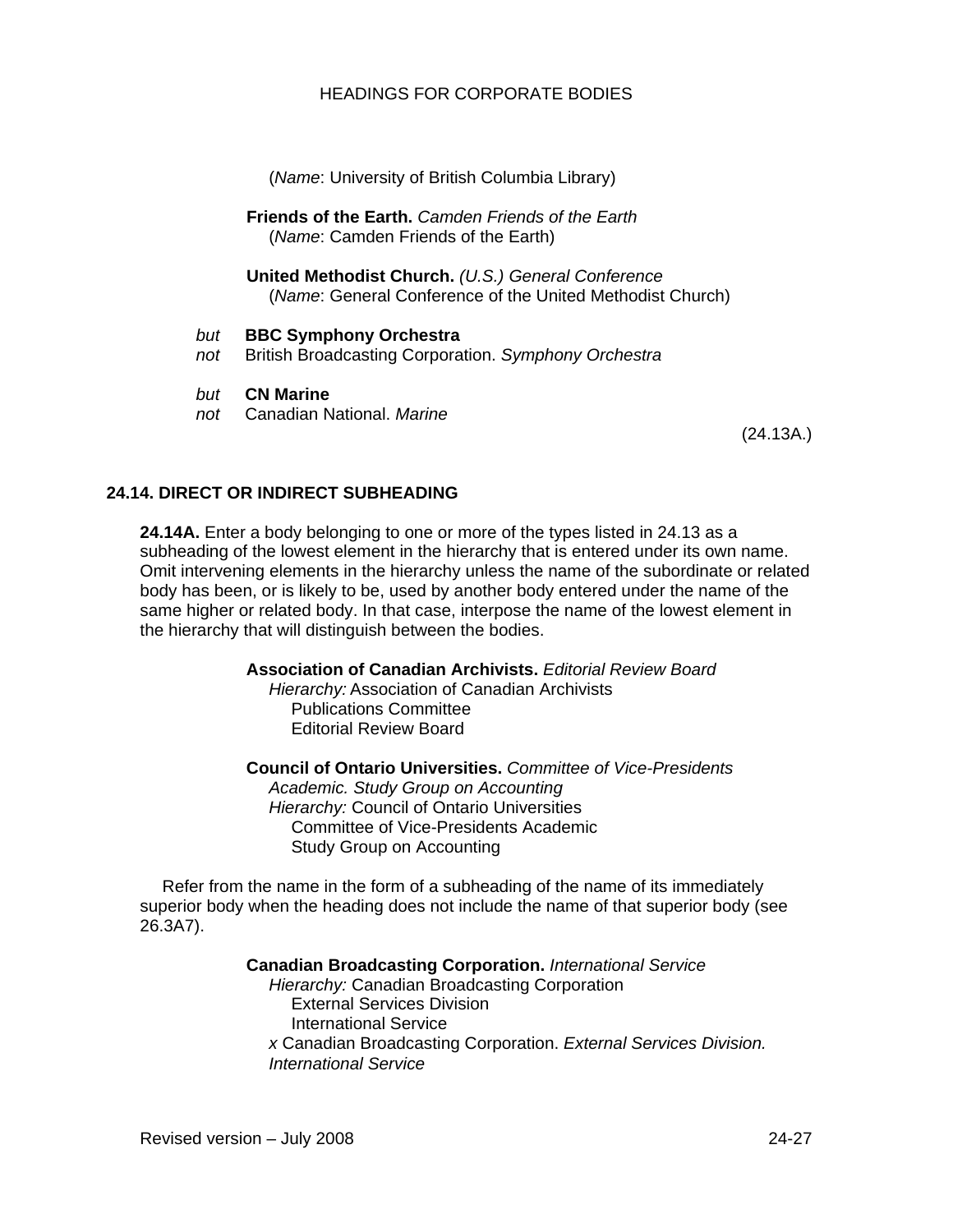(*Name*: University of British Columbia Library)

**Friends of the Earth.** *Camden Friends of the Earth* (*Name*: Camden Friends of the Earth)

**United Methodist Church.** *(U.S.) General Conference*  (*Name*: General Conference of the United Methodist Church)

- *but* **BBC Symphony Orchestra**
- *not* British Broadcasting Corporation. *Symphony Orchestra*
- *but* **CN Marine**
- *not* Canadian National. *Marine*

(24.13A.)

### **24.14. DIRECT OR INDIRECT SUBHEADING**

**24.14A.** Enter a body belonging to one or more of the types listed in 24.13 as a subheading of the lowest element in the hierarchy that is entered under its own name. Omit intervening elements in the hierarchy unless the name of the subordinate or related body has been, or is likely to be, used by another body entered under the name of the same higher or related body. In that case, interpose the name of the lowest element in the hierarchy that will distinguish between the bodies.

**Association of Canadian Archivists.** *Editorial Review Board*

*Hierarchy:* Association of Canadian Archivists Publications Committee Editorial Review Board

**Council of Ontario Universities.** *Committee of Vice-Presidents Academic. Study Group on Accounting Hierarchy:* Council of Ontario Universities Committee of Vice-Presidents Academic

Study Group on Accounting

Refer from the name in the form of a subheading of the name of its immediately superior body when the heading does not include the name of that superior body (see 26.3A7).

#### **Canadian Broadcasting Corporation.** *International Service*

*Hierarchy:* Canadian Broadcasting Corporation External Services Division International Service *x* Canadian Broadcasting Corporation. *External Services Division. International Service*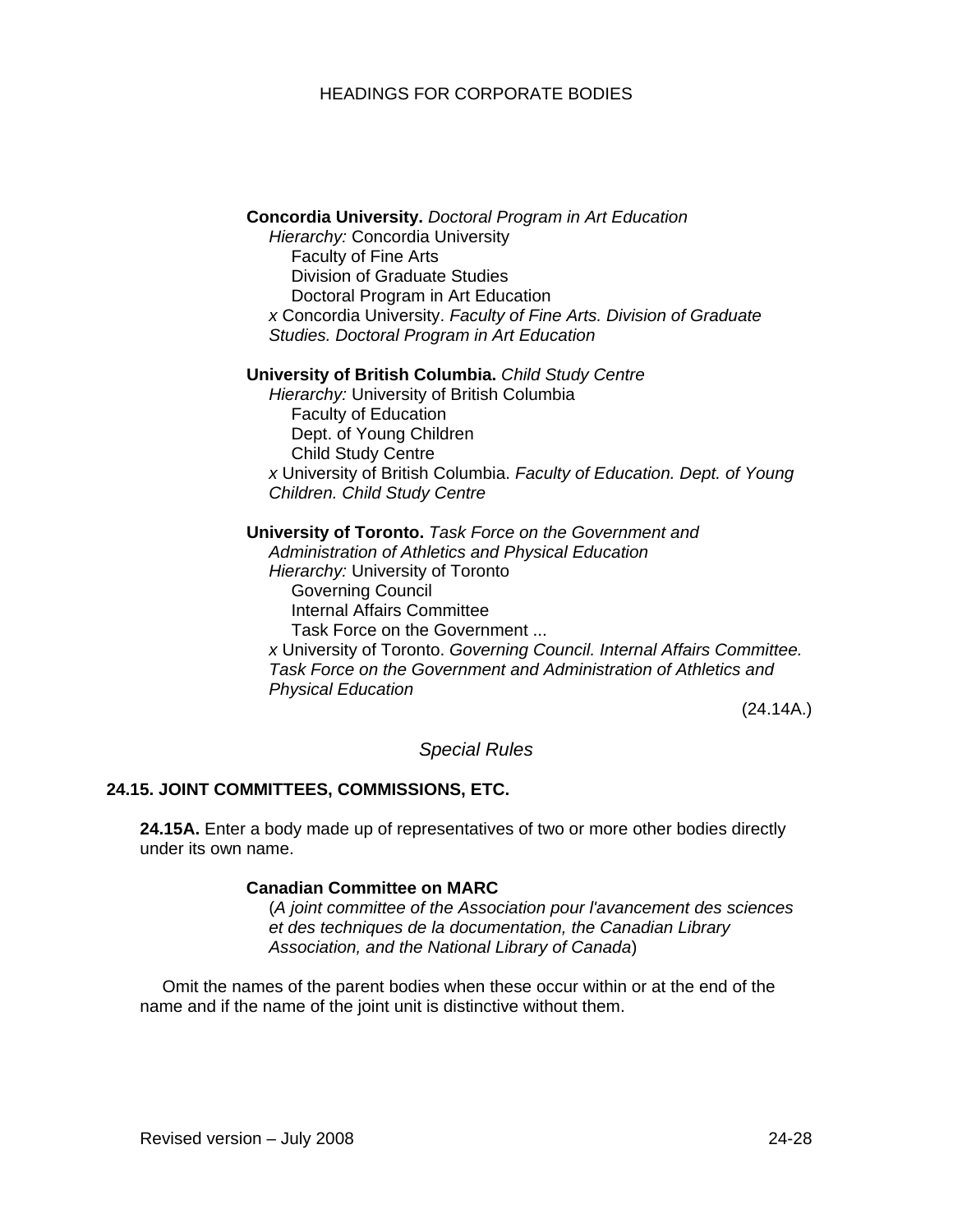#### **Concordia University.** *Doctoral Program in Art Education*

*Hierarchy:* Concordia University Faculty of Fine Arts Division of Graduate Studies Doctoral Program in Art Education *x* Concordia University. *Faculty of Fine Arts. Division of Graduate Studies. Doctoral Program in Art Education* 

#### **University of British Columbia.** *Child Study Centre*

*Hierarchy:* University of British Columbia Faculty of Education Dept. of Young Children Child Study Centre *x* University of British Columbia. *Faculty of Education. Dept. of Young Children. Child Study Centre* 

**University of Toronto.** *Task Force on the Government and Administration of Athletics and Physical Education Hierarchy:* University of Toronto Governing Council Internal Affairs Committee Task Force on the Government ... *x* University of Toronto. *Governing Council. Internal Affairs Committee. Task Force on the Government and Administration of Athletics and Physical Education* 

(24.14A.)

#### *Special Rules*

#### **24.15. JOINT COMMITTEES, COMMISSIONS, ETC.**

**24.15A.** Enter a body made up of representatives of two or more other bodies directly under its own name.

#### **Canadian Committee on MARC**

(*A joint committee of the Association pour l'avancement des sciences et des techniques de la documentation, the Canadian Library Association, and the National Library of Canada*)

Omit the names of the parent bodies when these occur within or at the end of the name and if the name of the joint unit is distinctive without them.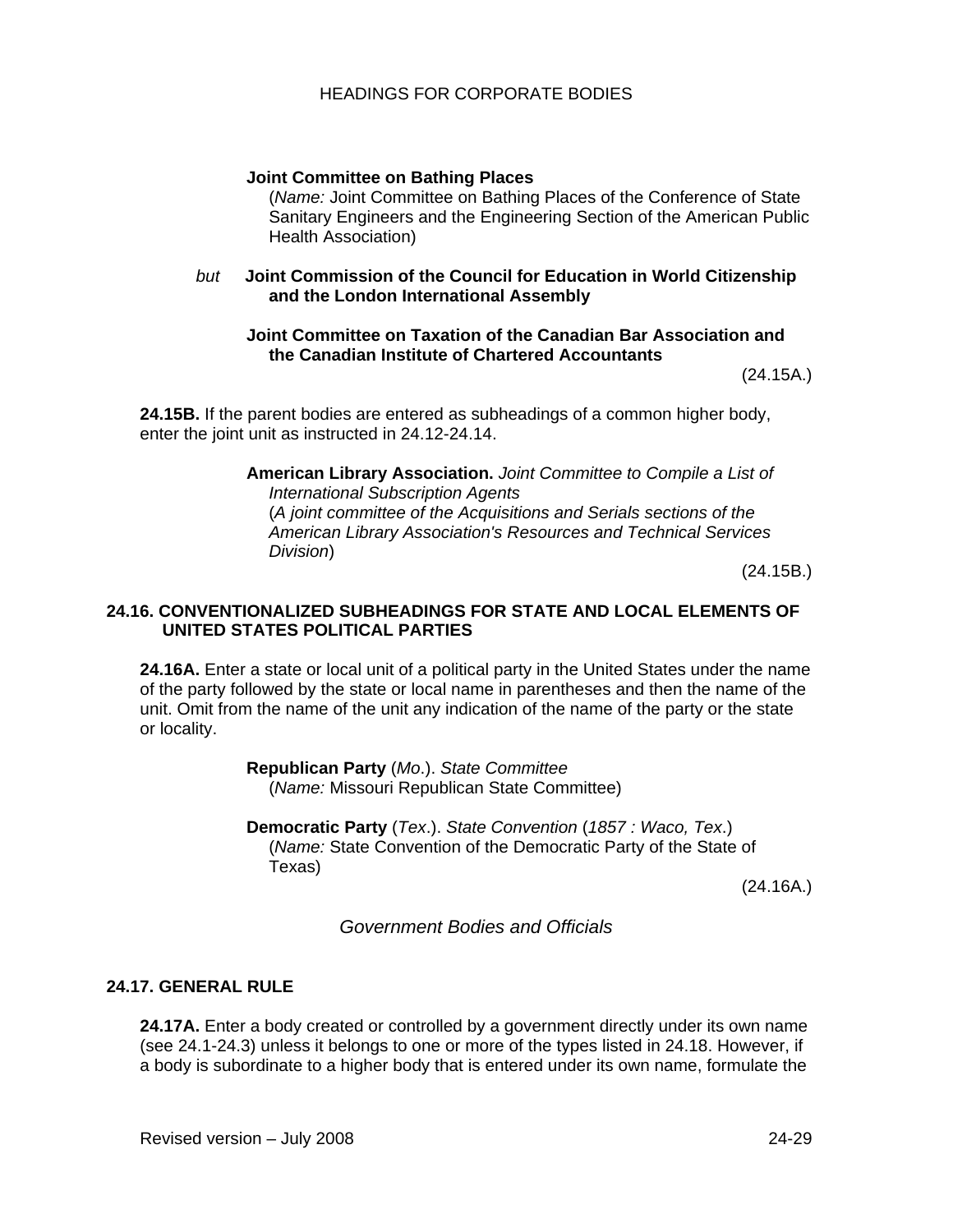# **Joint Committee on Bathing Places**

(*Name:* Joint Committee on Bathing Places of the Conference of State Sanitary Engineers and the Engineering Section of the American Public Health Association)

*but* **Joint Commission of the Council for Education in World Citizenship and the London International Assembly** 

#### **Joint Committee on Taxation of the Canadian Bar Association and the Canadian Institute of Chartered Accountants**

(24.15A.)

**24.15B.** If the parent bodies are entered as subheadings of a common higher body, enter the joint unit as instructed in 24.12-24.14.

> **American Library Association.** *Joint Committee to Compile a List of International Subscription Agents*  (*A joint committee of the Acquisitions and Serials sections of the American Library Association's Resources and Technical Services Division*)

> > (24.15B.)

### **24.16. CONVENTIONALIZED SUBHEADINGS FOR STATE AND LOCAL ELEMENTS OF UNITED STATES POLITICAL PARTIES**

**24.16A.** Enter a state or local unit of a political party in the United States under the name of the party followed by the state or local name in parentheses and then the name of the unit. Omit from the name of the unit any indication of the name of the party or the state or locality.

> **Republican Party** (*Mo*.). *State Committee*  (*Name:* Missouri Republican State Committee)

**Democratic Party** (*Tex*.). *State Convention* (*1857 : Waco, Tex*.) (*Name:* State Convention of the Democratic Party of the State of Texas)

(24.16A.)

*Government Bodies and Officials* 

### **24.17. GENERAL RULE**

**24.17A.** Enter a body created or controlled by a government directly under its own name (see 24.1-24.3) unless it belongs to one or more of the types listed in 24.18. However, if a body is subordinate to a higher body that is entered under its own name, formulate the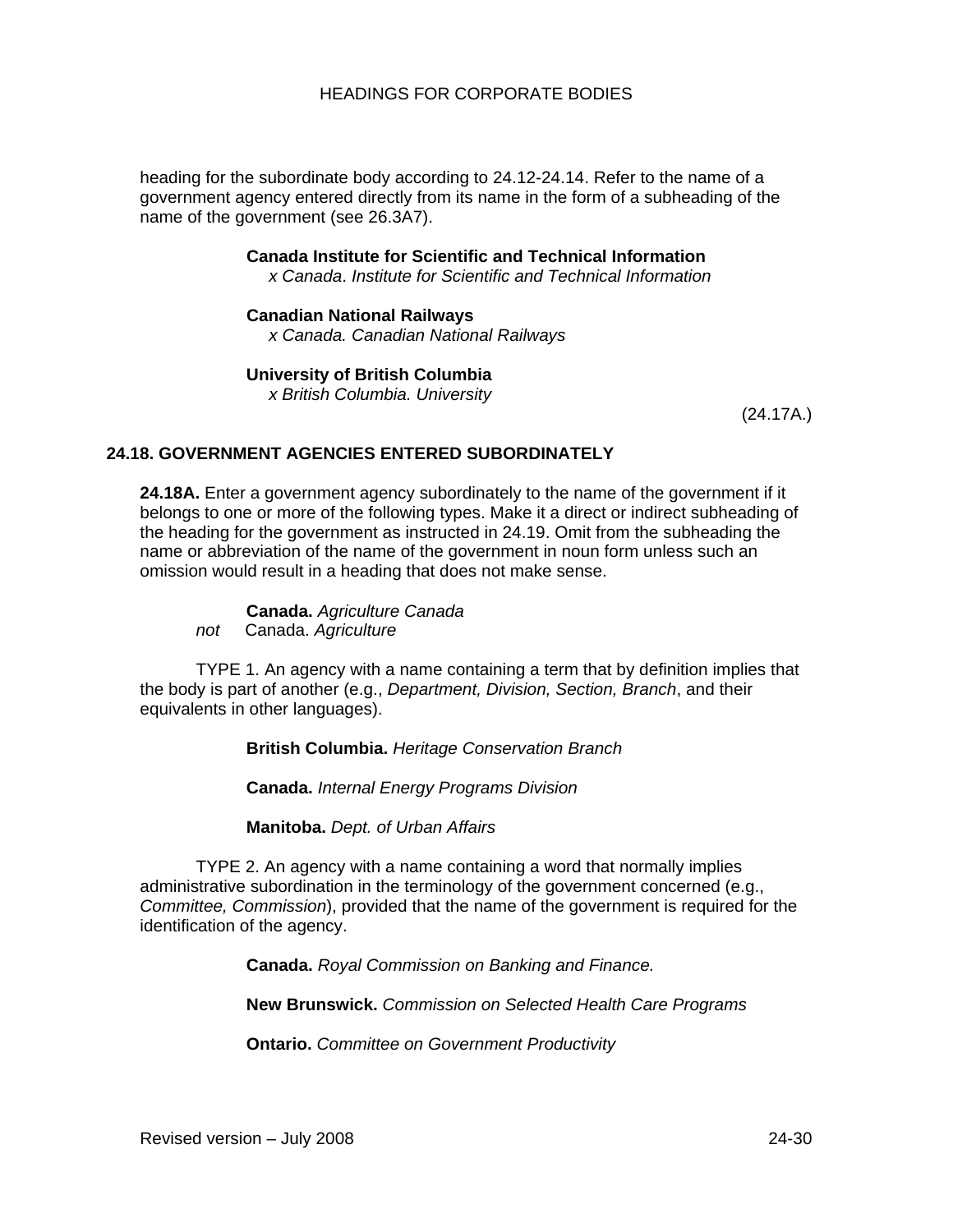heading for the subordinate body according to 24.12-24.14. Refer to the name of a government agency entered directly from its name in the form of a subheading of the name of the government (see 26.3A7).

> **Canada Institute for Scientific and Technical Information**  *x Canada*. *Institute for Scientific and Technical Information*

**Canadian National Railways**

*x Canada. Canadian National Railways* 

**University of British Columbia** 

*x British Columbia. University*

(24.17A.)

# **24.18. GOVERNMENT AGENCIES ENTERED SUBORDINATELY**

**24.18A.** Enter a government agency subordinately to the name of the government if it belongs to one or more of the following types. Make it a direct or indirect subheading of the heading for the government as instructed in 24.19. Omit from the subheading the name or abbreviation of the name of the government in noun form unless such an omission would result in a heading that does not make sense.

**Canada.** *Agriculture Canada not* Canada. *Agriculture*

TYPE 1. An agency with a name containing a term that by definition implies that the body is part of another (e.g., *Department, Division, Section, Branch*, and their equivalents in other languages).

**British Columbia.** *Heritage Conservation Branch* 

**Canada.** *Internal Energy Programs Division*

**Manitoba.** *Dept. of Urban Affairs* 

TYPE 2. An agency with a name containing a word that normally implies administrative subordination in the terminology of the government concerned (e.g., *Committee, Commission*), provided that the name of the government is required for the identification of the agency.

**Canada.** *Royal Commission on Banking and Finance.* 

**New Brunswick.** *Commission on Selected Health Care Programs* 

**Ontario.** *Committee on Government Productivity*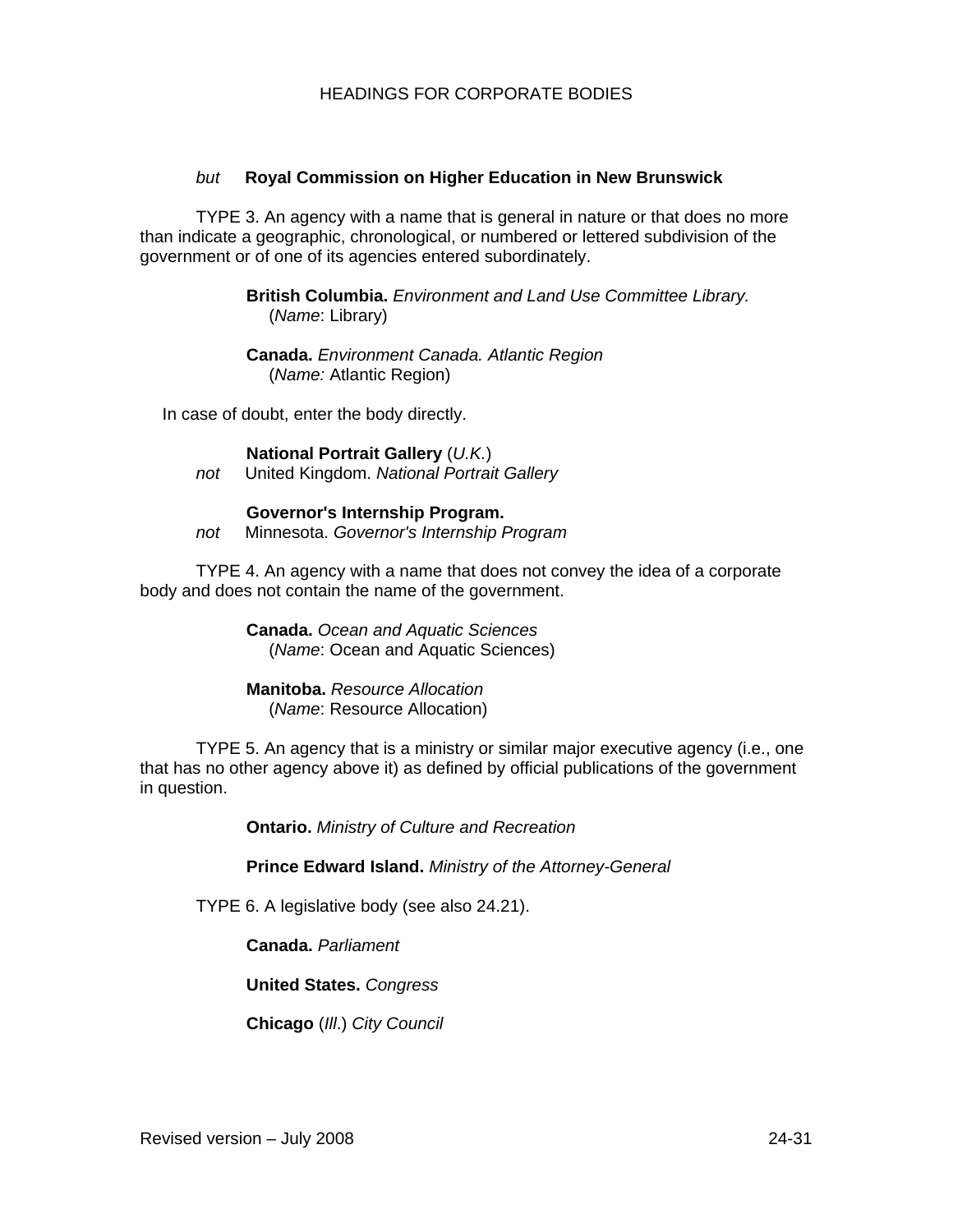# *but* **Royal Commission on Higher Education in New Brunswick**

TYPE 3. An agency with a name that is general in nature or that does no more than indicate a geographic, chronological, or numbered or lettered subdivision of the government or of one of its agencies entered subordinately.

> **British Columbia.** *Environment and Land Use Committee Library.* (*Name*: Library)

**Canada.** *Environment Canada. Atlantic Region* (*Name:* Atlantic Region)

In case of doubt, enter the body directly.

**National Portrait Gallery** (*U.K.*) *not* United Kingdom. *National Portrait Gallery*

**Governor's Internship Program.**  *not* Minnesota. *Governor's Internship Program* 

TYPE 4. An agency with a name that does not convey the idea of a corporate body and does not contain the name of the government.

> **Canada.** *Ocean and Aquatic Sciences*  (*Name*: Ocean and Aquatic Sciences)

**Manitoba.** *Resource Allocation*  (*Name*: Resource Allocation)

TYPE 5. An agency that is a ministry or similar major executive agency (i.e., one that has no other agency above it) as defined by official publications of the government in question.

**Ontario.** *Ministry of Culture and Recreation* 

**Prince Edward Island.** *Ministry of the Attorney-General*

TYPE 6. A legislative body (see also 24.21).

**Canada.** *Parliament* 

**United States.** *Congress*

**Chicago** (*Ill*.) *City Council*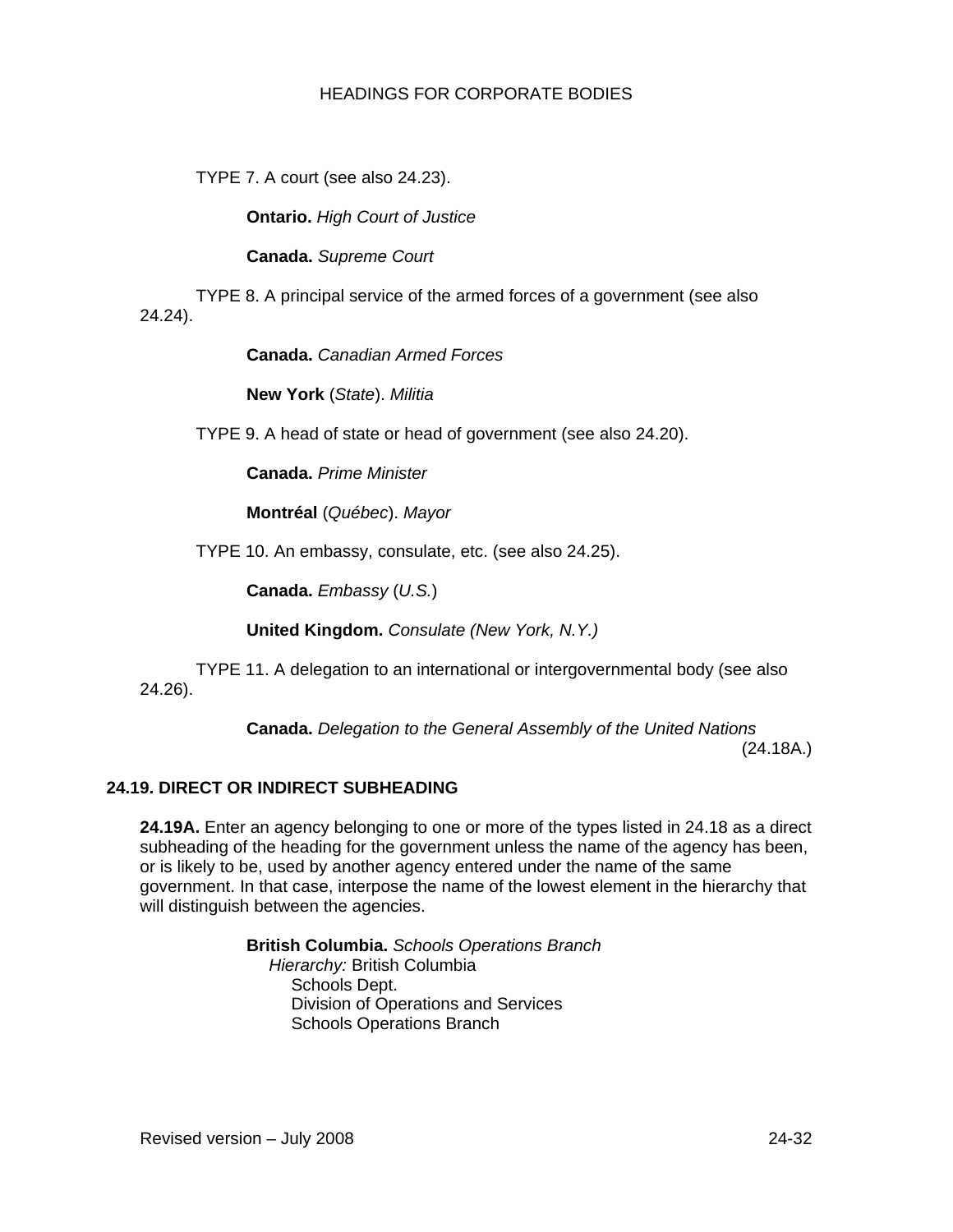TYPE 7. A court (see also 24.23).

**Ontario.** *High Court of Justice* 

**Canada.** *Supreme Court* 

TYPE 8. A principal service of the armed forces of a government (see also 24.24).

**Canada.** *Canadian Armed Forces* 

**New York** (*State*). *Militia* 

TYPE 9. A head of state or head of government (see also 24.20).

**Canada.** *Prime Minister*

**Montréal** (*Québec*). *Mayor* 

TYPE 10. An embassy, consulate, etc. (see also 24.25).

**Canada.** *Embassy* (*U.S.*)

**United Kingdom.** *Consulate (New York, N.Y.)* 

TYPE 11. A delegation to an international or intergovernmental body (see also 24.26).

> **Canada.** *Delegation to the General Assembly of the United Nations* (24.18A.)

# **24.19. DIRECT OR INDIRECT SUBHEADING**

**24.19A.** Enter an agency belonging to one or more of the types listed in 24.18 as a direct subheading of the heading for the government unless the name of the agency has been, or is likely to be, used by another agency entered under the name of the same government. In that case, interpose the name of the lowest element in the hierarchy that will distinguish between the agencies.

> **British Columbia.** *Schools Operations Branch Hierarchy:* British Columbia Schools Dept. Division of Operations and Services Schools Operations Branch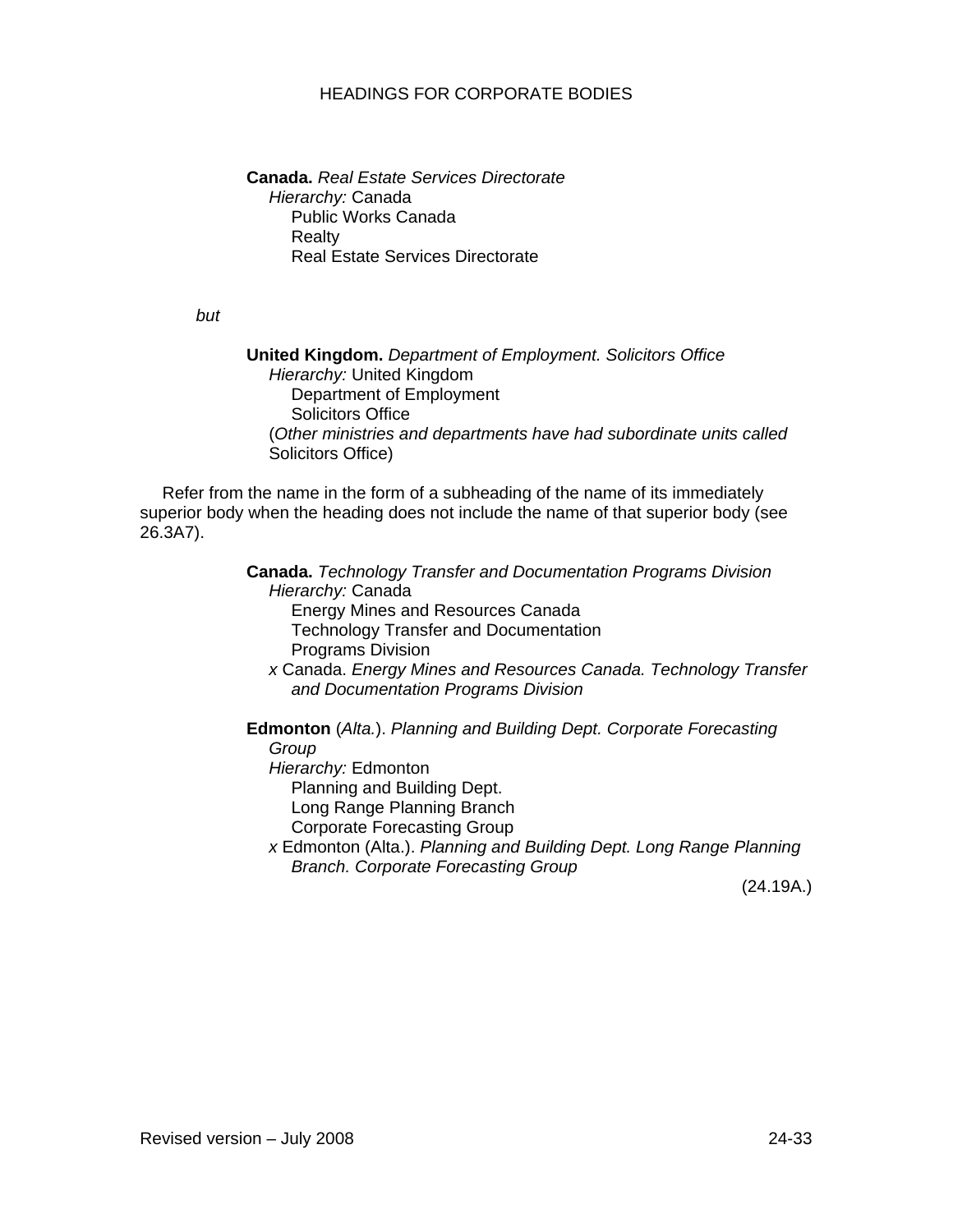**Canada.** *Real Estate Services Directorate Hierarchy:* Canada Public Works Canada Realty Real Estate Services Directorate

*but*

**United Kingdom.** *Department of Employment. Solicitors Office Hierarchy:* United Kingdom Department of Employment Solicitors Office (*Other ministries and departments have had subordinate units called*  Solicitors Office)

Refer from the name in the form of a subheading of the name of its immediately superior body when the heading does not include the name of that superior body (see 26.3A7).

> **Canada.** *Technology Transfer and Documentation Programs Division Hierarchy:* Canada Energy Mines and Resources Canada Technology Transfer and Documentation Programs Division *x* Canada. *Energy Mines and Resources Canada. Technology Transfer and Documentation Programs Division*  **Edmonton** (*Alta.*). *Planning and Building Dept. Corporate Forecasting Group Hierarchy:* Edmonton Planning and Building Dept. Long Range Planning Branch

Corporate Forecasting Group

*x* Edmonton (Alta.). *Planning and Building Dept. Long Range Planning Branch. Corporate Forecasting Group* 

(24.19A.)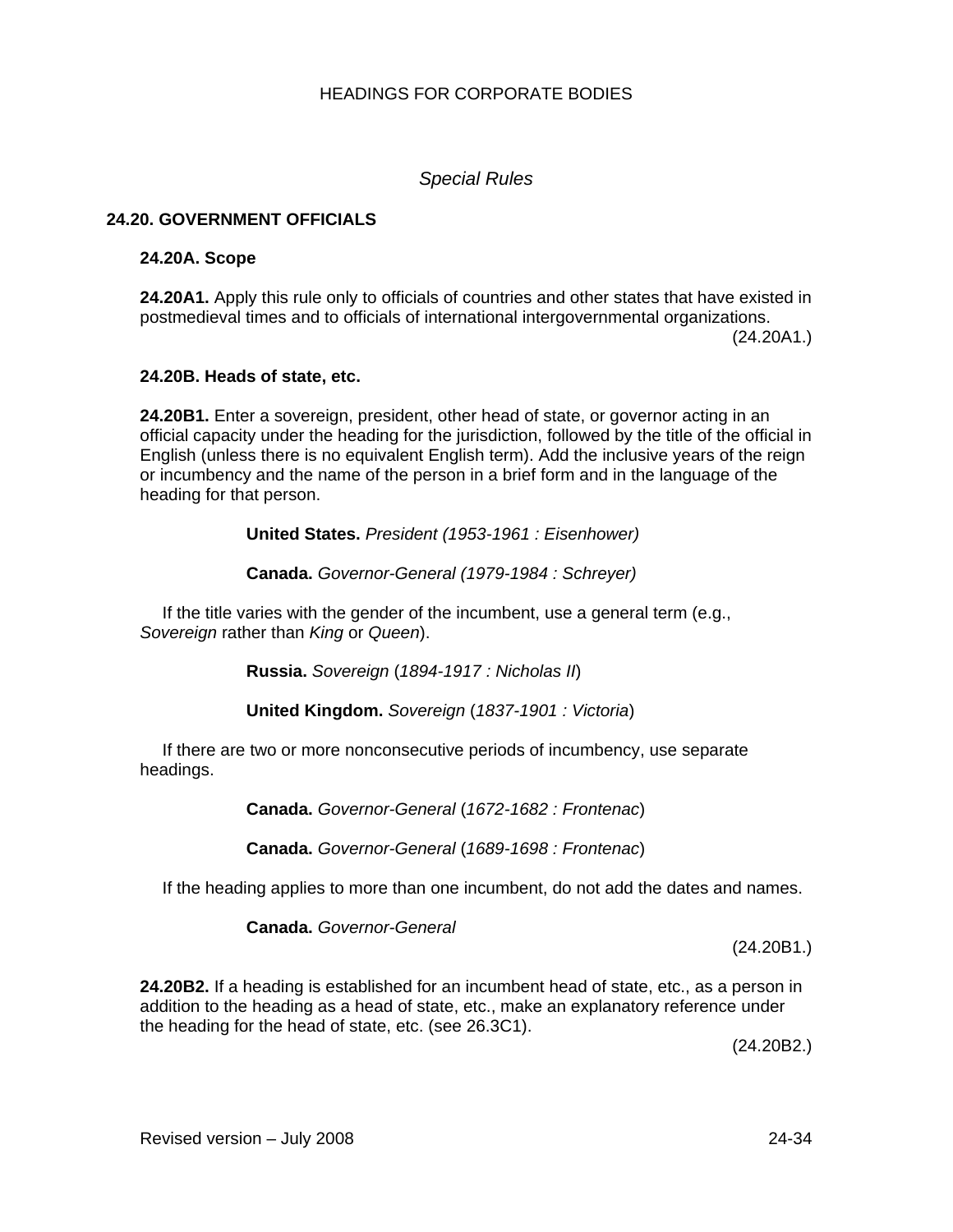*Special Rules* 

# **24.20. GOVERNMENT OFFICIALS**

## **24.20A. Scope**

**24.20A1.** Apply this rule only to officials of countries and other states that have existed in postmedieval times and to officials of international intergovernmental organizations.

(24.20A1.)

### **24.20B. Heads of state, etc.**

**24.20B1.** Enter a sovereign, president, other head of state, or governor acting in an official capacity under the heading for the jurisdiction, followed by the title of the official in English (unless there is no equivalent English term). Add the inclusive years of the reign or incumbency and the name of the person in a brief form and in the language of the heading for that person.

**United States.** *President (1953-1961 : Eisenhower)* 

**Canada.** *Governor-General (1979-1984 : Schreyer)* 

If the title varies with the gender of the incumbent, use a general term (e.g., *Sovereign* rather than *King* or *Queen*).

**Russia.** *Sovereign* (*1894-1917 : Nicholas II*)

**United Kingdom.** *Sovereign* (*1837-1901 : Victoria*)

If there are two or more nonconsecutive periods of incumbency, use separate headings.

**Canada.** *Governor-General* (*1672-1682 : Frontenac*)

**Canada.** *Governor-General* (*1689-1698 : Frontenac*)

If the heading applies to more than one incumbent, do not add the dates and names.

**Canada.** *Governor-General* 

(24.20B1.)

**24.20B2.** If a heading is established for an incumbent head of state, etc., as a person in addition to the heading as a head of state, etc., make an explanatory reference under the heading for the head of state, etc. (see 26.3C1).

(24.20B2.)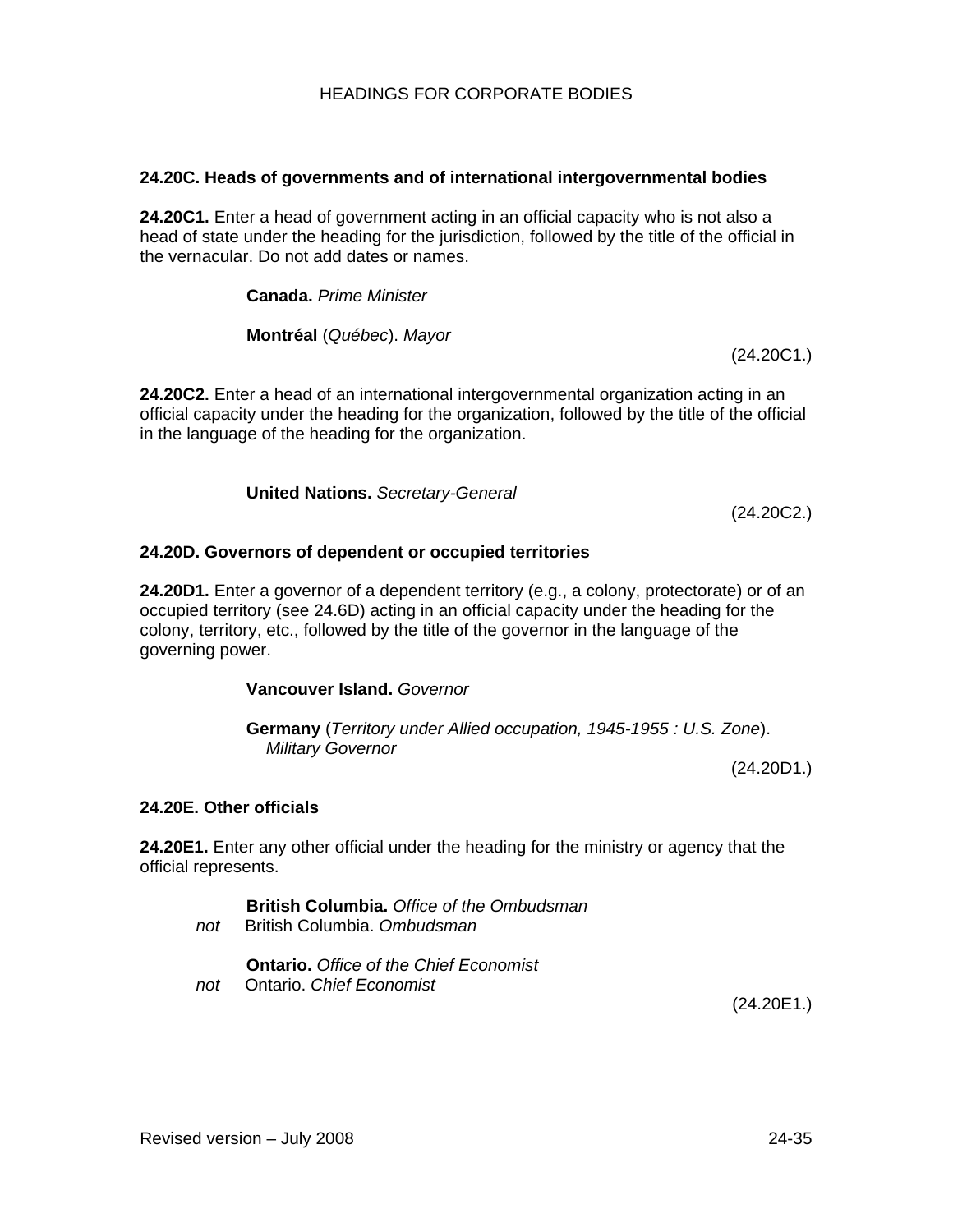# **24.20C. Heads of governments and of international intergovernmental bodies**

**24.20C1.** Enter a head of government acting in an official capacity who is not also a head of state under the heading for the jurisdiction, followed by the title of the official in the vernacular. Do not add dates or names.

**Canada.** *Prime Minister* 

**Montréal** (*Québec*). *Mayor*

(24.20C1.)

**24.20C2.** Enter a head of an international intergovernmental organization acting in an official capacity under the heading for the organization, followed by the title of the official in the language of the heading for the organization.

**United Nations.** *Secretary-General* 

(24.20C2.)

# **24.20D. Governors of dependent or occupied territories**

**24.20D1.** Enter a governor of a dependent territory (e.g., a colony, protectorate) or of an occupied territory (see 24.6D) acting in an official capacity under the heading for the colony, territory, etc., followed by the title of the governor in the language of the governing power.

# **Vancouver Island.** *Governor*

**Germany** (*Territory under Allied occupation, 1945-1955 : U.S. Zone*).  *Military Governor* 

(24.20D1.)

# **24.20E. Other officials**

**24.20E1.** Enter any other official under the heading for the ministry or agency that the official represents.

**British Columbia.** *Office of the Ombudsman not* British Columbia. *Ombudsman*

**Ontario.** *Office of the Chief Economist not* Ontario. *Chief Economist*

(24.20E1.)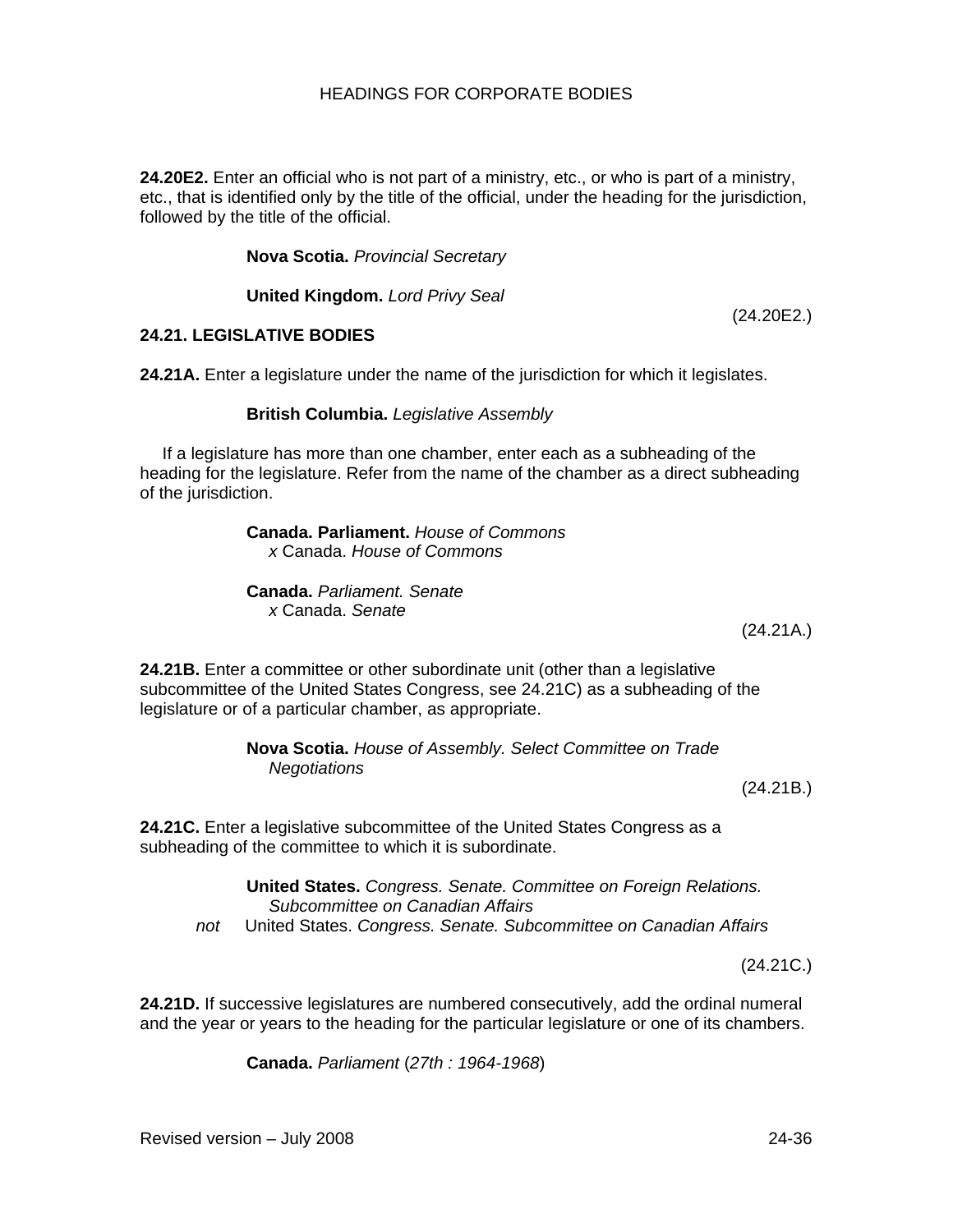**24.20E2.** Enter an official who is not part of a ministry, etc., or who is part of a ministry, etc., that is identified only by the title of the official, under the heading for the jurisdiction, followed by the title of the official.

**Nova Scotia.** *Provincial Secretary* 

**United Kingdom.** *Lord Privy Seal* 

(24.20E2.)

# **24.21. LEGISLATIVE BODIES**

**24.21A.** Enter a legislature under the name of the jurisdiction for which it legislates.

#### **British Columbia.** *Legislative Assembly*

If a legislature has more than one chamber, enter each as a subheading of the heading for the legislature. Refer from the name of the chamber as a direct subheading of the jurisdiction.

> **Canada. Parliament.** *House of Commons x* Canada. *House of Commons*

**Canada.** *Parliament. Senate x* Canada. *Senate*

(24.21A.)

**24.21B.** Enter a committee or other subordinate unit (other than a legislative subcommittee of the United States Congress, see 24.21C) as a subheading of the legislature or of a particular chamber, as appropriate.

> **Nova Scotia.** *House of Assembly. Select Committee on Trade Negotiations*

(24.21B.)

**24.21C.** Enter a legislative subcommittee of the United States Congress as a subheading of the committee to which it is subordinate.

**United States.** *Congress. Senate. Committee on Foreign Relations. Subcommittee on Canadian Affairs not* United States. *Congress. Senate. Subcommittee on Canadian Affairs*

(24.21C.)

**24.21D.** If successive legislatures are numbered consecutively, add the ordinal numeral and the year or years to the heading for the particular legislature or one of its chambers.

**Canada.** *Parliament* (*27th : 1964-1968*)

Revised version – July 2008 24-36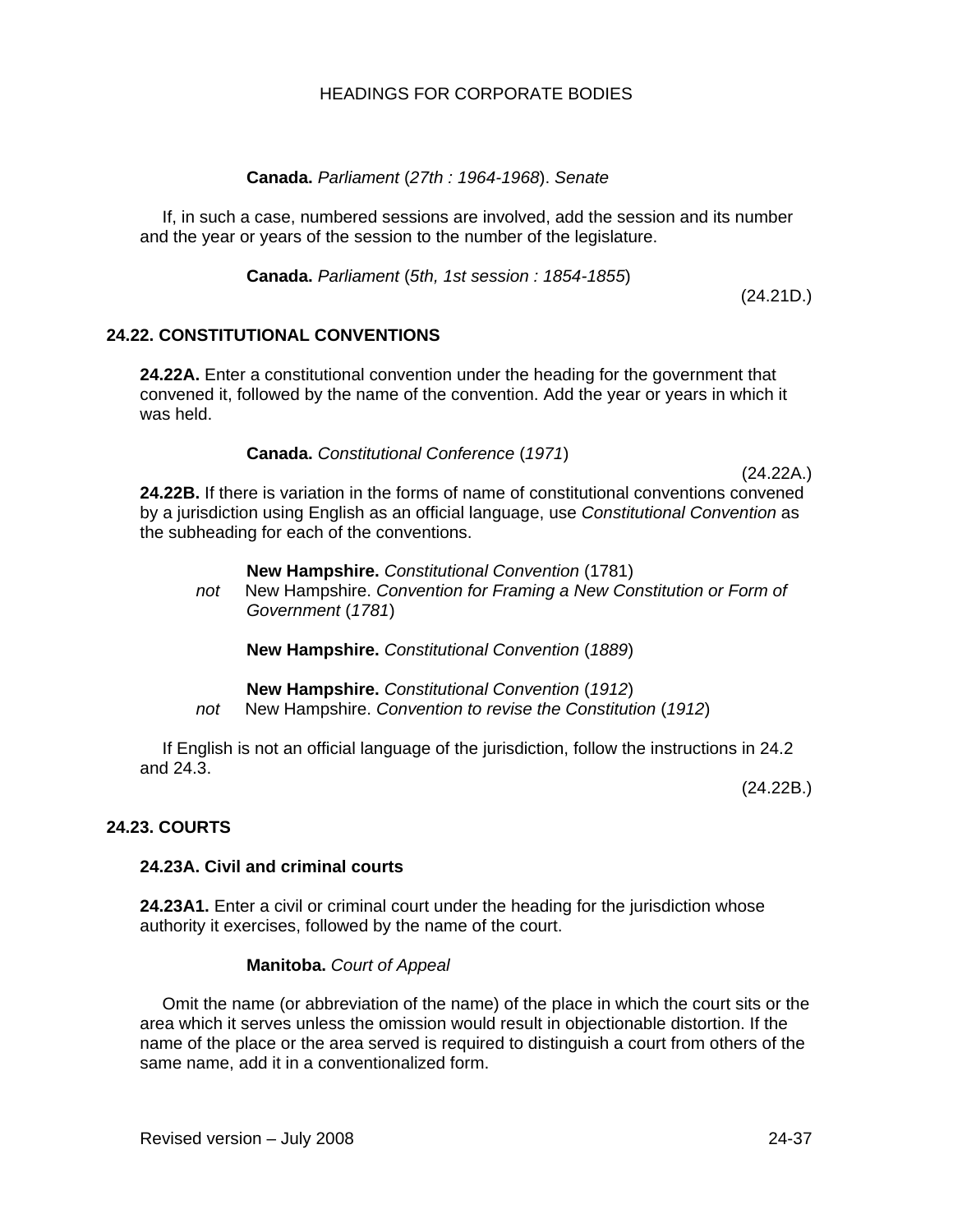# **Canada.** *Parliament* (*27th : 1964-1968*). *Senate*

If, in such a case, numbered sessions are involved, add the session and its number and the year or years of the session to the number of the legislature.

**Canada.** *Parliament* (*5th, 1st session : 1854-1855*)

(24.21D.)

# **24.22. CONSTITUTIONAL CONVENTIONS**

**24.22A.** Enter a constitutional convention under the heading for the government that convened it, followed by the name of the convention. Add the year or years in which it was held.

# **Canada.** *Constitutional Conference* (*1971*)

(24.22A.)

**24.22B.** If there is variation in the forms of name of constitutional conventions convened by a jurisdiction using English as an official language, use *Constitutional Convention* as the subheading for each of the conventions.

#### **New Hampshire.** *Constitutional Convention* (1781)

*not* New Hampshire. *Convention for Framing a New Constitution or Form of Government* (*1781*)

**New Hampshire.** *Constitutional Convention* (*1889*)

**New Hampshire.** *Constitutional Convention* (*1912*) *not* New Hampshire. *Convention to revise the Constitution* (*1912*)

If English is not an official language of the jurisdiction, follow the instructions in 24.2 and 24.3.

(24.22B.)

# **24.23. COURTS**

# **24.23A. Civil and criminal courts**

**24.23A1.** Enter a civil or criminal court under the heading for the jurisdiction whose authority it exercises, followed by the name of the court.

# **Manitoba.** *Court of Appeal*

Omit the name (or abbreviation of the name) of the place in which the court sits or the area which it serves unless the omission would result in objectionable distortion. If the name of the place or the area served is required to distinguish a court from others of the same name, add it in a conventionalized form.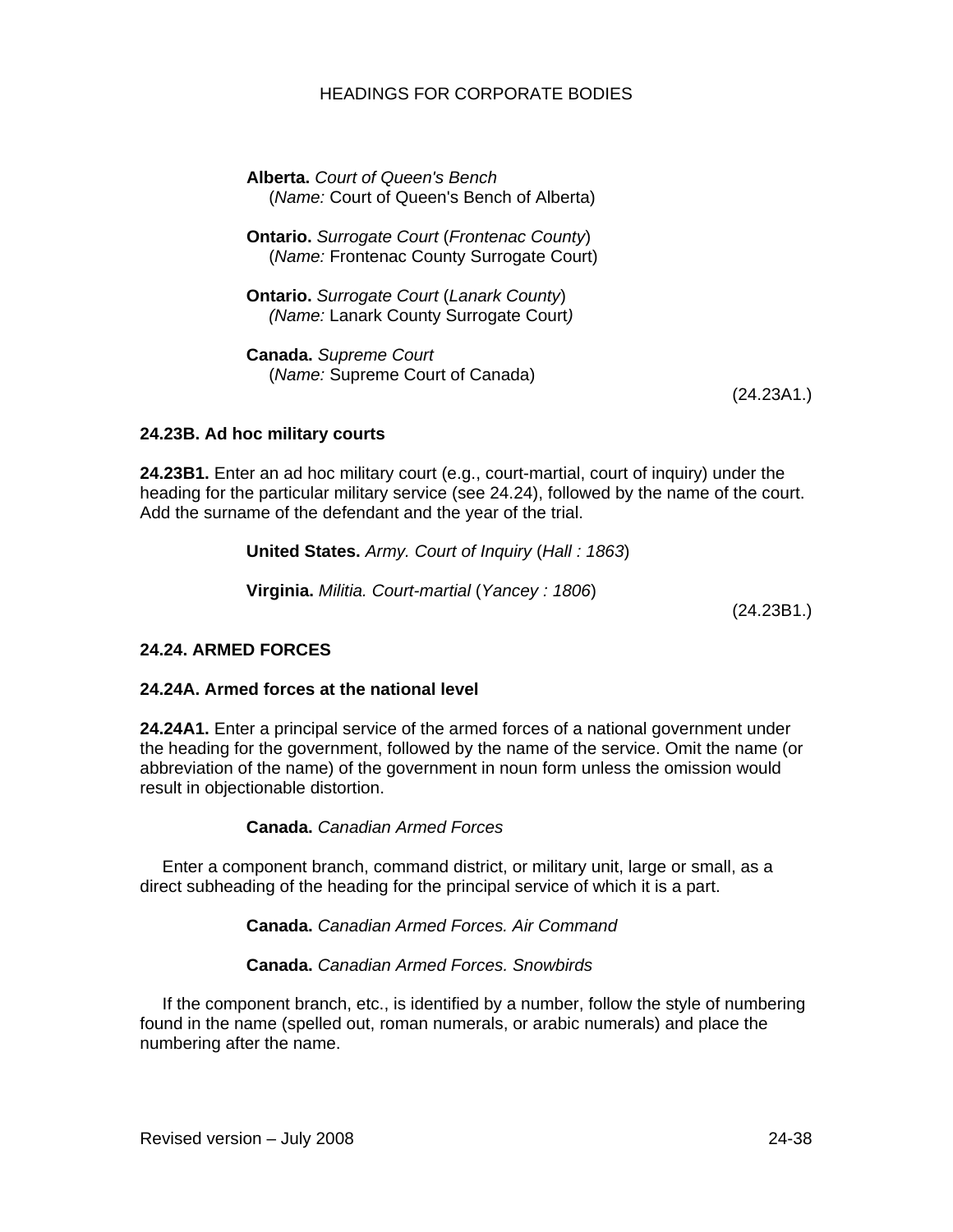**Alberta.** *Court of Queen's Bench*  (*Name:* Court of Queen's Bench of Alberta)

**Ontario.** *Surrogate Court* (*Frontenac County*) (*Name:* Frontenac County Surrogate Court)

**Ontario.** *Surrogate Court* (*Lanark County*) *(Name:* Lanark County Surrogate Court*)* 

**Canada.** *Supreme Court* (*Name:* Supreme Court of Canada)

(24.23A1.)

# **24.23B. Ad hoc military courts**

**24.23B1.** Enter an ad hoc military court (e.g., court-martial, court of inquiry) under the heading for the particular military service (see 24.24), followed by the name of the court. Add the surname of the defendant and the year of the trial.

| United States. Army. Court of Inquiry (Hall: 1863) |         |
|----------------------------------------------------|---------|
| Virginia. Militia. Court-martial (Yancey: 1806)    | (0.4001 |

(24.23B1.)

# **24.24. ARMED FORCES**

# **24.24A. Armed forces at the national level**

**24.24A1.** Enter a principal service of the armed forces of a national government under the heading for the government, followed by the name of the service. Omit the name (or abbreviation of the name) of the government in noun form unless the omission would result in objectionable distortion.

**Canada.** *Canadian Armed Forces* 

Enter a component branch, command district, or military unit, large or small, as a direct subheading of the heading for the principal service of which it is a part.

**Canada.** *Canadian Armed Forces. Air Command* 

**Canada.** *Canadian Armed Forces. Snowbirds* 

If the component branch, etc., is identified by a number, follow the style of numbering found in the name (spelled out, roman numerals, or arabic numerals) and place the numbering after the name.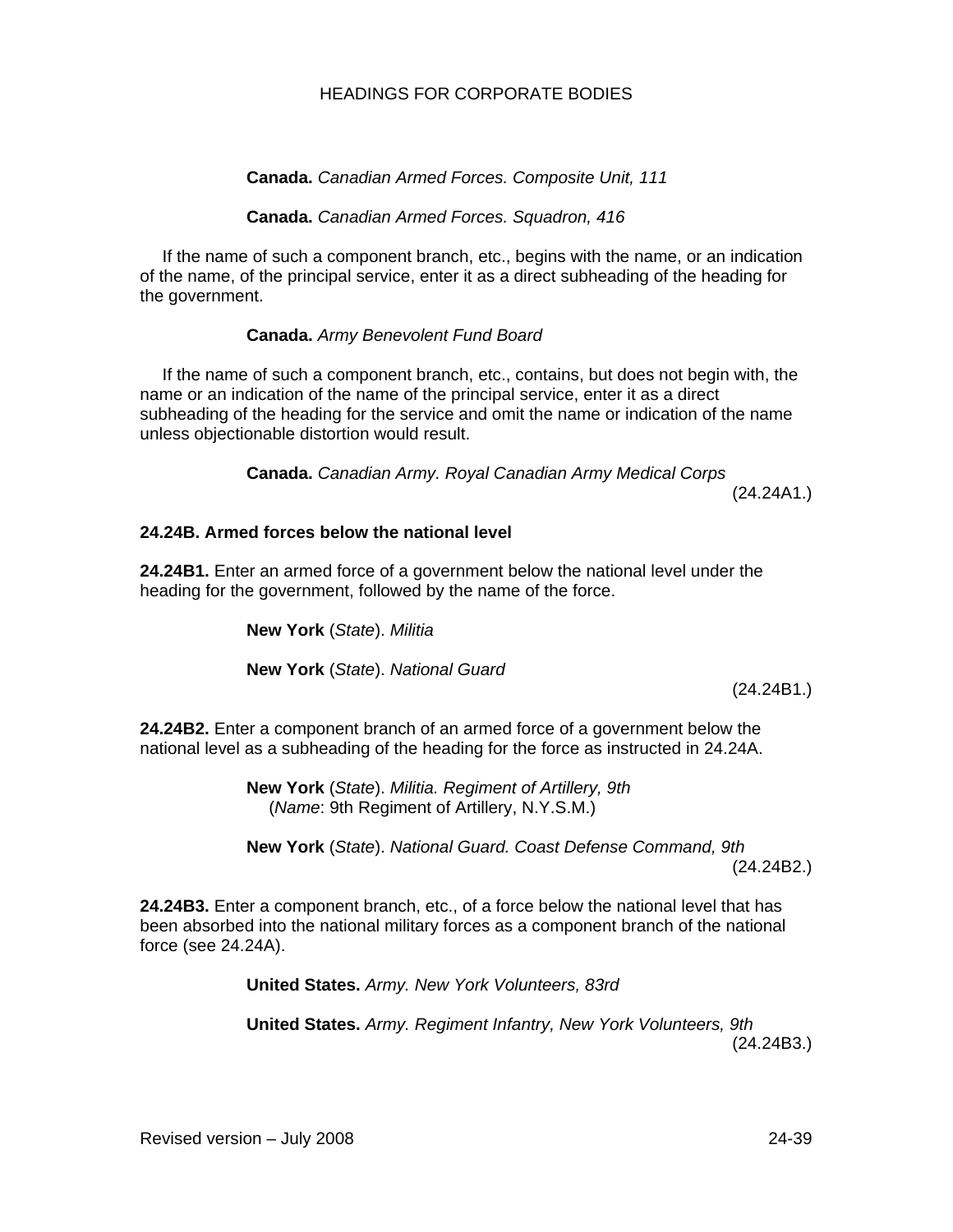# **Canada.** *Canadian Armed Forces. Composite Unit, 111*

## **Canada.** *Canadian Armed Forces. Squadron, 416*

If the name of such a component branch, etc., begins with the name, or an indication of the name, of the principal service, enter it as a direct subheading of the heading for the government.

### **Canada.** *Army Benevolent Fund Board*

If the name of such a component branch, etc., contains, but does not begin with, the name or an indication of the name of the principal service, enter it as a direct subheading of the heading for the service and omit the name or indication of the name unless objectionable distortion would result.

> **Canada.** *Canadian Army. Royal Canadian Army Medical Corps*  (24.24A1.)

## **24.24B. Armed forces below the national level**

**24.24B1.** Enter an armed force of a government below the national level under the heading for the government, followed by the name of the force.

**New York** (*State*). *Militia*

**New York** (*State*). *National Guard* 

(24.24B1.)

**24.24B2.** Enter a component branch of an armed force of a government below the national level as a subheading of the heading for the force as instructed in 24.24A.

> **New York** (*State*). *Militia. Regiment of Artillery, 9th* (*Name*: 9th Regiment of Artillery, N.Y.S.M.)

**New York** (*State*). *National Guard. Coast Defense Command, 9th* (24.24B2.)

**24.24B3.** Enter a component branch, etc., of a force below the national level that has been absorbed into the national military forces as a component branch of the national force (see 24.24A).

**United States.** *Army. New York Volunteers, 83rd*

**United States.** *Army. Regiment Infantry, New York Volunteers, 9th*  (24.24B3.)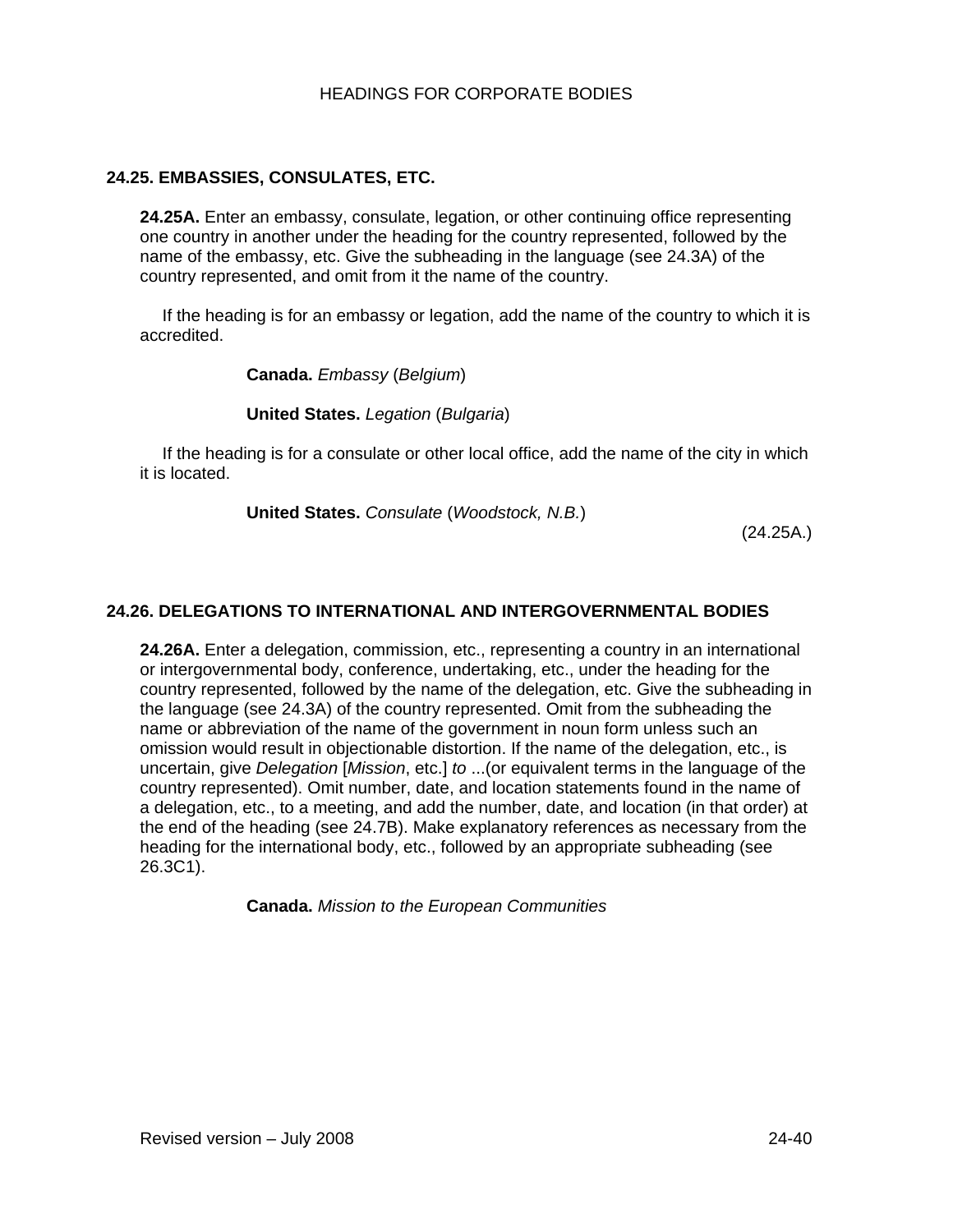## **24.25. EMBASSIES, CONSULATES, ETC.**

**24.25A.** Enter an embassy, consulate, legation, or other continuing office representing one country in another under the heading for the country represented, followed by the name of the embassy, etc. Give the subheading in the language (see 24.3A) of the country represented, and omit from it the name of the country.

If the heading is for an embassy or legation, add the name of the country to which it is accredited.

**Canada.** *Embassy* (*Belgium*)

#### **United States.** *Legation* (*Bulgaria*)

If the heading is for a consulate or other local office, add the name of the city in which it is located.

**United States.** *Consulate* (*Woodstock, N.B.*)

(24.25A.)

## **24.26. DELEGATIONS TO INTERNATIONAL AND INTERGOVERNMENTAL BODIES**

**24.26A.** Enter a delegation, commission, etc., representing a country in an international or intergovernmental body, conference, undertaking, etc., under the heading for the country represented, followed by the name of the delegation, etc. Give the subheading in the language (see 24.3A) of the country represented. Omit from the subheading the name or abbreviation of the name of the government in noun form unless such an omission would result in objectionable distortion. If the name of the delegation, etc., is uncertain, give *Delegation* [*Mission*, etc.] *to* ...(or equivalent terms in the language of the country represented). Omit number, date, and location statements found in the name of a delegation, etc., to a meeting, and add the number, date, and location (in that order) at the end of the heading (see 24.7B). Make explanatory references as necessary from the heading for the international body, etc., followed by an appropriate subheading (see 26.3C1).

**Canada.** *Mission to the European Communities*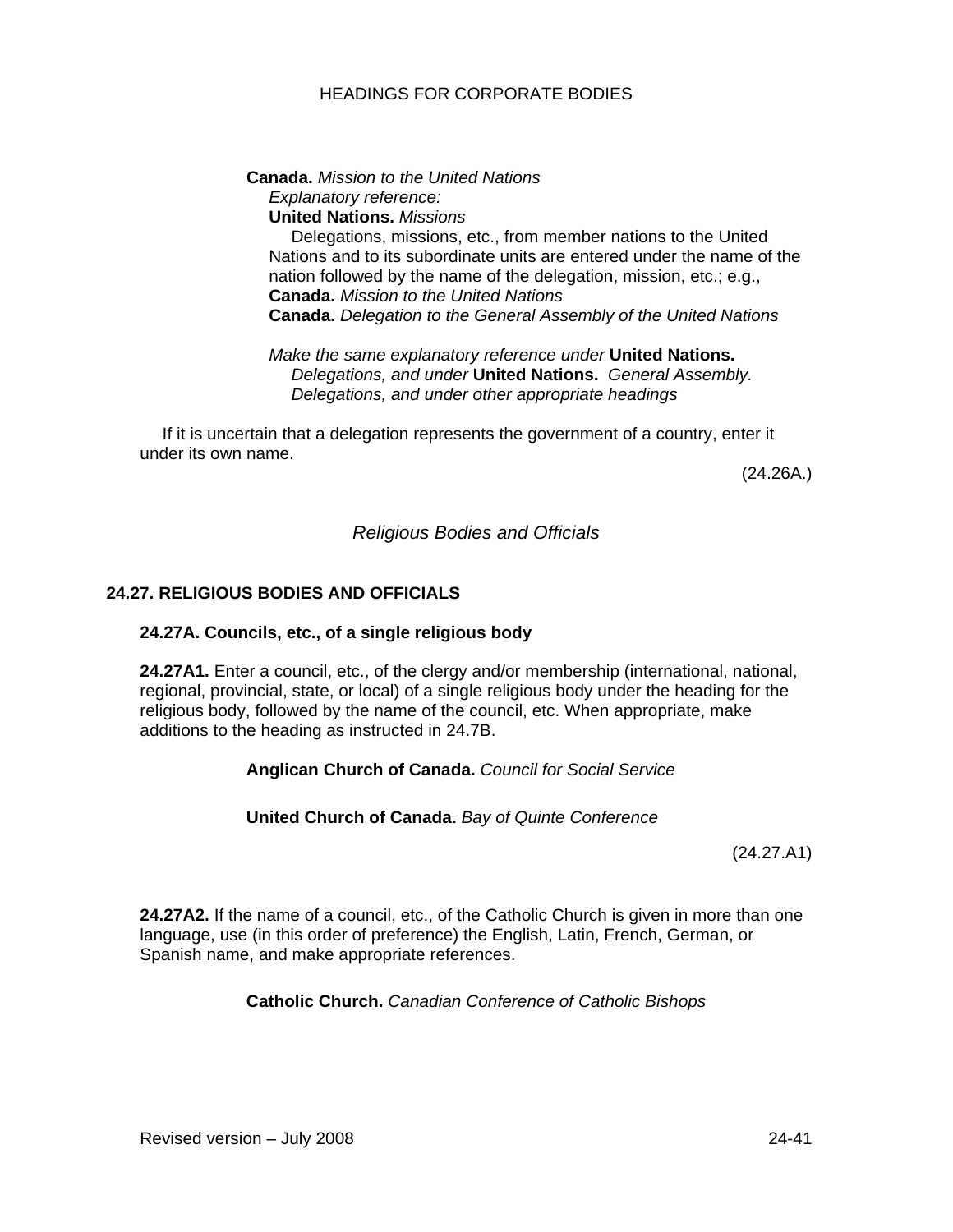#### **Canada.** *Mission to the United Nations Explanatory reference:*  **United Nations.** *Missions*

Delegations, missions, etc., from member nations to the United Nations and to its subordinate units are entered under the name of the nation followed by the name of the delegation, mission, etc.; e.g., **Canada.** *Mission to the United Nations*  **Canada.** *Delegation to the General Assembly of the United Nations* 

*Make the same explanatory reference under* **United Nations.** *Delegations, and under* **United Nations.** *General Assembly. Delegations, and under other appropriate headings* 

If it is uncertain that a delegation represents the government of a country, enter it under its own name.

(24.26A.)

# *Religious Bodies and Officials*

### **24.27. RELIGIOUS BODIES AND OFFICIALS**

#### **24.27A. Councils, etc., of a single religious body**

**24.27A1.** Enter a council, etc., of the clergy and/or membership (international, national, regional, provincial, state, or local) of a single religious body under the heading for the religious body, followed by the name of the council, etc. When appropriate, make additions to the heading as instructed in 24.7B.

#### **Anglican Church of Canada.** *Council for Social Service*

#### **United Church of Canada.** *Bay of Quinte Conference*

(24.27.A1)

**24.27A2.** If the name of a council, etc., of the Catholic Church is given in more than one language, use (in this order of preference) the English, Latin, French, German, or Spanish name, and make appropriate references.

**Catholic Church.** *Canadian Conference of Catholic Bishops*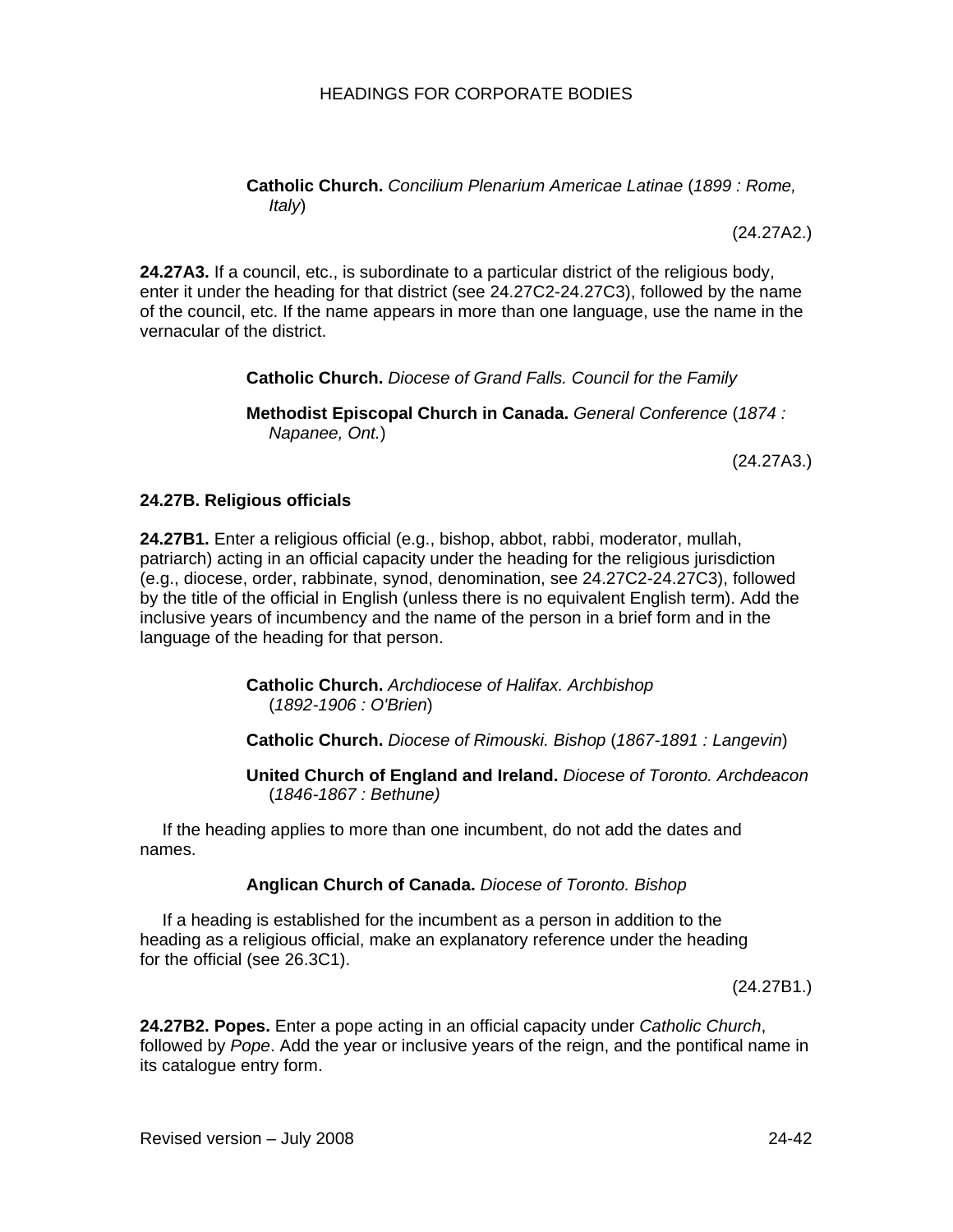**Catholic Church.** *Concilium Plenarium Americae Latinae* (*1899 : Rome, Italy*)

(24.27A2.)

**24.27A3.** If a council, etc., is subordinate to a particular district of the religious body, enter it under the heading for that district (see 24.27C2-24.27C3), followed by the name of the council, etc. If the name appears in more than one language, use the name in the vernacular of the district.

# **Catholic Church.** *Diocese of Grand Falls. Council for the Family*

**Methodist Episcopal Church in Canada.** *General Conference* (*1874 : Napanee, Ont.*)

(24.27A3.)

#### **24.27B. Religious officials**

**24.27B1.** Enter a religious official (e.g., bishop, abbot, rabbi, moderator, mullah, patriarch) acting in an official capacity under the heading for the religious jurisdiction (e.g., diocese, order, rabbinate, synod, denomination, see 24.27C2-24.27C3), followed by the title of the official in English (unless there is no equivalent English term). Add the inclusive years of incumbency and the name of the person in a brief form and in the language of the heading for that person.

> **Catholic Church.** *Archdiocese of Halifax. Archbishop* (*1892-1906 : O'Brien*)

**Catholic Church.** *Diocese of Rimouski. Bishop* (*1867-1891 : Langevin*)

**United Church of England and Ireland.** *Diocese of Toronto. Archdeacon* (*1846-1867 : Bethune)*

If the heading applies to more than one incumbent, do not add the dates and names.

#### **Anglican Church of Canada.** *Diocese of Toronto. Bishop*

If a heading is established for the incumbent as a person in addition to the heading as a religious official, make an explanatory reference under the heading for the official (see 26.3C1).

(24.27B1.)

**24.27B2. Popes.** Enter a pope acting in an official capacity under *Catholic Church*, followed by *Pope*. Add the year or inclusive years of the reign, and the pontifical name in its catalogue entry form.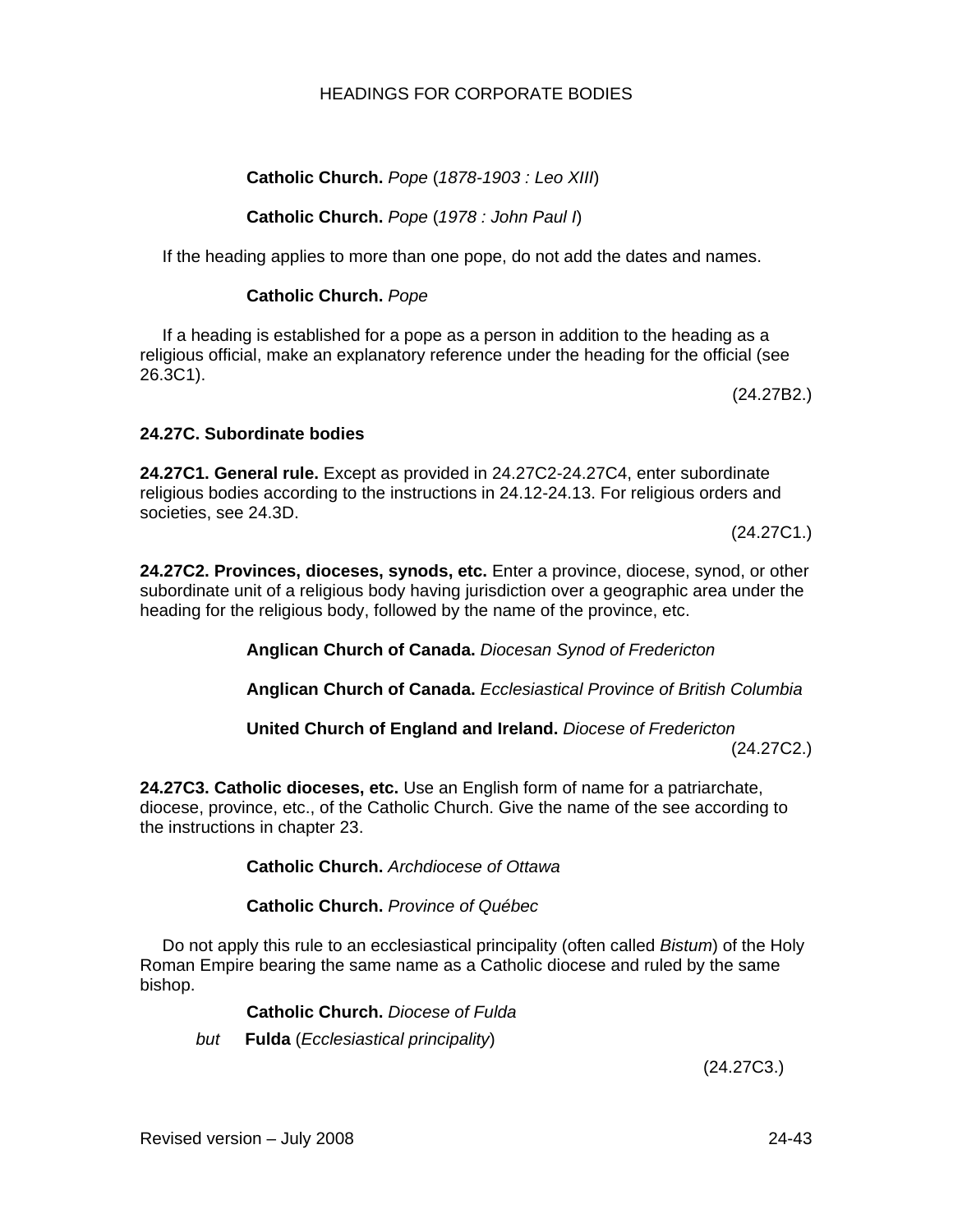# **Catholic Church.** *Pope* (*1878-1903 : Leo XIII*)

# **Catholic Church.** *Pope* (*1978 : John Paul I*)

If the heading applies to more than one pope, do not add the dates and names.

## **Catholic Church.** *Pope*

If a heading is established for a pope as a person in addition to the heading as a religious official, make an explanatory reference under the heading for the official (see 26.3C1).

(24.27B2.)

### **24.27C. Subordinate bodies**

**24.27C1. General rule.** Except as provided in 24.27C2-24.27C4, enter subordinate religious bodies according to the instructions in 24.12-24.13. For religious orders and societies, see 24.3D.

(24.27C1.)

**24.27C2. Provinces, dioceses, synods, etc.** Enter a province, diocese, synod, or other subordinate unit of a religious body having jurisdiction over a geographic area under the heading for the religious body, followed by the name of the province, etc.

**Anglican Church of Canada.** *Diocesan Synod of Fredericton* 

**Anglican Church of Canada.** *Ecclesiastical Province of British Columbia* 

**United Church of England and Ireland.** *Diocese of Fredericton* 

(24.27C2.)

**24.27C3. Catholic dioceses, etc.** Use an English form of name for a patriarchate, diocese, province, etc., of the Catholic Church. Give the name of the see according to the instructions in chapter 23.

**Catholic Church.** *Archdiocese of Ottawa* 

**Catholic Church.** *Province of Québec* 

Do not apply this rule to an ecclesiastical principality (often called *Bistum*) of the Holy Roman Empire bearing the same name as a Catholic diocese and ruled by the same bishop.

**Catholic Church.** *Diocese of Fulda* 

*but* **Fulda** (*Ecclesiastical principality*)

(24.27C3.)